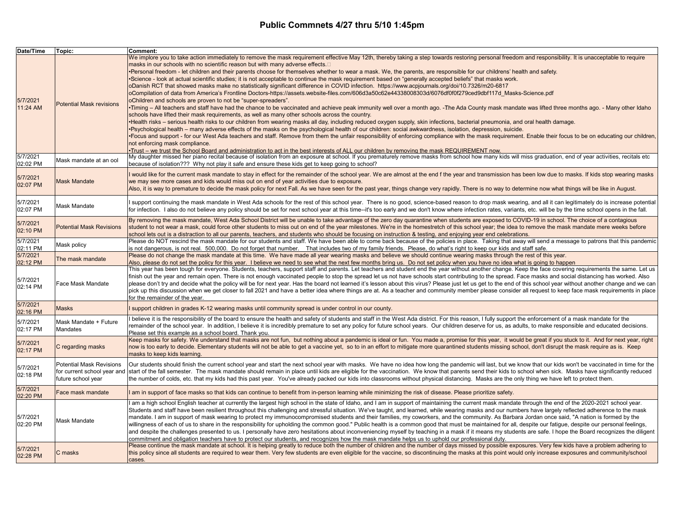| Date/Time                        | Topic:                                                                               | Comment:                                                                                                                                                                                                                                                                                                                                                                                                                                                                                                                                                                                                                                                                                                                                                                                                                                                                                                                                                                                                                                                                                                                                                                                                                                                                                                                                                                                                                                                                                                                                                                                                                                                                                                                                                                                                                                                                                                                                                                                                                                                                                                                                                                                                                                                                                       |
|----------------------------------|--------------------------------------------------------------------------------------|------------------------------------------------------------------------------------------------------------------------------------------------------------------------------------------------------------------------------------------------------------------------------------------------------------------------------------------------------------------------------------------------------------------------------------------------------------------------------------------------------------------------------------------------------------------------------------------------------------------------------------------------------------------------------------------------------------------------------------------------------------------------------------------------------------------------------------------------------------------------------------------------------------------------------------------------------------------------------------------------------------------------------------------------------------------------------------------------------------------------------------------------------------------------------------------------------------------------------------------------------------------------------------------------------------------------------------------------------------------------------------------------------------------------------------------------------------------------------------------------------------------------------------------------------------------------------------------------------------------------------------------------------------------------------------------------------------------------------------------------------------------------------------------------------------------------------------------------------------------------------------------------------------------------------------------------------------------------------------------------------------------------------------------------------------------------------------------------------------------------------------------------------------------------------------------------------------------------------------------------------------------------------------------------|
| 5/7/2021<br>11:24 AM<br>5/7/2021 | <b>Potential Mask revisions</b>                                                      | We implore you to take action immediately to remove the mask requirement effective May 12th, thereby taking a step towards restoring personal freedom and responsibility. It is unacceptable to require<br>masks in our schools with no scientific reason but with many adverse effects.<br>•Personal freedom - let children and their parents choose for themselves whether to wear a mask. We, the parents, are responsible for our childrens' health and safety.<br>•Science - look at actual scientific studies; it is not acceptable to continue the mask requirement based on "generally accepted beliefs" that masks work.<br>oDanish RCT that showed masks make no statistically significant difference in COVID infection. https://www.acpjournals.org/doi/10.7326/m20-6817<br>oCompilation of data from America's Frontline Doctors-https://assets.website-files.com/606d3a50c62e44338008303d/6076df0f0f279ced9dbf117d Masks-Science.pdf<br>oChildren and schools are proven to not be "super-spreaders".<br>•Timing – All teachers and staff have had the chance to be vaccinated and achieve peak immunity well over a month ago. -The Ada County mask mandate was lifted three months ago. - Many other Idaho<br>schools have lifted their mask requirements, as well as many other schools across the country.<br>•Health risks – serious health risks to our children from wearing masks all day, including reduced oxygen supply, skin infections, bacterial pneumonia, and oral health damage.<br>•Psychological health – many adverse effects of the masks on the psychological health of our children: social awkwardness, isolation, depression, suicide.<br>• Focus and support - for our West Ada teachers and staff. Remove from them the unfair responsibility of enforcing compliance with the mask requirement. Enable their focus to be on educating our children.<br>not enforcing mask compliance.<br>. Trust – we trust the School Board and administration to act in the best interests of ALL our children by removing the mask REQUIREMENT now.<br>My daughter missed her piano recital because of isolation from an exposure at school. If you prematurely remove masks from school how many kids will miss graduation, end of year activities, recitals etc |
| 02:02 PM                         | Mask mandate at an ool                                                               | because of isolation??? Why not play it safe and ensure these kids get to keep going to school?                                                                                                                                                                                                                                                                                                                                                                                                                                                                                                                                                                                                                                                                                                                                                                                                                                                                                                                                                                                                                                                                                                                                                                                                                                                                                                                                                                                                                                                                                                                                                                                                                                                                                                                                                                                                                                                                                                                                                                                                                                                                                                                                                                                                |
| 5/7/2021<br>02:07 PM             | <b>Mask Mandate</b>                                                                  | I would like for the current mask mandate to stay in effect for the remainder of the school year. We are almost at the end f the year and transmission has been low due to masks. If kids stop wearing masks<br>we may see more cases and kids would miss out on end of year activities due to exposure.<br>Also, it is way to premature to decide the mask policy for next Fall. As we have seen for the past year, things change very rapidly. There is no way to determine now what things will be like in August.                                                                                                                                                                                                                                                                                                                                                                                                                                                                                                                                                                                                                                                                                                                                                                                                                                                                                                                                                                                                                                                                                                                                                                                                                                                                                                                                                                                                                                                                                                                                                                                                                                                                                                                                                                          |
| 5/7/2021<br>02:07 PM             | Mask Mandate                                                                         | I support continuing the mask mandate in West Ada schools for the rest of this school year. There is no good, science-based reason to drop mask wearing, and all it can legitimately do is increase potential<br>for infection. I also do not believe any policy should be set for next school year at this time--it's too early and we don't know where infection rates, variants, etc. will be by the time school opens in the fall.                                                                                                                                                                                                                                                                                                                                                                                                                                                                                                                                                                                                                                                                                                                                                                                                                                                                                                                                                                                                                                                                                                                                                                                                                                                                                                                                                                                                                                                                                                                                                                                                                                                                                                                                                                                                                                                         |
| 5/7/2021<br>02:10 PM             | <b>Potential Mask Revisions</b>                                                      | By removing the mask mandate, West Ada School District will be unable to take advantage of the zero day quarantine when students are exposed to COVID-19 in school. The choice of a contagious<br>student to not wear a mask, could force other students to miss out on end of the year milestones. We're in the homestretch of this school year; the idea to remove the mask mandate mere weeks before<br>school lets out is a distraction to all our parents, teachers, and students who should be focusing on instruction & testing, and enjoying year end celebrations,                                                                                                                                                                                                                                                                                                                                                                                                                                                                                                                                                                                                                                                                                                                                                                                                                                                                                                                                                                                                                                                                                                                                                                                                                                                                                                                                                                                                                                                                                                                                                                                                                                                                                                                    |
| 5/7/2021<br>02:11 PM             | Mask policy                                                                          | Please do NOT rescind the mask mandate for our students and staff. We have been able to come back because of the policies in place. Taking that away will send a message to patrons that this pandemic<br>is not dangerous, is not real. 500,000. Do not forget that number. That includes two of my family friends. Please, do what's right to keep our kids and staff safe.                                                                                                                                                                                                                                                                                                                                                                                                                                                                                                                                                                                                                                                                                                                                                                                                                                                                                                                                                                                                                                                                                                                                                                                                                                                                                                                                                                                                                                                                                                                                                                                                                                                                                                                                                                                                                                                                                                                  |
| 5/7/2021<br>02:12 PM             | The mask mandate                                                                     | Please do not change the mask mandate at this time. We have made all year wearing masks and believe we should continue wearing masks through the rest of this year.<br>Also, please do not set the policy for this year. I believe we need to see what the next few months bring us. Do not set policy when you have no idea what is going to happen                                                                                                                                                                                                                                                                                                                                                                                                                                                                                                                                                                                                                                                                                                                                                                                                                                                                                                                                                                                                                                                                                                                                                                                                                                                                                                                                                                                                                                                                                                                                                                                                                                                                                                                                                                                                                                                                                                                                           |
| 5/7/2021<br>02:14 PM             | Face Mask Mandate                                                                    | This year has been tough for everyone. Students, teachers, support staff and parents. Let teachers and student end the year without another change. Keep the face covering requirements the same. Let us<br>finish out the year and remain open. There is not enough vaccinated people to stop the spread let us not have schools start contributing to the spread. Face masks and social distancing has worked. Also<br>please don't try and decide what the policy will be for next year. Has the board not learned it's lesson about this virus? Please just let us get to the end of this school year without another change and we can<br>pick up this discussion when we get closer to fall 2021 and have a better idea where things are at. As a teacher and community member please consider all request to keep face mask requirements in place<br>for the remainder of the year.                                                                                                                                                                                                                                                                                                                                                                                                                                                                                                                                                                                                                                                                                                                                                                                                                                                                                                                                                                                                                                                                                                                                                                                                                                                                                                                                                                                                     |
| 5/7/2021<br>02:16 PM             | <b>Masks</b>                                                                         | I support children in grades K-12 wearing masks until community spread is under control in our county.                                                                                                                                                                                                                                                                                                                                                                                                                                                                                                                                                                                                                                                                                                                                                                                                                                                                                                                                                                                                                                                                                                                                                                                                                                                                                                                                                                                                                                                                                                                                                                                                                                                                                                                                                                                                                                                                                                                                                                                                                                                                                                                                                                                         |
| 5/7/2021<br>02:17 PM             | Mask Mandate + Future<br>Mandates                                                    | believe it is the responsibility of the board to ensure the health and safety of students and staff in the West Ada district. For this reason, I fully support the enforcement of a mask mandate for the<br>remainder of the school year. In addition, I believe it is incredibly premature to set any policy for future school years. Our children deserve for us, as adults, to make responsible and educated decisions.<br>Please set this example as a school board. Thank you.                                                                                                                                                                                                                                                                                                                                                                                                                                                                                                                                                                                                                                                                                                                                                                                                                                                                                                                                                                                                                                                                                                                                                                                                                                                                                                                                                                                                                                                                                                                                                                                                                                                                                                                                                                                                            |
| 5/7/2021<br>02:17 PM             | C regarding masks                                                                    | Keep masks for safety. We understand that masks are not fun, but nothing about a pandemic is ideal or fun. You made a, promise for this year, it would be great if you stuck to it. And for next year, right<br>now is too early to decide. Elementary students will not be able to get a vaccine yet, so to in an effort to mitigate more quarantined students missing school, don't disrupt the mask require as is. Keep<br>masks to keep kids learning.                                                                                                                                                                                                                                                                                                                                                                                                                                                                                                                                                                                                                                                                                                                                                                                                                                                                                                                                                                                                                                                                                                                                                                                                                                                                                                                                                                                                                                                                                                                                                                                                                                                                                                                                                                                                                                     |
| 5/7/2021<br>02:18 PM             | <b>Potential Mask Revisions</b><br>for current school year and<br>future school year | Our students should finish the current school year and start the next school year with masks. We have no idea how long the pandemic will last, but we know that our kids won't be vaccinated in time for the<br>start of the fall semester. The mask mandate should remain in place until kids are eligible for the vaccination. We know that parents send their kids to school when sick. Masks have significantly reduced<br>the number of colds, etc. that my kids had this past year. You've already packed our kids into classrooms without physical distancing. Masks are the only thing we have left to protect them.                                                                                                                                                                                                                                                                                                                                                                                                                                                                                                                                                                                                                                                                                                                                                                                                                                                                                                                                                                                                                                                                                                                                                                                                                                                                                                                                                                                                                                                                                                                                                                                                                                                                   |
| 5/7/2021<br>02:20 PM             | Face mask mandate                                                                    | am in support of face masks so that kids can continue to benefit from in-person learning while minimizing the risk of disease. Please prioritize safety.                                                                                                                                                                                                                                                                                                                                                                                                                                                                                                                                                                                                                                                                                                                                                                                                                                                                                                                                                                                                                                                                                                                                                                                                                                                                                                                                                                                                                                                                                                                                                                                                                                                                                                                                                                                                                                                                                                                                                                                                                                                                                                                                       |
| 5/7/2021<br>02:20 PM             | Mask Mandate                                                                         | am a high school English teacher at currently the largest high school in the state of Idaho, and I am in support of maintaining the current mask mandate through the end of the 2020-2021 school year.<br>Students and staff have been resilient throughout this challenging and stressful situation. We've taught, and learned, while wearing masks and our numbers have largely reflected adherence to the mask<br>mandate. I am in support of mask wearing to protect my immunocompromised students and their families, my coworkers, and the community. As Barbara Jordan once said, "A nation is formed by the<br>willingness of each of us to share in the responsibility for upholding the common good." Public health is a common good that must be maintained for all, despite our fatique, despite our personal feelings,<br>and despite the challenges presented to us. I personally have zero hesitations about inconveniencing myself by teaching in a mask if it means my students are safe. I hope the Board recognizes the diligent<br>commitment and obligation teachers have to protect our students, and recognizes how the mask mandate helps us to uphold our professional duty.                                                                                                                                                                                                                                                                                                                                                                                                                                                                                                                                                                                                                                                                                                                                                                                                                                                                                                                                                                                                                                                                                          |
| 5/7/2021<br>02:28 PM             | C masks                                                                              | Please continue the mask mandate at school. It is helping greatly to reduce both the number of children and the number of days missed by possible exposures. Very few kids have a problem adhering to<br>this policy since all students are required to wear them. Very few students are even eligible for the vaccine, so discontinuing the masks at this point would only increase exposures and community/school<br>cases.                                                                                                                                                                                                                                                                                                                                                                                                                                                                                                                                                                                                                                                                                                                                                                                                                                                                                                                                                                                                                                                                                                                                                                                                                                                                                                                                                                                                                                                                                                                                                                                                                                                                                                                                                                                                                                                                  |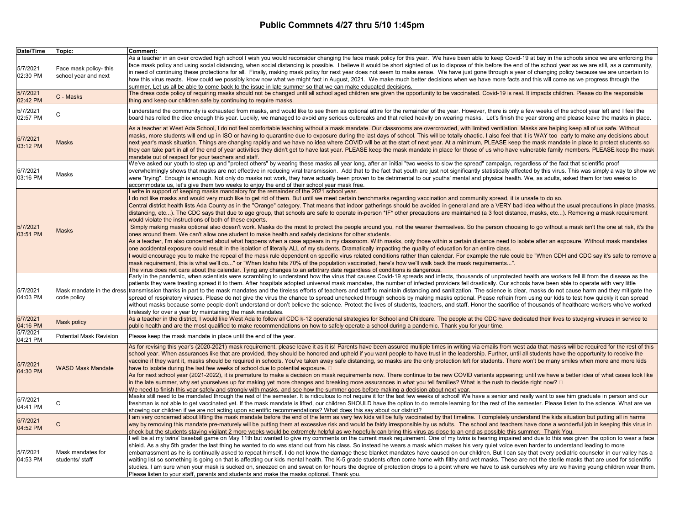| Date/Time            | Topic:                                         | Comment:                                                                                                                                                                                                                                                                                                                                                                                                                                                                                                                                                                                                                                                                                                                                                                                                                                                                                                                                                                                                                                                                                                                                                                                                                                                                                                                                                                                                                                                                                                                                                                                                                                                                                                                                                                                                                                                                                                                                        |
|----------------------|------------------------------------------------|-------------------------------------------------------------------------------------------------------------------------------------------------------------------------------------------------------------------------------------------------------------------------------------------------------------------------------------------------------------------------------------------------------------------------------------------------------------------------------------------------------------------------------------------------------------------------------------------------------------------------------------------------------------------------------------------------------------------------------------------------------------------------------------------------------------------------------------------------------------------------------------------------------------------------------------------------------------------------------------------------------------------------------------------------------------------------------------------------------------------------------------------------------------------------------------------------------------------------------------------------------------------------------------------------------------------------------------------------------------------------------------------------------------------------------------------------------------------------------------------------------------------------------------------------------------------------------------------------------------------------------------------------------------------------------------------------------------------------------------------------------------------------------------------------------------------------------------------------------------------------------------------------------------------------------------------------|
| 5/7/2021<br>02:30 PM | Face mask policy- this<br>school year and next | As a teacher in an over crowded high school I wish you would reconsider changing the face mask policy for this year. We have been able to keep Covid-19 at bay in the schools since we are enforcing the<br>face mask policy and using social distancing, when social distancing is possible. I believe it would be short sighted of us to dispose of this before the end of the school year as we are still, as a community,<br>in need of continuing these protections for all. Finally, making mask policy for next year does not seem to make sense. We have just gone through a year of changing policy because we are uncertain to<br>how this virus reacts. How could we possibly know now what we might fact in August, 2021. We make much better decisions when we have more facts and this will come as we progress through the<br>summer. Let us all be able to come back to the issue in late summer so that we can make educated decisions.                                                                                                                                                                                                                                                                                                                                                                                                                                                                                                                                                                                                                                                                                                                                                                                                                                                                                                                                                                                        |
| 5/7/2021<br>02:42 PM | C - Masks                                      | The dress code policy of requiring masks should not be changed until all school aged children are given the opportunity to be vaccinated. Covid-19 is real. It impacts children. Please do the responsible<br>thing and keep our children safe by continuing to require masks.                                                                                                                                                                                                                                                                                                                                                                                                                                                                                                                                                                                                                                                                                                                                                                                                                                                                                                                                                                                                                                                                                                                                                                                                                                                                                                                                                                                                                                                                                                                                                                                                                                                                  |
| 5/7/2021<br>02:57 PM |                                                | I understand the community is exhausted from masks, and would like to see them as optional attire for the remainder of the year. However, there is only a few weeks of the school year left and I feel the<br>board has rolled the dice enough this year. Luckily, we managed to avoid any serious outbreaks and that relied heavily on wearing masks. Let's finish the year strong and please leave the masks in place.                                                                                                                                                                                                                                                                                                                                                                                                                                                                                                                                                                                                                                                                                                                                                                                                                                                                                                                                                                                                                                                                                                                                                                                                                                                                                                                                                                                                                                                                                                                        |
| 5/7/2021<br>03:12 PM | Masks                                          | As a teacher at West Ada School, I do not feel comfortable teaching without a mask mandate. Our classrooms are overcrowded, with limited ventilation. Masks are helping keep all of us safe. Without<br>masks, more students will end up in ISO or having to quarantine due to exposure during the last days of school. This will be totally chaotic. I also feel that it is WAY too early to make any decisions about<br>next year's mask situation. Things are changing rapidly and we have no idea where COVID will be at the start of next year. At a minimum, PLEASE keep the mask mandate in place to protect students so<br>they can take part in all of the end of year activities they didn't get to have last year. PLEASE keep the mask mandate in place for those of us who have vulnerable family members. PLEASE keep the mask<br>mandate out of respect for your teachers and staff.                                                                                                                                                                                                                                                                                                                                                                                                                                                                                                                                                                                                                                                                                                                                                                                                                                                                                                                                                                                                                                             |
| 5/7/2021<br>03:16 PM | Masks                                          | We've asked our youth to step up and "protect others" by wearing these masks all year long, after an initial "two weeks to slow the spread" campaign, regardless of the fact that scientific proof<br>overwhelmingly shows that masks are not effective in reducing viral transmission. Add that to the fact that youth are just not significantly statistically affected by this virus. This was simply a way to show we<br>were "trying". Enough is enough. Not only do masks not work, they have actually been proven to be detrimental to our youths' mental and physical health. We, as adults, asked them for two weeks to<br>accommodate us, let's give them two weeks to enjoy the end of their school year mask free.                                                                                                                                                                                                                                                                                                                                                                                                                                                                                                                                                                                                                                                                                                                                                                                                                                                                                                                                                                                                                                                                                                                                                                                                                  |
| 5/7/2021<br>03:51 PM | Masks                                          | I write in support of keeping masks mandatory for the remainder of the 2021 school year.<br>I do not like masks and would very much like to get rid of them. But until we meet certain benchmarks regarding vaccination and community spread, it is unsafe to do so.<br>Central district health lists Ada County as in the "Orange" category. That means that indoor gatherings should be avoided in general and are a VERY bad idea without the usual precautions in place (masks,<br>distancing, etc). The CDC says that due to age group, that schools are safe to operate in-person *IF* other precautions are maintained (a 3 foot distance, masks, etc). Removing a mask requirement<br>would violate the instructions of both of these experts.<br>Simply making masks optional also doesn't work. Masks do the most to protect the people around you, not the wearer themselves. So the person choosing to go without a mask isn't the one at risk, it's the<br>ones around them. We can't allow one student to make health and safety decisions for other students.<br>As a teacher, I'm also concerned about what happens when a case appears in my classroom. With masks, only those within a certain distance need to isolate after an exposure. Without mask mandates<br>one accidental exposure could result in the isolation of literally ALL of my students. Dramatically impacting the quality of education for an entire class.<br>I would encourage you to make the repeal of the mask rule dependent on specific virus related conditions rather than calendar. For example the rule could be "When CDH and CDC say it's safe to remove a<br>mask requirement, this is what we'll do" or "When Idaho hits 70% of the population vaccinated, here's how we'll walk back the mask requirements".<br>The virus does not care about the calendar. Tying any changes to an arbitrary date regardless of conditions is dangerous. |
| 5/7/2021<br>04:03 PM | code policy                                    | Early in the pandemic, when scientists were scrambling to understand how the virus that causes Covid-19 spreads and infects, thousands of unprotected health are workers fell ill from the disease as the<br>patients they were treating spread it to them. After hospitals adopted universal mask mandates, the number of infected providers fell drastically. Our schools have been able to operate with very little<br>Mask mandate in the dress transmission thanks in part to the mask mandates and the tireless efforts of teachers and staff to maintain distancing and sanitization. The science is clear, masks do not cause harm and they miti<br>spread of respiratory viruses. Please do not give the virus the chance to spread unchecked through schools by making masks optional. Please refrain from using our kids to test how quickly it can spread<br>without masks because some people don't understand or don't believe the science. Protect the lives of students, teachers, and staff. Honor the sacrifice of thousands of healthcare workers who've worked<br>tirelessly for over a year by maintaining the mask mandates.                                                                                                                                                                                                                                                                                                                                                                                                                                                                                                                                                                                                                                                                                                                                                                                              |
| 5/7/2021<br>04:16 PM | <b>Mask policy</b>                             | As a teacher in the district, I would like West Ada to follow all CDC k-12 operational strategies for School and Childcare. The people at the CDC have dedicated their lives to studying viruses in service to<br>public health and are the most qualified to make recommendations on how to safely operate a school during a pandemic. Thank you for your time.                                                                                                                                                                                                                                                                                                                                                                                                                                                                                                                                                                                                                                                                                                                                                                                                                                                                                                                                                                                                                                                                                                                                                                                                                                                                                                                                                                                                                                                                                                                                                                                |
| 5/7/2021<br>04:21 PM | Potential Mask Revision                        | Please keep the mask mandate in place until the end of the year.                                                                                                                                                                                                                                                                                                                                                                                                                                                                                                                                                                                                                                                                                                                                                                                                                                                                                                                                                                                                                                                                                                                                                                                                                                                                                                                                                                                                                                                                                                                                                                                                                                                                                                                                                                                                                                                                                |
| 5/7/2021<br>04:30 PM | <b>WASD Mask Mandate</b>                       | As for revising this year's (2020-2021) mask requirement, please leave it as it is! Parents have been assured multiple times in writing via emails from west ada that masks will be required for the rest of this<br>school year. When assurances like that are provided, they should be honored and upheld if you want people to have trust in the leadership. Further, until all students have the opportunity to receive the<br>vaccine if they want it, masks should be required in schools. You've taken away safe distancing, so masks are the only protection left for students. There won't be many smiles when more and more kids<br>have to isolate during the last few weeks of school due to potential exposure. $\square$<br>As for next school year (2021-2022), it is premature to make a decision on mask requirements now. There continue to be new COVID variants appearing; until we have a better idea of what cases look like<br>in the late summer, why set yourselves up for making yet more changes and breaking more assurances in what you tell families? What is the rush to decide right now? □<br>We need to finish this year safely and strongly with masks, and see how the summer goes before making a decision about next year.                                                                                                                                                                                                                                                                                                                                                                                                                                                                                                                                                                                                                                                                                |
| 5/7/2021<br>04:41 PM |                                                | Masks still need to be mandated through the rest of the semester. It is ridiculous to not require it for the last few weeks of school! We have a senior and really want to see him graduate in person and our<br>freshman is not able to get vaccinated yet. If the mask mandate is lifted, our children SHOULD have the option to do remote learning for the rest of the semester. Please listen to the science. What are we<br>showing our children if we are not acting upon scientific recommendations? What does this say about our district?                                                                                                                                                                                                                                                                                                                                                                                                                                                                                                                                                                                                                                                                                                                                                                                                                                                                                                                                                                                                                                                                                                                                                                                                                                                                                                                                                                                              |
| 5/7/2021<br>04:52 PM |                                                | I am very concerned about lifting the mask mandate before the end of the term as very few kids will be fully vaccinated by that timeline. I completely understand the kids situation but putting all in harms<br>way by removing this mandate pre-maturely will be putting them at excessive risk and would be fairly irresponsible by us adults. The school and teachers have done a wonderful job in keeping this virus in<br>check but the students staying vigilant 2 more weeks would be extremely helpful as we hopefully can bring this virus as close to an end as possible this summer. Thank You.                                                                                                                                                                                                                                                                                                                                                                                                                                                                                                                                                                                                                                                                                                                                                                                                                                                                                                                                                                                                                                                                                                                                                                                                                                                                                                                                     |
| 5/7/2021<br>04:53 PM | Mask mandates for<br>students/ staff           | I will be at my twins' baseball game on May 11th but wanted to give my comments on the current mask requirement. One of my twins is hearing impaired and due to this was given the option to wear a face<br>shield. As a shy 5th grader the last thing he wanted to do was stand out from his class. So instead he wears a mask which makes his very quiet voice even harder to understand leading to more<br>embarrassment as he is continually asked to repeat himself. I do not know the damage these blanket mandates have caused on our children. But I can say that every pediatric counselor in our valley has a<br>waiting list so something is going on that is affecting our kids mental health. The K-5 grade students often come home with filthy and wet masks. These are not the sterile masks that are used for scientific<br>studies. I am sure when your mask is sucked on, sneezed on and sweat on for hours the degree of protection drops to a point where we have to ask ourselves why are we having young children wear them.<br>Please listen to your staff, parents and students and make the masks optional. Thank you.                                                                                                                                                                                                                                                                                                                                                                                                                                                                                                                                                                                                                                                                                                                                                                                                |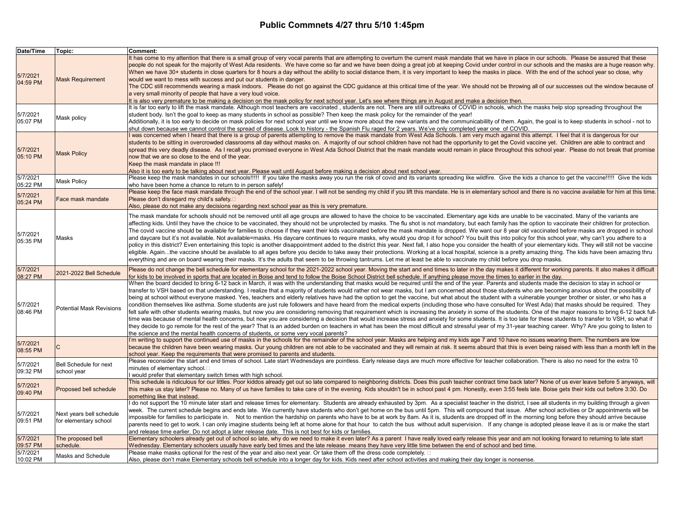| Date/Time                        | Topic:                                            | Comment:                                                                                                                                                                                                                                                                                                                                                                                                                                                                                                                                                                                                                                                                                                                                                                                                                                                                                                                                                                                                                                                                                                                                                                                                                                                                                                                                                                                                                                                                                                                                                                          |
|----------------------------------|---------------------------------------------------|-----------------------------------------------------------------------------------------------------------------------------------------------------------------------------------------------------------------------------------------------------------------------------------------------------------------------------------------------------------------------------------------------------------------------------------------------------------------------------------------------------------------------------------------------------------------------------------------------------------------------------------------------------------------------------------------------------------------------------------------------------------------------------------------------------------------------------------------------------------------------------------------------------------------------------------------------------------------------------------------------------------------------------------------------------------------------------------------------------------------------------------------------------------------------------------------------------------------------------------------------------------------------------------------------------------------------------------------------------------------------------------------------------------------------------------------------------------------------------------------------------------------------------------------------------------------------------------|
| 5/7/2021<br>04:59 PM             | <b>Mask Requirement</b>                           | It has come to my attention that there is a small group of very vocal parents that are attempting to overturn the current mask mandate that we have in place in our schools. Please be assured that these<br>people do not speak for the majority of West Ada residents. We have come so far and we have been doing a great job at keeping Covid under control in our schools and the masks are a huge reason why.<br>When we have 30+ students in close quarters for 8 hours a day without the ability to social distance them, it is very important to keep the masks in place. With the end of the school year so close, why<br>would we want to mess with success and put our students in danger.<br>The CDC still recommends wearing a mask indoors. Please do not go against the CDC guidance at this critical time of the year. We should not be throwing all of our successes out the window because of<br>a very small minority of people that have a very loud voice.<br>It is also very premature to be making a decision on the mask policy for next school year. Let's see where things are in August and make a decision then.                                                                                                                                                                                                                                                                                                                                                                                                                                      |
| 5/7/2021<br>05:07 PM             | Mask policy                                       | It is far too early to lift the mask mandate. Although most teachers are vaccinated, students are not. There are still outbreaks of COVID in schools, which the masks help stop spreading throughout the<br>student body. Isn't the goal to keep as many students in school as possible? Then keep the mask policy for the remainder of the year!<br>Additionally, it is too early to decide on mask policies for next school year until we know more about the new variants and the communicabililty of them. Again, the goal is to keep students in school - not to<br>shut down because we cannot control the spread of disease. Look to history - the Spanish Flu raged for 2 years, We've only completed year one of COVID                                                                                                                                                                                                                                                                                                                                                                                                                                                                                                                                                                                                                                                                                                                                                                                                                                                   |
| 5/7/2021<br>05:10 PM             | <b>Mask Policy</b>                                | I was concerned when I heard that there is a group of parents attempting to remove the mask mandate from West Ada Schools. I am very much against this attempt. I feel that it is dangerous for our<br>students to be sitting in overcrowded classrooms all day without masks on. A majority of our school children have not had the opportunity to get the Covid vaccine yet. Children are able to contract and<br>spread this very deadly disease. As I recall you promised everyone in West Ada School District that the mask mandate would remain in place throughout this school year. Please do not break that promise<br>now that we are so close to the end of the year.<br>Keep the mask mandate in place !!!<br>Also it is too early to be talking about next year. Please wait until August before making a decision about next school year.                                                                                                                                                                                                                                                                                                                                                                                                                                                                                                                                                                                                                                                                                                                           |
| 5/7/2021                         | <b>Mask Policy</b>                                | Please keep the mask mandates in our schools!!!!! If you take the masks away you run the risk of covid and its variants spreading like wildfire. Give the kids a chance to get the vaccine!!!!! Give the kids                                                                                                                                                                                                                                                                                                                                                                                                                                                                                                                                                                                                                                                                                                                                                                                                                                                                                                                                                                                                                                                                                                                                                                                                                                                                                                                                                                     |
| 05:22 PM<br>5/7/2021<br>05:24 PM | Face mask mandate                                 | who have been home a chance to return to in person safely!<br>Please keep the face mask mandate through the end of the school year. I will not be sending my child if you lift this mandate. He is in elementary school and there is no vaccine available for him at this time<br>Please don't disregard my child's safety.□<br>Also, please do not make any decisions regarding next school year as this is very premature.                                                                                                                                                                                                                                                                                                                                                                                                                                                                                                                                                                                                                                                                                                                                                                                                                                                                                                                                                                                                                                                                                                                                                      |
| 5/7/2021<br>05:35 PM             | Masks                                             | The mask mandate for schools should not be removed until all age groups are allowed to have the choice to be vaccinated. Elementary age kids are unable to be vaccinated. Many of the variants are<br>affecting kids. Until they have the choice to be vaccinated, they should not be unprotected by masks. The flu shot is not mandatory, but each family has the option to vaccinate their children for protection.<br>The covid vaccine should be available for families to choose if they want their kids vaccinated before the mask mandate is dropped. We want our 8 year old vaccinated before masks are dropped in school<br>and daycare but it's not available. Not available=masks. His daycare continues to require masks, why would you drop it for school? You built this into policy for this school year, why can't you adhere to a<br>policy in this district? Even entertaining this topic is another disappointment added to the district this year. Next fall, I also hope you consider the health of your elementary kids. They will still not be vaccine<br>eligible. Againthe vaccine should be available to all ages before you decide to take away their protections. Working at a local hospital, science is a pretty amazing thing. The kids have been amazing thru<br>everything and are on board wearing their masks. It's the adults that seem to be throwing tantrums. Let me at least be able to vaccinate my child before you drop masks.                                                                                                         |
| 5/7/2021<br>08:27 PM             | 2021-2022 Bell Schedule                           | Please do not change the bell schedule for elementary school for the 2021-2022 school year. Moving the start and end times to later in the day makes it different for working parents. It also makes it difficult<br>for kids to be involved in sports that are located in Boise and tend to follow the Boise School District bell schedule. If anything please move the times to earlier in the day.                                                                                                                                                                                                                                                                                                                                                                                                                                                                                                                                                                                                                                                                                                                                                                                                                                                                                                                                                                                                                                                                                                                                                                             |
| 5/7/2021<br>08:46 PM             | <b>Potential Mask Revisions</b>                   | When the board decided to bring 6-12 back in March, it was with the understanding that masks would be required until the end of the year. Parents and students made the decision to stay in school or<br>transfer to VSH based on that understanding. I realize that a majority of students would rather not wear masks, but I am concerned about those students who are becoming anxious about the possibility of<br>being at school without everyone masked. Yes, teachers and elderly relatives have had the option to get the vaccine, but what about the student with a vulnerable younger brother or sister, or who has a<br>condition themselves like asthma. Some students are just rule followers and have heard from the medical experts (including those who have consulted for West Ada) that masks should be required. They<br>felt safe with other students wearing masks, but now you are considering removing that requirement which is increasing the anxiety in some of the students. One of the major reasons to bring 6-12 back full-<br>time was because of mental health concerns, but now you are considering a decision that would increase stress and anxiety for some students. It is too late for these students to transfer to VSH, so what if<br>they decide to go remote for the rest of the year? That is an added burden on teachers in what has been the most difficult and stressful year of my 31-year teaching career. Why? Are you going to listen to<br>the science and the mental health concerns of students, or some very vocal parents? |
| 5/7/2021<br>08:55 PM             | С                                                 | I'm writing to support the continued use of masks in the schools for the remainder of the school year. Masks are helping and my kids age 7 and 10 have no issues wearing them. The numbers are low<br>because the children have been wearing masks. Our young children are not able to be vaccinated and they will remain at risk. It seems absurd that this is even being raised with less than a month left in the<br>school year. Keep the requirements that were promised to parents and students.                                                                                                                                                                                                                                                                                                                                                                                                                                                                                                                                                                                                                                                                                                                                                                                                                                                                                                                                                                                                                                                                            |
| 5/7/2021<br>09:32 PM             | Bell Schedule for next<br>school year             | Please reconsider the start and end times of school. Late start Wednesdays are pointless. Early release days are much more effective for teacher collaboration. There is also no need for the extra 10<br>minutes of elementary school.□<br>I would prefer that elementary switch times with high school.                                                                                                                                                                                                                                                                                                                                                                                                                                                                                                                                                                                                                                                                                                                                                                                                                                                                                                                                                                                                                                                                                                                                                                                                                                                                         |
| 5/7/2021<br>09:40 PM             | Proposed bell schedule                            | This schedule is ridiculous for our littles. Poor kiddos already get out so late compared to neighboring districts. Does this push teacher contract time back later? None of us ever leave before 5 anyways, will<br>this make us stay later? Please no. Many of us have families to take care of in the evening. Kids shouldn't be in school past 4 pm. Honestly, even 3:55 feels late. Boise gets their kids out before 3:30. Do<br>something like that instead.                                                                                                                                                                                                                                                                                                                                                                                                                                                                                                                                                                                                                                                                                                                                                                                                                                                                                                                                                                                                                                                                                                                |
| 5/7/2021<br>09:51 PM             | Next years bell schedule<br>for elementary school | I do not support the 10 minute later start and release times for elementary. Students are already exhausted by 3pm. As a specialist teacher in the district, I see all students in my building through a given<br>week. The current schedule begins and ends late. We currently have students who don't get home on the bus until 5pm. This will compound that issue. After school activities or Dr appointments will be<br>impossible for families to participate in. Not to mention the hardship on parents who have to be at work by 8am. As it is, students are dropped off in the morning long before they should arrive because<br>parents need to get to work. I can only imagine students being left at home alone for that hour to catch the bus without adult supervision. If any change is adopted please leave it as is or make the start<br>and release time earlier. Do not adopt a later release date. This is not best for kids or families.                                                                                                                                                                                                                                                                                                                                                                                                                                                                                                                                                                                                                      |
| 5/7/2021<br>09:57 PM             | The proposed bell<br>schedule.                    | Elementary schoolers already get out of school so late, why do we need to make it even later? As a parent I have really loved early release this year and am not looking forward to returning to late start<br>Wednesday. Elementary schoolers usually have early bed times and the late release means they have very little time between the end of school and bed time.                                                                                                                                                                                                                                                                                                                                                                                                                                                                                                                                                                                                                                                                                                                                                                                                                                                                                                                                                                                                                                                                                                                                                                                                         |
| 5/7/2021<br>10:02 PM             | Masks and Schedule                                | Please make masks optional for the rest of the year and also next year. Or take them off the dress code completely. $\Box$<br>Also, please don't make Elementary schools bell schedule into a longer day for kids. Kids need after school activities and making their day longer is nonsense.                                                                                                                                                                                                                                                                                                                                                                                                                                                                                                                                                                                                                                                                                                                                                                                                                                                                                                                                                                                                                                                                                                                                                                                                                                                                                     |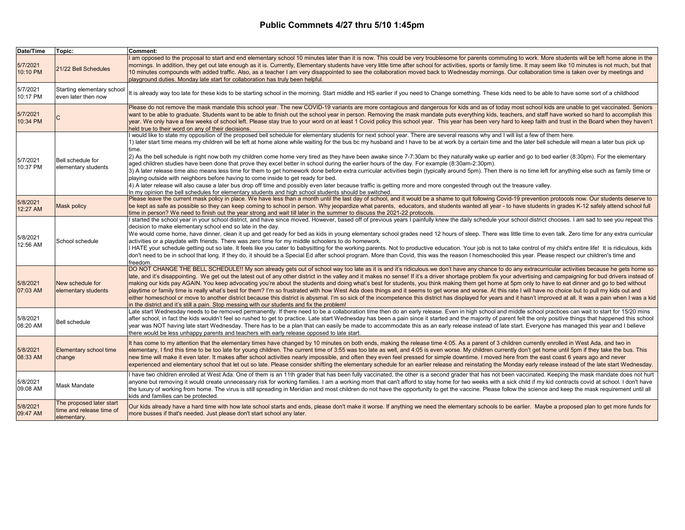| Date/Time            | Topic:                                                              | <b>Comment:</b>                                                                                                                                                                                                                                                                                                                                                                                                                                                                                                                                                                                                                                                                                                                                                                                                                                                                                                                                                                                                                                                                                                                                                                                                                                                                                                                                                      |
|----------------------|---------------------------------------------------------------------|----------------------------------------------------------------------------------------------------------------------------------------------------------------------------------------------------------------------------------------------------------------------------------------------------------------------------------------------------------------------------------------------------------------------------------------------------------------------------------------------------------------------------------------------------------------------------------------------------------------------------------------------------------------------------------------------------------------------------------------------------------------------------------------------------------------------------------------------------------------------------------------------------------------------------------------------------------------------------------------------------------------------------------------------------------------------------------------------------------------------------------------------------------------------------------------------------------------------------------------------------------------------------------------------------------------------------------------------------------------------|
| 5/7/2021<br>10:10 PM | 21/22 Bell Schedules                                                | I am opposed to the proposal to start and end elementary school 10 minutes later than it is now. This could be very troublesome for parents commuting to work. More students will be left home alone in the<br>mornings. In addition, they get out late enough as it is. Currently, Elementary students have very little time after school for activities, sports or family time. It may seem like 10 minutes is not much, but that<br>10 minutes compounds with added traffic. Also, as a teacher I am very disappointed to see the collaboration moved back to Wednesday mornings. Our collaboration time is taken over by meetings and<br>playground duties. Monday late start for collaboration has truly been helpful.                                                                                                                                                                                                                                                                                                                                                                                                                                                                                                                                                                                                                                          |
| 5/7/2021<br>10:17 PM | Starting elementary school<br>even later then now                   | It is already way too late for these kids to be starting school in the morning. Start middle and HS earlier if you need to Change something. These kids need to be able to have some sort of a childhood                                                                                                                                                                                                                                                                                                                                                                                                                                                                                                                                                                                                                                                                                                                                                                                                                                                                                                                                                                                                                                                                                                                                                             |
| 5/7/2021<br>10:34 PM |                                                                     | Please do not remove the mask mandate this school year. The new COVID-19 variants are more contagious and dangerous for kids and as of today most school kids are unable to get vaccinated. Seniors<br>want to be able to graduate. Students want to be able to finish out the school year in person. Removing the mask mandate puts everything kids, teachers, and staff have worked so hard to accomplish this<br>year. We only have a few weeks of school left. Please stay true to your word on at least 1 Covid policy this school year. This year has been very hard to keep faith and trust in the Board when they haven't<br>held true to their word on any of their decisions.                                                                                                                                                                                                                                                                                                                                                                                                                                                                                                                                                                                                                                                                              |
| 5/7/2021<br>10:37 PM | Bell schedule for<br>elementary students                            | I would like to state my opposition of the proposed bell schedule for elementary students for next school year. There are several reasons why and I will list a few of them here.<br>1) later start time means my children will be left at home alone while waiting for the bus bc my husband and I have to be at work by a certain time and the later bell schedule will mean a later bus pick up<br>time.<br>(2) As the bell schedule is right now both my children come home very tired as they have been awake since 7-7:30am bc they naturally wake up earlier and go to bed earlier (8:30pm). For the elementary<br>aged children studies have been done that prove they excel better in school during the earlier hours of the day. For example (8:30am-2:30pm).<br>3) A later release time also means less time for them to get homework done before extra curricular activities begin (typically around 5pm). Then there is no time left for anything else such as family time or<br>playing outside with neighbors before having to come inside to get ready for bed.<br>4) A later release will also cause a later bus drop off time and possibly even later because traffic is getting more and more congested through out the treasure valley.<br>In my opinion the bell schedules for elementary students and high school students should be switched. |
| 5/8/2021<br>12:27 AM | <b>Mask policy</b>                                                  | Please leave the current mask policy in place. We have less than a month until the last day of school, and it would be a shame to quit following Covid-19 prevention protocols now. Our students deserve to<br>be kept as safe as possible so they can keep coming to school in person. Why jeopardize what parents, educators, and students wanted all year - to have students in grades K-12 safely attend school full<br>time in person? We need to finish out the year strong and wait till later in the summer to discuss the 2021-22 protocols.                                                                                                                                                                                                                                                                                                                                                                                                                                                                                                                                                                                                                                                                                                                                                                                                                |
| 5/8/2021<br>12:56 AM | School schedule                                                     | I started the school year in your school district, and have since moved. However, based off of previous years I painfully knew the daily schedule your school district chooses. I am sad to see you repeat this<br>decision to make elementary school end so late in the day.<br>We would come home, have dinner, clean it up and get ready for bed as kids in young elementary school grades need 12 hours of sleep. There was little time to even talk. Zero time for any extra curricular<br>activities or a playdate with friends. There was zero time for my middle schoolers to do homework.<br>I HATE your schedule getting out so late. It feels like you cater to babysitting for the working parents. Not to productive education. Your job is not to take control of my child's entire life! It is ridiculous, kids<br>don't need to be in school that long. If they do, it should be a Special Ed after school program. More than Covid, this was the reason I homeschooled this year. Please respect our children's time and<br>freedom.                                                                                                                                                                                                                                                                                                                |
| 5/8/2021<br>07:03 AM | New schedule for<br>elementary students                             | DO NOT CHANGE THE BELL SCHEDULE!! My son already gets out of school way too late as it is and it's ridiculous.we don't have any chance to do any extracurricular activities because he gets home so<br>late, and it's disappointing. We get out the latest out of any other district in the valley and it makes no sense! If it's a driver shortage problem fix your advertising and campaigning for bud drivers instead of<br>making our kids pay AGAIN. You keep advocating you're about the students and doing what's best for students, you think making them get home at 5pm only to have to eat dinner and go to bed without<br>playtime or family time is really what's best for them? I'm so frustrated with how West Ada does things and it seems to get worse and worse. At this rate I will have no choice but to pull my kids out and<br>either homeschool or move to another district because this district is abysmal. I'm so sick of the incompetence this district has displayed for years and it hasn't improved at all. It was a pain when I was a kid<br>in the district and it's still a pain. Stop messing with our students and fix the problem!                                                                                                                                                                                               |
| 5/8/2021<br>08:20 AM | <b>Bell schedule</b>                                                | Late start Wednesday needs to be removed permanently. If there need to be a collaboration time then do an early release. Even in high school and middle school practices can wait to start for 15/20 mins<br>after school, in fact the kids wouldn't feel so rushed to get to practice. Late start Wednesday has been a pain since it started and the majority of parent felt the only positive things that happened this school<br>year was NOT having late start Wednesday. There has to be a plan that can easily be made to accommodate this as an early release instead of late start. Everyone has managed this year and I believe<br>there would be less unhappy parents and teachers with early release opposed to late start.                                                                                                                                                                                                                                                                                                                                                                                                                                                                                                                                                                                                                               |
| 5/8/2021<br>08:33 AM | <b>Elementary school time</b><br>change                             | It has come to my attention that the elementary times have changed by 10 minutes on both ends, making the release time 4:05. As a parent of 3 children currently enrolled in West Ada, and two in<br>elementary, I find this time to be too late for young children. The current time of 3:55 was too late as well, and 4:05 is even worse. My children currently don't get home until 5pm if they take the bus. This<br>new time will make it even later. It makes after school activities nearly impossible, and often they even feel pressed for simple downtime. I moved here from the east coast 6 years ago and never<br>experienced and elementary school that let out so late. Please consider shifting the elementary schedule for an earlier release and reinstating the Monday early release instead of the late start Wednesday.                                                                                                                                                                                                                                                                                                                                                                                                                                                                                                                         |
| 5/8/2021<br>09:08 AM | <b>Mask Mandate</b>                                                 | I have two children enrolled at West Ada. One of them is an 11th grader that has been fully vaccinated, the other is a second grader that has not been vaccinated. Keeping the mask mandate does not hurt<br>anyone but removing it would create unnecessary risk for working families. I am a working mom that can't afford to stay home for two weeks with a sick child if my kid contracts covid at school. I don't have<br>the luxury of working from home. The virus is still spreading in Meridian and most children do not have the opportunity to get the vaccine. Please follow the science and keep the mask requirement until all<br>kids and families can be protected                                                                                                                                                                                                                                                                                                                                                                                                                                                                                                                                                                                                                                                                                   |
| 5/8/2021<br>09:47 AM | The proposed later start<br>time and release time of<br>elementary. | Our kids already have a hard time with how late school starts and ends, please don't make it worse. If anything we need the elementary schools to be earlier. Maybe a proposed plan to get more funds for<br>more busses if that's needed. Just please don't start school any later.                                                                                                                                                                                                                                                                                                                                                                                                                                                                                                                                                                                                                                                                                                                                                                                                                                                                                                                                                                                                                                                                                 |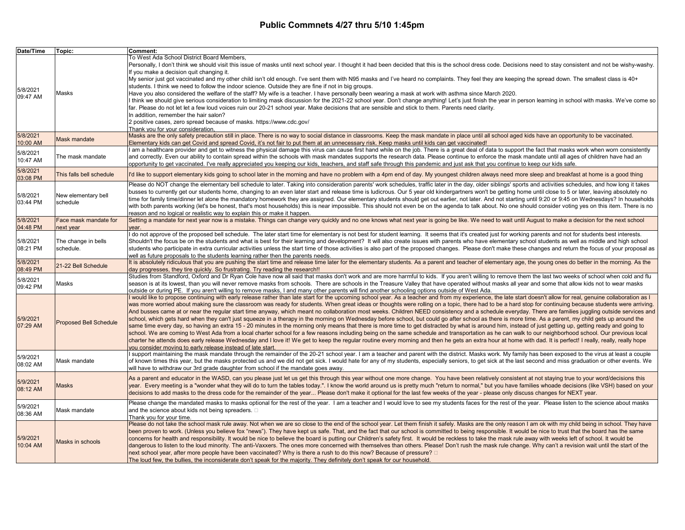| Date/Time            | Topic:                        | Comment:                                                                                                                                                                                                                                                                                                                                                                                                                     |
|----------------------|-------------------------------|------------------------------------------------------------------------------------------------------------------------------------------------------------------------------------------------------------------------------------------------------------------------------------------------------------------------------------------------------------------------------------------------------------------------------|
|                      |                               | To West Ada School District Board Members,                                                                                                                                                                                                                                                                                                                                                                                   |
|                      |                               | Personally, I don't think we should visit this issue of masks until next school year. I thought it had been decided that this is the school dress code. Decisions need to stay consistent and not be wishy-washy.                                                                                                                                                                                                            |
|                      |                               | If you make a decision quit changing it.                                                                                                                                                                                                                                                                                                                                                                                     |
|                      |                               | My senior just got vaccinated and my other child isn't old enough. I've sent them with N95 masks and I've heard no complaints. They feel they are keeping the spread down. The smallest class is 40+                                                                                                                                                                                                                         |
| 5/8/2021             |                               | students. I think we need to follow the indoor science. Outside they are fine if not in big groups.                                                                                                                                                                                                                                                                                                                          |
| 09:47 AM             | Masks                         | Have you also considered the welfare of the staff? My wife is a teacher. I have personally been wearing a mask at work with asthma since March 2020.                                                                                                                                                                                                                                                                         |
|                      |                               | I think we should give serious consideration to limiting mask discussion for the 2021-22 school year. Don't change anything! Let's just finish the year in person learning in school with masks. We've come so                                                                                                                                                                                                               |
|                      |                               | far. Please do not let let a few loud voices ruin our 20-21 school year. Make decisions that are sensible and stick to them. Parents need clarity.                                                                                                                                                                                                                                                                           |
|                      |                               | In addition, remember the hair salon?                                                                                                                                                                                                                                                                                                                                                                                        |
|                      |                               | 2 positive cases, zero spread because of masks. https://www.cdc.gov/<br>Thank you for your consideration.                                                                                                                                                                                                                                                                                                                    |
| 5/8/2021             |                               | Masks are the only safety precaution still in place. There is no way to social distance in classrooms. Keep the mask mandate in place until all school aged kids have an opportunity to be vaccinated.                                                                                                                                                                                                                       |
| 10:00 AM             | Mask mandate                  | Elementary kids can get Covid and spread Covid, it's not fair to put them at an unnecessary risk. Keep masks until kids can get vaccinated!                                                                                                                                                                                                                                                                                  |
|                      |                               | am a healthcare provider and get to witness the physical damage this virus can cause first hand while on the job. There is a great deal of data to support the fact that masks work when worn consistently                                                                                                                                                                                                                   |
| 5/8/2021             | The mask mandate              | and correctly. Even our ability to contain spread within the schools with mask mandates supports the research data. Please continue to enforce the mask mandate until all ages of children have had an                                                                                                                                                                                                                       |
| 10:47 AM             |                               | opportunity to get vaccinated. I've really appreciated you keeping our kids, teachers, and staff safe through this pandemic and just ask that you continue to keep our kids safe.                                                                                                                                                                                                                                            |
| 5/8/2021             | This falls bell schedule      | I'd like to support elementary kids going to school later in the morning and have no problem with a 4pm end of day. My youngest children always need more sleep and breakfast at home is a good thing                                                                                                                                                                                                                        |
| 03:08 PM             |                               |                                                                                                                                                                                                                                                                                                                                                                                                                              |
|                      |                               | Please do NOT change the elementary bell schedule to later. Taking into consideration parents' work schedules, traffic later in the day, older siblings' sports and activities schedules, and how long it takes                                                                                                                                                                                                              |
| 5/8/2021             | New elementary bell           | busses to currently get our students home, changing to an even later start and release time is ludicrous. Our 5 year old kindergartners won't be getting home until close to 5 or later, leaving absolutely no                                                                                                                                                                                                               |
| 03:44 PM             | schedule                      | time for family time/dinner let alone the mandatory homework they are assigned. Our elementary students should get out earlier, not later. And not starting until 9:20 or 9:45 on Wednesdays? In households<br>with both parents working (let's be honest, that's most households) this is near impossible. This should not even be on the agenda to talk about. No one should consider voting yes on this item. There is no |
|                      |                               | reason and no logical or realistic way to explain this or make it happen.                                                                                                                                                                                                                                                                                                                                                    |
| 5/8/2021             | Face mask mandate for         | Setting a mandate for next year now is a mistake. Things can change very quickly and no one knows what next year is going be like. We need to wait until August to make a decision for the next school                                                                                                                                                                                                                       |
| 04:48 PM             | next year                     | vear.                                                                                                                                                                                                                                                                                                                                                                                                                        |
|                      |                               | I do not approve of the proposed bell schedule. The later start time for elementary is not best for student learning. It seems that it's created just for working parents and not for students best interests.                                                                                                                                                                                                               |
| 5/8/2021             | The change in bells           | Shouldn't the focus be on the students and what is best for their learning and development? It will also create issues with parents who have elementary school students as well as middle and high school                                                                                                                                                                                                                    |
| 08:21 PM             | schedule.                     | students who participate in extra curricular activities unless the start time of those activities is also part of the proposed changes. Please don't make these changes and return the focus of your proposal as                                                                                                                                                                                                             |
|                      |                               | well as future proposals to the students learning rather then the parents needs.                                                                                                                                                                                                                                                                                                                                             |
| 5/8/2021             | 21-22 Bell Schedule           | It is absolutely ridiculous that you are pushing the start time and release time later for the elementary students. As a parent and teacher of elementary age, the young ones do better in the morning. As the                                                                                                                                                                                                               |
| 08:49 PM             |                               | day progresses, they tire quickly. So frustrating. Try reading the research!!<br>Studies from Standford, Oxford and Dr Ryan Cole have now all said that masks don't work and are more harmful to kids. If you aren't willing to remove them the last two weeks of school when cold and flu                                                                                                                                   |
| 5/8/2021             | Masks                         | season is at its lowest, than you will never remove masks from schools. There are schools in the Treasure Valley that have operated without masks all year and some that allow kids not to wear masks                                                                                                                                                                                                                        |
| 09:42 PM             |                               | outside or during PE. If you aren't willing to remove masks, I and many other parents will find another schooling options outside of West Ada.                                                                                                                                                                                                                                                                               |
|                      |                               | I would like to propose continuing with early release rather than late start for the upcoming school year. As a teacher and from my experience, the late start doesn't allow for real, genuine collaboration as I                                                                                                                                                                                                            |
|                      |                               | was more worried about making sure the classroom was ready for students. When great ideas or thoughts were rolling on a topic, there had to be a hard stop for continuing because students were arriving.                                                                                                                                                                                                                    |
|                      |                               | And busses came at or near the regular start time anyway, which meant no collaboration most weeks. Children NEED consistency and a schedule everyday. There are families juggling outside services and                                                                                                                                                                                                                       |
| 5/9/2021             |                               | school, which gets hard when they can't just squeeze in a therapy in the morning on Wednesday before school, but could go after school as there is more time. As a parent, my child gets up around the                                                                                                                                                                                                                       |
| 07:29 AM             | <b>Proposed Bell Schedule</b> | same time every day, so having an extra 15 - 20 minutes in the morning only means that there is more time to get distracted by what is around him, instead of just getting up, getting ready and going to                                                                                                                                                                                                                    |
|                      |                               | school. We are coming to West Ada from a local charter school for a few reasons including being on the same schedule and transportation as he can walk to our neighborhood school. Our previous local                                                                                                                                                                                                                        |
|                      |                               | charter he attends does early release Wednesday and I love it! We get to keep the regular routine every morning and then he gets an extra hour at home with dad. It is perfect! I really, really, really hope                                                                                                                                                                                                                |
|                      |                               | you consider moving to early release instead of late start.                                                                                                                                                                                                                                                                                                                                                                  |
| 5/9/2021             |                               | support maintaining the mask mandate through the remainder of the 20-21 school year. I am a teacher and parent with the district. Masks work. My family has been exposed to the virus at least a couple                                                                                                                                                                                                                      |
| 08:02 AM             | Mask mandate                  | of known times this year, but the masks protected us and we did not get sick. I would hate for any of my students, especially seniors, to get sick at the last second and miss graduation or other events. We                                                                                                                                                                                                                |
|                      |                               | will have to withdraw our 3rd grade daughter from school if the mandate goes away.                                                                                                                                                                                                                                                                                                                                           |
| 5/9/2021             |                               | As a parent and educator in the WASD, can you please just let us get this through this year without one more change. You have been relatively consistent at not staying true to your word/decisions this                                                                                                                                                                                                                     |
| 08:12 AM             | <b>Masks</b>                  | year. Every meeting is a "wonder what they will do to turn the tables today.". I know the world around us is pretty much "return to normal," but you have families whoade decisions (like VSH) based on your                                                                                                                                                                                                                 |
|                      |                               | decisions to add masks to the dress code for the remainder of the year Please don't make it optional for the last few weeks of the year - please only discuss changes for NEXT year.                                                                                                                                                                                                                                         |
|                      |                               | Please change the mandated masks to masks optional for the rest of the year. I am a teacher and I would love to see my students faces for the rest of the year. Please listen to the science about masks                                                                                                                                                                                                                     |
| 5/9/2021<br>08:36 AM | Mask mandate                  | and the science about kids not being spreaders. $\square$                                                                                                                                                                                                                                                                                                                                                                    |
|                      |                               | Thank vou for vour time.                                                                                                                                                                                                                                                                                                                                                                                                     |
|                      |                               | Please do not take the school mask rule away. Not when we are so close to the end of the school year. Let them finish it safely. Masks are the only reason I am ok with my child being in school. They have                                                                                                                                                                                                                  |
|                      |                               | been proven to work. (Unless you believe fox "news"). They have kept us safe. That, and the fact that our school is committed to being responsible. It would be nice to trust that the board has the same                                                                                                                                                                                                                    |
| 5/9/2021             | Masks in schools              | concerns for health and responsibility. It would be nice to believe the board is putting our Children's safety first. It would be reckless to take the mask rule away with weeks left of school. It would be                                                                                                                                                                                                                 |
| 10:04 AM             |                               | dangerous to listen to the loud minority. The anti-Vaxxers. The ones more concerned with themselves than others. Please! Don't rush the mask rule change. Why can't a revision wait until the start of the                                                                                                                                                                                                                   |
|                      |                               | next school year, after more people have been vaccinated? Why is there a rush to do this now? Because of pressure? □<br>The loud few, the bullies, the inconsiderate don't speak for the majority. They definitely don't speak for our household.                                                                                                                                                                            |
|                      |                               |                                                                                                                                                                                                                                                                                                                                                                                                                              |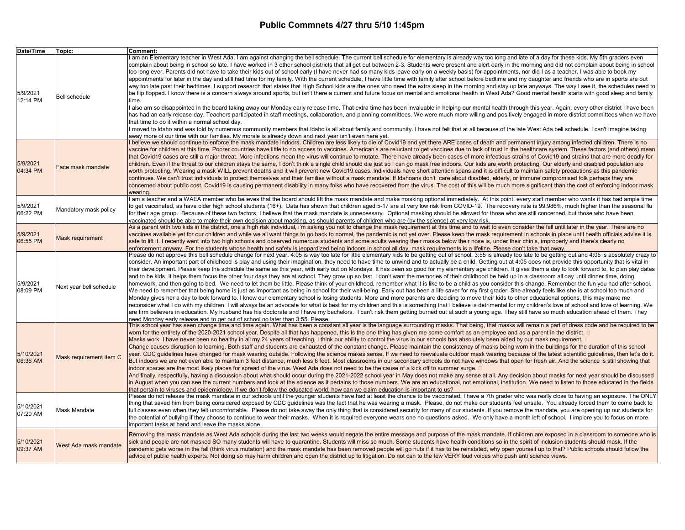| Date/Time             | Topic:                  | <b>Comment:</b>                                                                                                                                                                                                                                                                                                                                                                                                                                                                                                                                                                                                                                                                                                                                                                                                                                                                                                                                                                                                                                                                                                                                                                                                                                                                                                                                                                                                                                                                                                                                                                                                                                                                                                                                                                                                                                                                                                                                                                                                                                                                                         |
|-----------------------|-------------------------|---------------------------------------------------------------------------------------------------------------------------------------------------------------------------------------------------------------------------------------------------------------------------------------------------------------------------------------------------------------------------------------------------------------------------------------------------------------------------------------------------------------------------------------------------------------------------------------------------------------------------------------------------------------------------------------------------------------------------------------------------------------------------------------------------------------------------------------------------------------------------------------------------------------------------------------------------------------------------------------------------------------------------------------------------------------------------------------------------------------------------------------------------------------------------------------------------------------------------------------------------------------------------------------------------------------------------------------------------------------------------------------------------------------------------------------------------------------------------------------------------------------------------------------------------------------------------------------------------------------------------------------------------------------------------------------------------------------------------------------------------------------------------------------------------------------------------------------------------------------------------------------------------------------------------------------------------------------------------------------------------------------------------------------------------------------------------------------------------------|
| 5/9/2021<br>12:14 PM  | <b>Bell schedule</b>    | I am an Elementary teacher in West Ada. I am against changing the bell schedule. The current bell schedule for elementary is already way too long and late of a day for these kids. My 5th graders even<br>complain about being in school so late. I have worked in 3 other school districts that all get out between 2-3. Students were present and alert early in the morning and did not complain about being in school<br>too long ever. Parents did not have to take their kids out of school early (I have never had so many kids leave early on a weekly basis) for appointments, nor did I as a teacher. I was able to book my<br>appointments for later in the day and still had time for my family. With the current schedule, I have little time with family after school before bedtime and my daughter and friends who are in sports are out<br>way too late past their bedtimes. I support research that states that High School kids are the ones who need the extra sleep in the morning and stay up late anyways. The way I see it, the schedules need to<br>be flip flopped. I know there is a concern always around sports, but isn't there a current and future focus on mental and emotional health in West Ada? Good mental health starts with good sleep and family<br>time.<br>I also am so disappointed in the board taking away our Monday early release time. That extra time has been invaluable in helping our mental health through this year. Again, every other district I have been<br>has had an early release day. Teachers participated in staff meetings, collaboration, and planning committees. We were much more willing and positively engaged in more district committees when we have<br>that time to do it within a normal school day.<br>I moved to Idaho and was told by numerous community members that Idaho is all about family and community. I have not felt that at all because of the late West Ada bell schedule. I can't imagine taking<br>away more of our time with our families. My morale is already down and next year isn't even here yet. |
| 5/9/2021<br>04:34 PM  | Face mask mandate       | I believe we should continue to enforce the mask mandate indoors. Children are less likely to die of Covid19 and yet there ARE cases of death and permanent injury among infected children. There is no<br>vaccine for children at this time. Poorer countries have little to no access to vaccines. American's are reluctant to get vaccines due to lack of trust in the healthcare system. These factors (and others) mean<br>that Covid19 cases are still a major threat. More infections mean the virus will continue to mutate. There have already been cases of more infectious strains of Covid19 and strains that are more deadly for<br>children. Even if the threat to our children stays the same, I don't think a single child should die just so I can go mask free indoors. Our kids are worth protecting. Our elderly and disabled population are<br>worth protecting. Wearing a mask WILL prevent deaths and it will prevent new Covid19 cases. Individuals have short attention spans and it is difficult to maintain safety precautions as this pandemic<br>continues. We can't trust individuals to protect themselves and their families without a mask mandate. If Idahoans don't care about disabled, elderly, or immune compromised folk perhaps they are<br>concerned about public cost. Covid19 is causing permanent disability in many folks who have recovered from the virus. The cost of this will be much more significant than the cost of enforcing indoor mask<br>wearing.                                                                                                                                                                                                                                                                                                                                                                                                                                                                                                                                                                                             |
| 5/9/2021<br>06:22 PM  | Mandatory mask policy   | I am a teacher and a WAEA member who believes that the board should lift the mask mandate and make masking optional immediately. At this point, every staff member who wants it has had ample time<br>to get vaccinated, as have older high school students (16+). Data has shown that children aged 5-17 are at very low risk from COVID-19. The recovery rate is 99.986%, much higher than the seasonal flu<br>for their age group. Because of these two factors, I believe that the mask mandate is unnecessary. Optional masking should be allowed for those who are still concerned, but those who have been<br>vaccinated should be able to make their own decision about masking, as should parents of children who are (by the science) at very low risk.                                                                                                                                                                                                                                                                                                                                                                                                                                                                                                                                                                                                                                                                                                                                                                                                                                                                                                                                                                                                                                                                                                                                                                                                                                                                                                                                       |
| 5/9/2021<br>06:55 PM  | Mask requirement        | As a parent with two kids in the district, one a high risk individual, i'm asking you not to change the mask requirement at this time and to wait to even consider the fall until later in the year. There are no<br>vaccines available yet for our children and while we all want things to go back to normal, the pandemic is not yet over. Please keep the mask requirement in schools in place until health officials advise it is<br>safe to lift it. I recently went into two high schools and observed numerous students and some adults wearing their masks below their nose is, under their chin's, improperly and there's clearly no<br>enforcement anyway. For the students whose health and safety is ieopardized being indoors in school all day, mask requirements is a lifeline. Please don't take that away,                                                                                                                                                                                                                                                                                                                                                                                                                                                                                                                                                                                                                                                                                                                                                                                                                                                                                                                                                                                                                                                                                                                                                                                                                                                                            |
| 5/9/2021<br>08:09 PM  | Next year bell schedule | Please do not approve this bell schedule change for next year. 4:05 is way too late for little elementary kids to be getting out of school. 3:55 is already too late to be getting out and 4:05 is absolutely crazy to<br>consider. An important part of childhood is play and using their imagination, they need to have time to unwind and to actually be a child. Getting out at 4:05 does not provide this opportunity that is vital in<br>their development. Please keep the schedule the same as this year, with early out on Mondays. It has been so good for my elementary age children. It gives them a day to look forward to, to plan play dates<br>and to be kids. It helps them focus the other four days they are at school. They grow up so fast. I don't want the memories of their childhood be held up in a classroom all day until dinner time, doing<br>homework, and then going to bed. We need to let them be little. Please think of your childhood, remember what it is like to be a child as you consider this change. Remember the fun you had after school.<br>We need to remember that being home is just as important as being in school for their well-being. Early out has been a life saver for my first grader. She already feels like she is at school too much and<br>Monday gives her a day to look forward to. I know our elementary school is losing students. More and more parents are deciding to move their kids to other educational options, this may make me<br>reconsider what I do with my children. I will always be an advocate for what is best for my children and this is something that I believe is detrimental for my children's love of school and love of learning. We<br>are firm believers in education. My husband has his doctorate and I have my bachelors. I can't risk them getting burned out at such a young age. They still have so much education ahead of them. They<br>need Monday early release and to get out of school no later than 3:55. Please.                                                                             |
| 5/10/2021<br>06:36 AM | Mask requirement item C | This school year has seen change time and time again. What has been a constant all year is the language surrounding masks. That being, that masks will remain a part of dress code and be required to be<br>worn for the entirety of the 2020-2021 school year. Despite all that has happened, this is the one thing has given me some comfort as an employee and as a parent in the district. □<br>Masks work. I have never been so healthy in all my 24 years of teaching. I think our ability to control the virus in our schools has absolutely been aided by our mask requirement. □<br>Change causes disruption to learning. Both staff and students are exhausted of the constant change. Please maintain the consistency of masks being worn in the buildings for the duration of this school<br>year. CDC guidelines have changed for mask wearing outside. Following the science makes sense. If we need to reevaluate outdoor mask wearing because of the latest scientific guidelines, then let's do it.<br>But indoors we are not even able to maintain 3 feet distance, much less 6 feet. Most classrooms in our secondary schools do not have windows that open for fresh air. And the science is still showing that<br>indoor spaces are the most likely places for spread of the virus. West Ada does not need to be the cause of a kick off to summer surge. □<br>And finally, respectfully, having a discussion about what should occur during the 2021-2022 school year in May does not make any sense at all. Any decision about masks for next year should be discussed<br>in August when you can see the current numbers and look at the science as it pertains to those numbers. We are an educational, not emotional, institution. We need to listen to those educated in the fields<br>that pertain to viruses and epidemiology. If we don't follow the educated world, how can we claim education is important to us?                                                                                                                                                        |
| 5/10/2021<br>07:20 AM | Mask Mandate            | Please do not release the mask mandate in our schools until the younger students have had at least the chance to be vaccinated. I have a 7th grader who was really close to having an exposure. The ONLY<br>thing that saved him from being considered exposed by CDC guidelines was the fact that he was wearing a mask. Please, do not make our students feel unsafe. You already forced them to come back to<br>full classes even when they felt uncomfortable. Please do not take away the only thing that is considered security for many of our students. If you remove the mandate, you are opening up our students for<br>the potential of bullying if they choose to continue to wear their masks. When it is required everyone wears one no questions asked. We only have a month left of school. I implore you to focus on more<br>important tasks at hand and leave the masks alone.                                                                                                                                                                                                                                                                                                                                                                                                                                                                                                                                                                                                                                                                                                                                                                                                                                                                                                                                                                                                                                                                                                                                                                                                        |
| 5/10/2021<br>09:37 AM | West Ada mask mandate   | Removing the mask mandate as West Ada schools during the last two weeks would negate the entire message and purpose of the mask mandate. If children are exposed in a classroom to someone who is<br>sick and people are not masked SO many students will have to quarantine. Students will miss so much. Some students have health conditions so in the spirit of inclusion students should mask. If the<br>pandemic gets worse in the fall (think virus mutation) and the mask mandate has been removed people will go nuts if it has to be reinstated, why open yourself up to that? Public schools should follow the<br>advice of public health experts. Not doing so may harm children and open the district up to litigation. Do not can to the few VERY loud voices who push anti science views.                                                                                                                                                                                                                                                                                                                                                                                                                                                                                                                                                                                                                                                                                                                                                                                                                                                                                                                                                                                                                                                                                                                                                                                                                                                                                                 |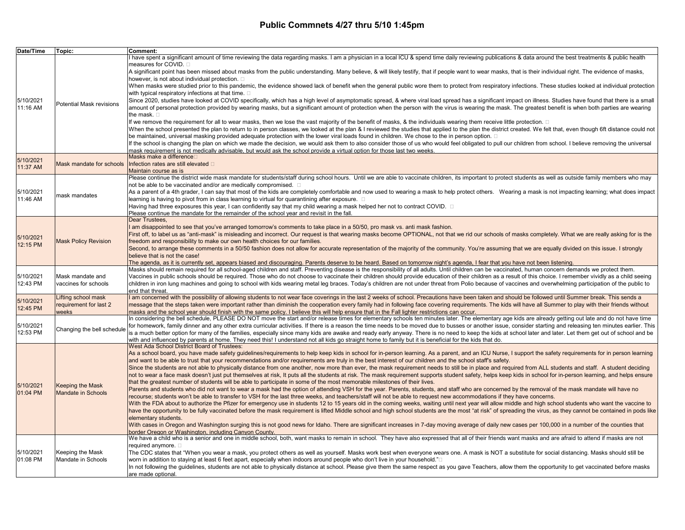| Date/Time             | Topic:                          | Comment:                                                                                                                                                                                                                                                                                                                                                                              |
|-----------------------|---------------------------------|---------------------------------------------------------------------------------------------------------------------------------------------------------------------------------------------------------------------------------------------------------------------------------------------------------------------------------------------------------------------------------------|
|                       |                                 | I have spent a significant amount of time reviewing the data regarding masks. I am a physician in a local ICU & spend time daily reviewing publications & data around the best treatments & public health                                                                                                                                                                             |
|                       |                                 | measures for COVID. □                                                                                                                                                                                                                                                                                                                                                                 |
|                       |                                 | A significant point has been missed about masks from the public understanding. Many believe, & will likely testify, that if people want to wear masks, that is their individual right. The evidence of masks,<br>however, is not about individual protection. $\square$                                                                                                               |
|                       |                                 | When masks were studied prior to this pandemic, the evidence showed lack of benefit when the general public wore them to protect from respiratory infections. These studies looked at individual protection                                                                                                                                                                           |
|                       |                                 | with typical respiratory infections at that time. $\square$                                                                                                                                                                                                                                                                                                                           |
| 5/10/2021             |                                 | Since 2020, studies have looked at COVID specifically, which has a high level of asymptomatic spread, & where viral load spread has a significant impact on illness. Studies have found that there is a small                                                                                                                                                                         |
| 11:16 AM              | <b>Potential Mask revisions</b> | amount of personal protection provided by wearing masks, but a significant amount of protection when the person with the virus is wearing the mask. The greatest benefit is when both parties are wearing                                                                                                                                                                             |
|                       |                                 | the mask. $\square$                                                                                                                                                                                                                                                                                                                                                                   |
|                       |                                 | If we remove the requirement for all to wear masks, then we lose the vast majority of the benefit of masks, & the individuals wearing them receive little protection. □                                                                                                                                                                                                               |
|                       |                                 | When the school presented the plan to return to in person classes, we looked at the plan & I reviewed the studies that applied to the plan the district created. We felt that, even though 6ft distance could not<br>be maintained, universal masking provided adequate protection with the lower viral loads found in children. We chose to the in person option. □                  |
|                       |                                 | If the school is changing the plan on which we made the decision, we would ask them to also consider those of us who would feel obligated to pull our children from school. I believe removing the universal                                                                                                                                                                          |
|                       |                                 | mask requirement is not medically advisable, but would ask the school provide a virtual option for those last two weeks.                                                                                                                                                                                                                                                              |
| 5/10/2021             |                                 | Masks make a difference⊡                                                                                                                                                                                                                                                                                                                                                              |
| 11:37 AM              | Mask mandate for schools        | Infection rates are still elevated $\square$                                                                                                                                                                                                                                                                                                                                          |
|                       |                                 | Maintain course as is<br>Please continue the district wide mask mandate for students/staff during school hours. Until we are able to vaccinate children, its important to protect students as well as outside family members who may                                                                                                                                                  |
|                       |                                 | not be able to be vaccinated and/or are medically compromised. $\square$                                                                                                                                                                                                                                                                                                              |
| 5/10/2021             |                                 | As a parent of a 4th grader, I can say that most of the kids are completely comfortable and now used to wearing a mask to help protect others. Wearing a mask is not impacting learning; what does impact                                                                                                                                                                             |
| 11:46 AM              | mask mandates                   | learning is having to pivot from in class learning to virtual for quarantining after exposure. $\Box$                                                                                                                                                                                                                                                                                 |
|                       |                                 | Having had three exposures this year, I can confidently say that my child wearing a mask helped her not to contract COVID.                                                                                                                                                                                                                                                            |
|                       |                                 | Please continue the mandate for the remainder of the school year and revisit in the fall.<br>Dear Trustees,                                                                                                                                                                                                                                                                           |
|                       |                                 | I am disappointed to see that you've arranged tomorrow's comments to take place in a 50/50, pro mask vs. anti mask fashion.                                                                                                                                                                                                                                                           |
|                       |                                 | First off, to label us as "anti-mask" is misleading and incorrect. Our request is that wearing masks become OPTIONAL, not that we rid our schools of masks completely. What we are really asking for is the                                                                                                                                                                           |
| 5/10/2021<br>12:15 PM | <b>Mask Policy Revision</b>     | freedom and responsibility to make our own health choices for our families.                                                                                                                                                                                                                                                                                                           |
|                       |                                 | Second, to arrange these comments in a 50/50 fashion does not allow for accurate representation of the majority of the community. You're assuming that we are equally divided on this issue. I strongly                                                                                                                                                                               |
|                       |                                 | believe that is not the case!                                                                                                                                                                                                                                                                                                                                                         |
|                       |                                 | The agenda, as it is currently set, appears biased and discouraging. Parents deserve to be heard. Based on tomorrow night's agenda, I fear that you have not been listening.<br>Masks should remain required for all school-aged children and staff. Preventing disease is the responsibility of all adults. Until children can be vaccinated, human concern demands we protect them. |
| 5/10/2021             | Mask mandate and                | Vaccines in public schools should be required. Those who do not choose to vaccinate their children should provide education of their children as a result of this choice. I remember vividly as a child seeing                                                                                                                                                                        |
| 12:43 PM              | vaccines for schools            | children in iron lung machines and going to school with kids wearing metal leg braces. Today's children are not under threat from Polio because of vaccines and overwhelming participation of the public to                                                                                                                                                                           |
|                       |                                 | end that threat.                                                                                                                                                                                                                                                                                                                                                                      |
| 5/10/2021             | Lifting school mask             | am concerned with the possibility of allowing students to not wear face coverings in the last 2 weeks of school. Precautions have been taken and should be followed until Summer break. This sends a                                                                                                                                                                                  |
| 12:45 PM              | requirement for last 2<br>weeks | message that the steps taken were important rather than diminish the cooperation every family had in following face covering requirements. The kids will have all Summer to play with their friends without<br>masks and the school year should finish with the same policy. I believe this will help ensure that in the Fall lighter restrictions can occur.                         |
|                       |                                 | In considering the bell schedule, PLEASE DO NOT move the start and/or release times for elementary schools ten minutes later. The elementary age kids are already getting out late and do not have time                                                                                                                                                                               |
| 5/10/2021             | Changing the bell schedule      | for homework, family dinner and any other extra curricular activities. If there is a reason the time needs to be moved due to busses or another issue, consider starting and releasing ten minutes earlier. This                                                                                                                                                                      |
| 12:53 PM              |                                 | is a much better option for many of the families, especially since many kids are awake and ready early anyway. There is no need to keep the kids at school later and later. Let them get out of school and be                                                                                                                                                                         |
|                       |                                 | with and influenced by parents at home. They need this! I understand not all kids go straight home to family but it is beneficial for the kids that do.<br>West Ada School District Board of Trustees:                                                                                                                                                                                |
|                       |                                 | As a school board, you have made safety quidelines/requirements to help keep kids in school for in-person learning. As a parent, and an ICU Nurse, I support the safety requirements for in person learning                                                                                                                                                                           |
|                       |                                 | and want to be able to trust that your recommendations and/or requirements are truly in the best interest of our children and the school staff's safety.                                                                                                                                                                                                                              |
|                       |                                 | Since the students are not able to physically distance from one another, now more than ever, the mask requirement needs to still be in place and required from ALL students and staff. A student deciding                                                                                                                                                                             |
|                       |                                 | not to wear a face mask doesn't just put themselves at risk, It puts all the students at risk. The mask requirement supports student safety, helps keep kids in school for in-person learning, and helps ensure                                                                                                                                                                       |
| 5/10/2021             | <b>Keeping the Mask</b>         | that the greatest number of students will be able to participate in some of the most memorable milestones of their lives.                                                                                                                                                                                                                                                             |
| 01:04 PM              | <b>Mandate in Schools</b>       | Parents and students who did not want to wear a mask had the option of attending VSH for the year. Parents, students, and staff who are concerned by the removal of the mask mandate will have no<br>recourse; students won't be able to transfer to VSH for the last three weeks, and teachers/staff will not be able to request new accommodations if they have concerns.           |
|                       |                                 | With the FDA about to authorize the Pfizer for emergency use in students 12 to 15 years old in the coming weeks, waiting until next year will allow middle and high school students who want the vaccine to                                                                                                                                                                           |
|                       |                                 | have the opportunity to be fully vaccinated before the mask requirement is lifted Middle school and high school students are the most "at risk" of spreading the virus, as they cannot be contained in pods like                                                                                                                                                                      |
|                       |                                 | elementary students.                                                                                                                                                                                                                                                                                                                                                                  |
|                       |                                 | With cases in Oregon and Washington surging this is not good news for Idaho. There are significant increases in 7-day moving average of daily new cases per 100,000 in a number of the counties that                                                                                                                                                                                  |
|                       |                                 | border Oregon or Washington, including Canyon County.<br>We have a child who is a senior and one in middle school, both, want masks to remain in school. They have also expressed that all of their friends want masks and are afraid to attend if masks are not                                                                                                                      |
|                       |                                 | required anymore. □                                                                                                                                                                                                                                                                                                                                                                   |
| 5/10/2021             | Keeping the Mask                | The CDC states that "When you wear a mask, you protect others as well as yourself. Masks work best when everyone wears one. A mask is NOT a substitute for social distancing. Masks should still be                                                                                                                                                                                   |
| 01:08 PM              | Mandate in Schools              | worn in addition to staying at least 6 feet apart, especially when indoors around people who don't live in your household."□                                                                                                                                                                                                                                                          |
|                       |                                 | In not following the guidelines, students are not able to physically distance at school. Please give them the same respect as you gave Teachers, allow them the opportunity to get vaccinated before masks                                                                                                                                                                            |
|                       |                                 | are made optional.                                                                                                                                                                                                                                                                                                                                                                    |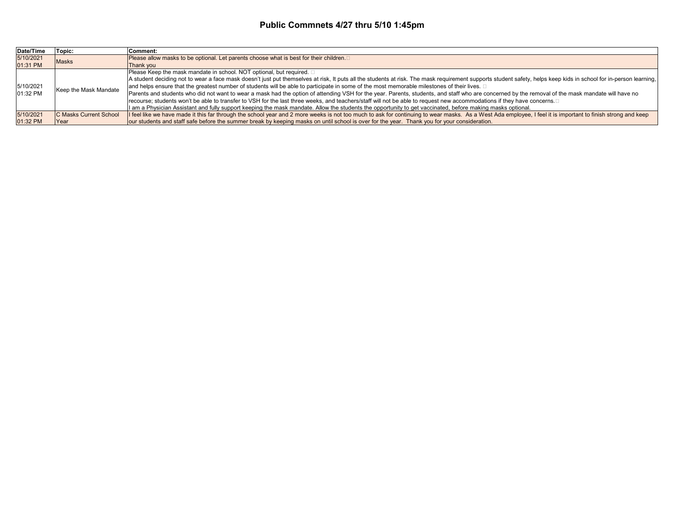| Date/Time             | Topic:                        | Comment:                                                                                                                                                                                                          |
|-----------------------|-------------------------------|-------------------------------------------------------------------------------------------------------------------------------------------------------------------------------------------------------------------|
| 5/10/2021             | <b>Masks</b>                  | Please allow masks to be optional. Let parents choose what is best for their children.□                                                                                                                           |
| 01:31 PM              |                               | <b>Thank vou</b>                                                                                                                                                                                                  |
| 5/10/2021<br>01:32 PM | Keep the Mask Mandate         | Please Keep the mask mandate in school. NOT optional, but required. $\square$                                                                                                                                     |
|                       |                               | A student deciding not to wear a face mask doesn't just put themselves at risk, It puts all the students at risk. The mask requirement supports student safety, helps keep kids in school for in-person learning, |
|                       |                               | and helps ensure that the greatest number of students will be able to participate in some of the most memorable milestones of their lives. □                                                                      |
|                       |                               | Parents and students who did not want to wear a mask had the option of attending VSH for the year. Parents, students, and staff who are concerned by the removal of the mask mandate will have no                 |
|                       |                               | recourse; students won't be able to transfer to VSH for the last three weeks, and teachers/staff will not be able to request new accommodations if they have concerns.□                                           |
|                       |                               | I am a Physician Assistant and fully support keeping the mask mandate. Allow the students the opportunity to get vaccinated, before making masks optional.                                                        |
| 5/10/2021             | <b>C Masks Current School</b> | If feel like we have made it this far through the school year and 2 more weeks is not too much to ask for continuing to wear masks. As a West Ada employee, I feel it is important to finish strong and keep      |
| 01:32 PM              | <b>Year</b>                   | our students and staff safe before the summer break by keeping masks on until school is over for the year. Thank you for your consideration.                                                                      |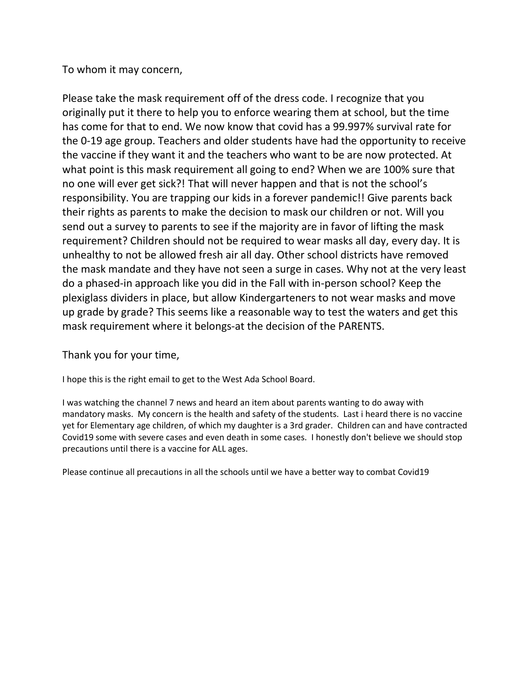# To whom it may concern,

Please take the mask requirement off of the dress code. I recognize that you originally put it there to help you to enforce wearing them at school, but the time has come for that to end. We now know that covid has a 99.997% survival rate for the 0-19 age group. Teachers and older students have had the opportunity to receive the vaccine if they want it and the teachers who want to be are now protected. At what point is this mask requirement all going to end? When we are 100% sure that no one will ever get sick?! That will never happen and that is not the school's responsibility. You are trapping our kids in a forever pandemic!! Give parents back their rights as parents to make the decision to mask our children or not. Will you send out a survey to parents to see if the majority are in favor of lifting the mask requirement? Children should not be required to wear masks all day, every day. It is unhealthy to not be allowed fresh air all day. Other school districts have removed the mask mandate and they have not seen a surge in cases. Why not at the very least do a phased-in approach like you did in the Fall with in-person school? Keep the plexiglass dividers in place, but allow Kindergarteners to not wear masks and move up grade by grade? This seems like a reasonable way to test the waters and get this mask requirement where it belongs-at the decision of the PARENTS.

# Thank you for your time,

I hope this is the right email to get to the West Ada School Board.

I was watching the channel 7 news and heard an item about parents wanting to do away with mandatory masks. My concern is the health and safety of the students. Last i heard there is no vaccine yet for Elementary age children, of which my daughter is a 3rd grader. Children can and have contracted Covid19 some with severe cases and even death in some cases. I honestly don't believe we should stop precautions until there is a vaccine for ALL ages.

Please continue all precautions in all the schools until we have a better way to combat Covid19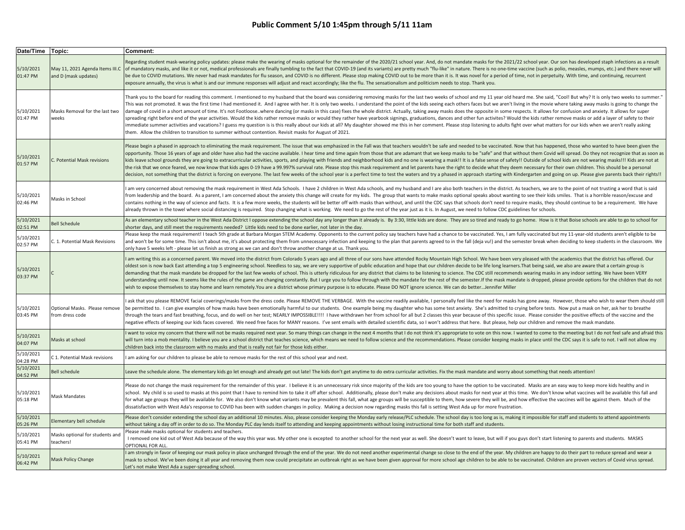| Date/Time   Topic:    |                                                         | Comment:                                                                                                                                                                                                                                                                                                                                                                                                                                                                                                                                                                                                                                                                                                                                                                                                                                                                                                                                                                                                                                                                                                                                                                                                                                                                         |
|-----------------------|---------------------------------------------------------|----------------------------------------------------------------------------------------------------------------------------------------------------------------------------------------------------------------------------------------------------------------------------------------------------------------------------------------------------------------------------------------------------------------------------------------------------------------------------------------------------------------------------------------------------------------------------------------------------------------------------------------------------------------------------------------------------------------------------------------------------------------------------------------------------------------------------------------------------------------------------------------------------------------------------------------------------------------------------------------------------------------------------------------------------------------------------------------------------------------------------------------------------------------------------------------------------------------------------------------------------------------------------------|
| 5/10/2021<br>01:47 PM | May 11, 2021 Agenda Items III.C<br>and D (mask updates) | Regarding student mask-wearing policy updates: please make the wearing of masks optional for the remainder of the 2020/21 school year. And, do not mandate masks for the 2021/22 school year. Our son has developed staph infe<br>of mandatory masks, and like it or not, medical professionals are finally tumbling to the fact that COVID-19 (and its variants) are pretty much "flu-like" in nature. There is no one-time vaccine (such as polio, measles, mu<br>be due to COVID mutations. We never had mask mandates for flu season, and COVID is no different. Please stop making COVID out to be more than it is. It was novel for a period of time, not in perpetuity. With time, and cont<br>exposure annually, the virus is what is and our immune responses will adjust and react accordingly; like the flu. The sensationalism and politicism needs to stop. Thank you.                                                                                                                                                                                                                                                                                                                                                                                              |
| 5/10/2021<br>01:47 PM | Masks Removal for the last two<br>weeks                 | Thank you to the board for reading this comment. I mentioned to my husband that the board was considering removing masks for the last two weeks of school and my 11 year old heard me. She said, "Coo!! But why? It is only tw<br>This was not promoted. It was the first time I had mentioned it. And I agree with her. It is only two weeks. I understand the point of the kids seeing each others faces but we aren't living in the movie where taking away m<br>damage of covid in a short amount of time. It's not Footloose. where dancing (or masks in this case) fixes the whole district. Actually, taking away masks does the opposite in some respects. It allows for confusion and anx<br>spreading right before end of the year activities. Would the kids rather remove masks or would they rather have yearbook signings, graduations, dances and other fun activites? Would the kids rather remove masks or add a la<br>immediate summer activities and vacations? I guess my question is is this really about our kids at all? My daughter showed me this in her comment. Please stop listening to adults fight over what matters for our kids when w<br>them. Allow the children to transition to summer without contention. Revisit masks for August of 2021. |
| 5/10/2021<br>01:57 PM | . Potential Mask revisions                              | Please begin a phased in approach to eliminating the mask requirement. The issue that was emphasized in the Fall was that teachers wouldn't be safe and needed to be vaccinated. Now that has happened, those who wanted to ha<br>opportunity. Those 16 years of age and older have also had the vaccine available. I hear time and time again from those that are adamant that we keep masks to be "safe" and that without them Covid will spread. Do they not<br>kids leave school grounds they are going to extracurricular activities, sports, and playing with friends and neighborhood kids and no one is wearing a mask!! It is a false sense of safety!! Outside of school kids are not w<br>the risk that we once feared, we now know that kids ages 0-19 have a 99.997% survival rate. Please stop this mask requirement and let parents have the right to decide what they deem necessary for their own children. This s<br>decision, not something that the district is forcing on everyone. The last few weeks of the school year is a perfect time to test the waters and try a phased in approach starting with Kindergarten and going on up. Please g                                                                                                            |
| 5/10/2021<br>02:46 PM | Masks in School                                         | am very concerned about removing the mask requirement in West Ada Schools. I have 2 children in West Ada schools, and my husband and I are also both teachers in the district. As teachers, we are to the point of not trustin<br>from leadership and the board. As a parent, I am concerned about the anxiety this change will create for my kids. The group that wants to make masks optional speaks about wanting to see their kids smiles. That is a horribl<br>contains nothing in the way of science and facts. It is a few more weeks, the students will be better off with masks than without, and until the CDC says that schools don't need to require masks, they should continue to be<br>already thrown in the towel where social distancing is required. Stop changing what is working. We need to go the rest of the year just as it is. In August, we need to follow CDC guidelines for schools.                                                                                                                                                                                                                                                                                                                                                                 |
| 5/10/2021<br>02:51 PM | <b>Bell Schedule</b>                                    | As an elementary school teacher in the West Ada District I oppose extending the school day any longer than it already is. By 3:30, little kids are done. They are so tired and ready to go home. How is it that Boise schools<br>shorter days, and still meet the requirements needed? Little kids need to be done earlier, not later in the day.                                                                                                                                                                                                                                                                                                                                                                                                                                                                                                                                                                                                                                                                                                                                                                                                                                                                                                                                |
| 5/10/2021<br>02:57 PM | C. 1. Potential Mask Revisions                          | Please keep the mask requirement! I teach 5th grade at Barbara Morgan STEM Academy. Opponents to the current policy say teachers have had a chance to be vaccinated. Yes, I am fully vaccinated but my 11-year-old students ar<br>and won't be for some time. This isn't about me, it's about protecting them from unnecessary infection and keeping to the plan that parents agreed to in the fall (deja vu!) and the semester break when deciding to keep stud<br>only have 5 weeks left - please let us finish as strong as we can and don't throw another change at us. Thank you.                                                                                                                                                                                                                                                                                                                                                                                                                                                                                                                                                                                                                                                                                           |
| 5/10/2021<br>03:37 PM |                                                         | am writing this as a concerned parent. We moved into the district from Colorado 5 years ago and all three of our sons have attended Rocky Mountain High School. We have been very pleased with the academics that the district<br>oldest son is now back East attending a top 5 engineering school. Needless to say, we are very supportive of public education and hope that our children decide to be life long learners. That being said, we also are aware t<br>demanding that the mask mandate be dropped for the last few weeks of school. This is utterly ridiculous for any district that claims to be listening to science. The CDC still recommends wearing masks in any indoor setting.<br>understanding until now. It seems like the rules of the game are changing constantly. But I urge you to follow through with the mandate for the rest of the semester. If the mask mandate is dropped, please provide options f<br>wish to expose themselves to stay home and learn remotely.You are a district whose primary purpose is to educate. Please DO NOT ignore science. We can do betterJennifer Miller                                                                                                                                                          |
| 5/10/2021<br>03:45 PM | Optional Masks. Please remove<br>from dress code        | ask that you please REMOVE facial coverings/masks from the dress code. Please REMOVE THE VERBAGE. With the vaccine readily available, I personally feel like the need for masks has gone away. However, those who wish to wear<br>be permitted to. I can give examples of how masks have been emotionally harmful to our students. One example being my daughter who has some test anxiety. She's admitted to crying before tests. Now put a mask on her, ask he<br>through the tears and fast breathing, focus, and do well on her test; NEARLY IMPOSSIBLE!!!! I have withdrawn her from school for all but 2 classes this year because of this specific issue. Please consider the positive effe<br>legative effects of keeping our kids faces covered. We need free faces for MANY reasons. I've sent emails with detailed scientific data, so I won't address that here. But please, help our children and remove the mask manda                                                                                                                                                                                                                                                                                                                                             |
| 5/10/2021<br>04:07 PM | Masks at school                                         | want to voice my concern that there will not be masks required next year. So many things can change in the next 4 months that I do not think it's appropriate to vote on this now. I wanted to come to the meeting but I do no<br>will turn into a mob mentality. I believe you are a school district that teaches science, which means we need to follow science and the recommendations. Please consider keeping masks in place until the CDC says it is safe<br>hildren back into the classroom with no masks and that is really not fair for those kids either.                                                                                                                                                                                                                                                                                                                                                                                                                                                                                                                                                                                                                                                                                                              |
| 5/10/2021<br>04:28 PM | C 1. Potential Mask revisions                           | I am asking for our children to please be able to remove masks for the rest of this school year and next.                                                                                                                                                                                                                                                                                                                                                                                                                                                                                                                                                                                                                                                                                                                                                                                                                                                                                                                                                                                                                                                                                                                                                                        |
| 5/10/2021<br>04:52 PM | <b>Bell schedule</b>                                    | Leave the schedule alone. The elementary kids go let enough and already get out late! The kids don't get anytime to do extra curricular activities. Fix the mask mandate and worry about something that needs attention!                                                                                                                                                                                                                                                                                                                                                                                                                                                                                                                                                                                                                                                                                                                                                                                                                                                                                                                                                                                                                                                         |
| 5/10/2021<br>05:18 PM | Mask Mandates                                           | Please do not change the mask requirement for the remainder of this year. I believe it is an unnecessary risk since majority of the kids are too young to have the option to be vaccinated. Masks are an easy way to keep more<br>school. My child is so used to masks at this point that I have to remind him to take it off after school. Additionally, please don't make any decisions about masks for next year at this time. We don't know what vaccines wi<br>for what age groups they will be available for. We also don't know what variants may be prevalent this fall, what age groups will be susceptible to them, how severe they will be, and how effective the vaccines will be agai<br>dissatisfaction with West Ada's response to COVID has been with sudden changes in policy. Making a decision now regarding masks this fall is setting West Ada up for more frustration.                                                                                                                                                                                                                                                                                                                                                                                     |
| 5/10/2021<br>05:26 PM | Elementary bell schedule                                | Please don't consider extending the school day an additional 10 minutes. Also, please consider keeping the Monday early release/PLC schedule. The school day is too long as is, making it impossible for staff and students to<br>without taking a day off in order to do so. The Monday PLC day lends itself to attending and keeping appointments without losing instructional time for both staff and students.                                                                                                                                                                                                                                                                                                                                                                                                                                                                                                                                                                                                                                                                                                                                                                                                                                                               |
| 5/10/2021<br>05:41 PM | Masks optional for students and<br>teachers!            | Please make masks optional for students and teachers.<br>I removed one kid out of West Ada because of the way this year was. My other one is excepted to another school for the next year as well. She doesn't want to leave, but will if you guys don't start listening to parents and<br><b>DPTIONAL FOR ALL.</b>                                                                                                                                                                                                                                                                                                                                                                                                                                                                                                                                                                                                                                                                                                                                                                                                                                                                                                                                                              |
| 5/10/2021<br>06:42 PM | Mask Policy Change                                      | am strongly in favor of keeping our mask policy in place unchanged through the end of the year. We do not need another experimental change so close to the end of the year. My children are happy to do their part to reduce s<br>mask to school. We've been doing it all year and removing them now could precipitate an outbreak right as we have been given approval for more school age children to be able to be vaccinated. Children are proven vectors of<br>Let's not make West Ada a super-spreading school.                                                                                                                                                                                                                                                                                                                                                                                                                                                                                                                                                                                                                                                                                                                                                            |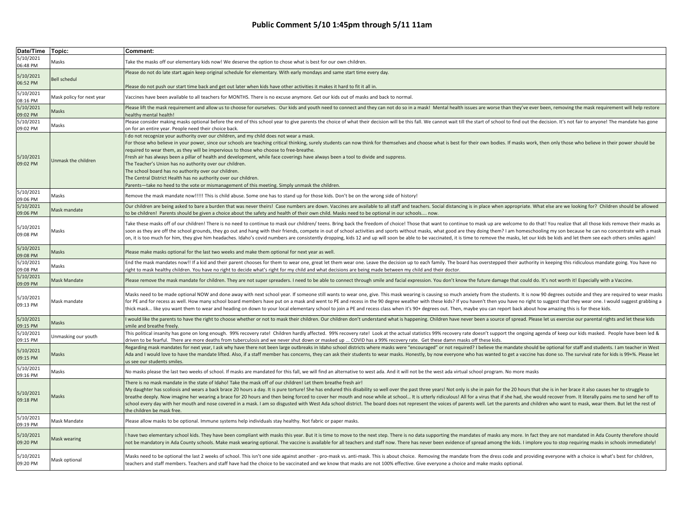| Date/Time Topic:      |                           | Comment:                                                                                                                                                                                                                                                                                                                                                                                                                                                                                                                                                                                                                                                                                                                                                                                                                                          |
|-----------------------|---------------------------|---------------------------------------------------------------------------------------------------------------------------------------------------------------------------------------------------------------------------------------------------------------------------------------------------------------------------------------------------------------------------------------------------------------------------------------------------------------------------------------------------------------------------------------------------------------------------------------------------------------------------------------------------------------------------------------------------------------------------------------------------------------------------------------------------------------------------------------------------|
| 5/10/2021<br>06:48 PM | Masks                     | Take the masks off our elementary kids now! We deserve the option to chose what is best for our own children.                                                                                                                                                                                                                                                                                                                                                                                                                                                                                                                                                                                                                                                                                                                                     |
| 5/10/2021<br>06:52 PM | <b>Bell schedul</b>       | Please do not do late start again keep original schedule for elementary. With early mondays and same start time every day.                                                                                                                                                                                                                                                                                                                                                                                                                                                                                                                                                                                                                                                                                                                        |
|                       |                           | Please do not push our start time back and get out later when kids have other activities it makes it hard to fit it all in.                                                                                                                                                                                                                                                                                                                                                                                                                                                                                                                                                                                                                                                                                                                       |
| 5/10/2021<br>08:16 PM | Mask policy for next year | Vaccines have been available to all teachers for MONTHS. There is no excuse anymore. Get our kids out of masks and back to normal.                                                                                                                                                                                                                                                                                                                                                                                                                                                                                                                                                                                                                                                                                                                |
| 5/10/2021<br>09:02 PM | Masks                     | Please lift the mask requirement and allow us to choose for ourselves. Our kids and youth need to connect and they can not do so in a mask! Mental health issues are worse than they've ever been, removing the mask requireme<br>healthy mental health!                                                                                                                                                                                                                                                                                                                                                                                                                                                                                                                                                                                          |
| 5/10/2021<br>09:02 PM | Masks                     | Please consider making masks optional before the end of this school year to give parents the choice of what their decision will be this fall. We cannot wait till the start of school to find out the decision. It's not fair<br>on for an entire year. People need their choice back.                                                                                                                                                                                                                                                                                                                                                                                                                                                                                                                                                            |
| 5/10/2021<br>09:02 PM | Unmask the children       | I do not recognize your authority over our children, and my child does not wear a mask.<br>For those who believe in your power, since our schools are teaching critical thinking, surely students can now think for themselves and choose what is best for their own bodies. If masks work, then only those who believe i<br>required to wear them, as they will be impervious to those who choose to free-breathe.<br>Fresh air has always been a pillar of health and development, while face coverings have always been a tool to divide and suppress.<br>The Teacher's Union has no authority over our children.<br>The school board has no authority over our children.<br>The Central District Health has no authority over our children.<br>Parents-take no heed to the vote or mismanagement of this meeting. Simply unmask the children. |
| 5/10/2021<br>09:06 PM | Masks                     | Remove the mask mandate now!!!!! This is child abuse. Some one has to stand up for those kids. Don't be on the wrong side of history!                                                                                                                                                                                                                                                                                                                                                                                                                                                                                                                                                                                                                                                                                                             |
| 5/10/2021<br>09:06 PM | Mask mandate              | Our children are being asked to bare a burden that was never theirs! Case numbers are down. Vaccines are available to all staff and teachers. Social distancing is in place when appropriate. What else are we looking for? Ch<br>to be children! Parents should be given a choice about the safety and health of their own child. Masks need to be optional in our schools now.                                                                                                                                                                                                                                                                                                                                                                                                                                                                  |
| 5/10/2021<br>09:08 PM | Masks                     | Take these masks off of our children! There is no need to continue to mask our children/ teens. Bring back the freedom of choice! Those that want to continue to mask up are welcome to do that! You realize that all those ki<br>soon as they are off the school grounds, they go out and hang with their friends, compete in out of school activities and sports without masks, what good are they doing them? I am homeschooling my son because he can no con<br>on, it is too much for him, they give him headaches. Idaho's covid numbers are consistently dropping, kids 12 and up will soon be able to be vaccinated, it is time to remove the masks, let our kids be kids and let them see                                                                                                                                                |
| 5/10/2021<br>09:08 PM | Masks                     | Please make masks optional for the last two weeks and make them optional for next year as well.                                                                                                                                                                                                                                                                                                                                                                                                                                                                                                                                                                                                                                                                                                                                                   |
| 5/10/2021<br>09:08 PM | Masks                     | End the mask mandates now!! If a kid and their parent chooses for them to wear one, great let them wear one. Leave the decision up to each family. The board has overstepped their authority in keeping this ridiculous mandat<br>right to mask healthy children. You have no right to decide what's right for my child and what decisions are being made between my child and their doctor.                                                                                                                                                                                                                                                                                                                                                                                                                                                      |
| 5/10/2021<br>09:09 PM | Mask Mandate              | Please remove the mask mandate for children. They are not super spreaders. I need to be able to connect through smile and facial expression. You don't know the future damage that could do. It's not worth it! Especially wit                                                                                                                                                                                                                                                                                                                                                                                                                                                                                                                                                                                                                    |
| 5/10/2021<br>09:13 PM | Mask mandate              | Masks need to be made optional NOW and done away with next school year. If someone still wants to wear one, give. This mask wearing is causing so much anxiety from the students. It is now 90 degrees outside and they are re<br>for PE and for recess as well. How many school board members have put on a mask and went to PE and recess in the 90 degree weather with these kids? If you haven't then you have no right to suggest that they wear one. I wou<br>thick mask like you want them to wear and heading on down to your local elementary school to join a PE and recess class when it's 90+ degrees out. Then, maybe you can report back about how amazing this is for these kids                                                                                                                                                   |
| 5/10/2021<br>09:15 PM | Masks                     | would like the parents to have the right to choose whether or not to mask their children. Our children don't understand what is happening. Children have never been a source of spread. Please let us exercise our parental ri<br>smile and breathe freely.                                                                                                                                                                                                                                                                                                                                                                                                                                                                                                                                                                                       |
| 5/10/2021<br>09:15 PM | Unmasking our youth       | This political insanity has gone on long enough. 99% recovery rate! Children hardly affected. 99% recovery rate! Look at the actual statistics 99% recovery rate doesn't support the ongoing agenda of keep our kids masked. P<br>driven to be fearful. There are more deaths from tuberculosis and we never shut down or masked up  COVID has a 99% recovery rate. Get these damn masks off these kids.                                                                                                                                                                                                                                                                                                                                                                                                                                          |
| 5/10/2021<br>09:15 PM | Masks                     | Regarding mask mandates for next year, I ask why have there not been large outbreaks in Idaho school districts where masks were "encouraged" or not required? I believe the mandate should be optional for staff and students.<br>Ada and I would love to have the mandate lifted. Also, if a staff member has concerns, they can ask their students to wear masks. Honestly, by now everyone who has wanted to get a vaccine has done so. The survival rate for<br>us see our students smiles.                                                                                                                                                                                                                                                                                                                                                   |
| 5/10/2021<br>09:16 PM | Masks                     | No masks please the last two weeks of school. If masks are mandated for this fall, we will find an alternative to west ada. And it will not be the west ada virtual school program. No more masks                                                                                                                                                                                                                                                                                                                                                                                                                                                                                                                                                                                                                                                 |
| 5/10/2021<br>09:18 PM | Masks                     | There is no mask mandate in the state of Idaho! Take the mask off of our children! Let them breathe fresh air!<br>My daughter has scoliosis and wears a back brace 20 hours a day. It is pure torture! She has endured this disability so well over the past three years! Not only is she in pain for the 20 hours that she is in her brace it a<br>breathe deeply. Now imagine her wearing a brace for 20 hours and then being forced to cover her mouth and nose while at school It is utterly ridiculous! All for a virus that if she had, she would recover from. It litera<br>school every day with her mouth and nose covered in a mask. I am so disgusted with West Ada school district. The board does not represent the voices of parents well. Let the parents and children who want to mask, wear them<br>the children be mask free.   |
| 5/10/2021<br>09:19 PM | Mask Mandate              | Please allow masks to be optional. Immune systems help individuals stay healthy. Not fabric or paper masks.                                                                                                                                                                                                                                                                                                                                                                                                                                                                                                                                                                                                                                                                                                                                       |
| 5/10/2021<br>09:20 PM | Mask wearing              | have two elementary school kids. They have been compliant with masks this year. But it is time to move to the next step. There is no data supporting the mandates of masks any more. In fact they are not mandated in Ada Coun<br>not be mandatory in Ada County schools. Make mask wearing optional. The vaccine is available for all teachers and staff now. There has never been evidence of spread among the kids. I implore you to stop requiring masks in                                                                                                                                                                                                                                                                                                                                                                                   |
| 5/10/2021<br>09:20 PM | Mask optional             | Masks need to be optional the last 2 weeks of school. This isn't one side against another - pro-mask vs. anti-mask. This is about choice. Removing the mandate from the dress code and providing everyone with a choice is wha<br>teachers and staff members. Teachers and staff have had the choice to be vaccinated and we know that masks are not 100% effective. Give everyone a choice and make masks optional.                                                                                                                                                                                                                                                                                                                                                                                                                              |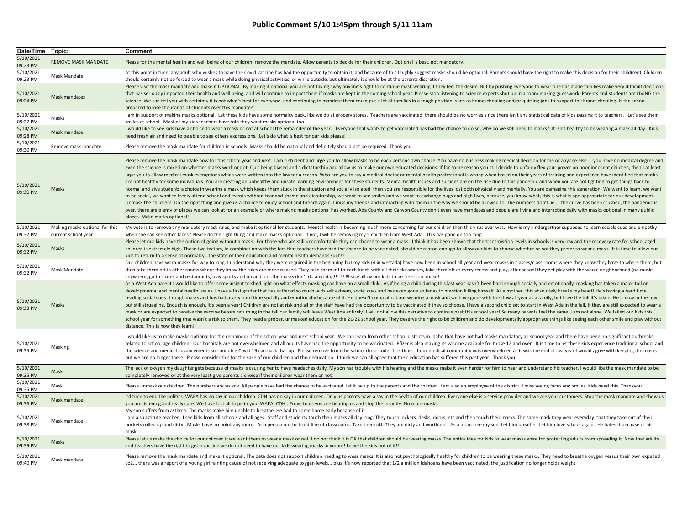| Date/Time Topic:      |                                                       | Comment:                                                                                                                                                                                                                                                                                                                                                                                                                                                                                                                                                                                                                                                                                                                                                                                                                                                                                                                                                                                                                                                                                                                                                                                                                                                                                                                                                                                                                                                                                                                                                                                                                                                                                                                                                                                                                                                                                               |
|-----------------------|-------------------------------------------------------|--------------------------------------------------------------------------------------------------------------------------------------------------------------------------------------------------------------------------------------------------------------------------------------------------------------------------------------------------------------------------------------------------------------------------------------------------------------------------------------------------------------------------------------------------------------------------------------------------------------------------------------------------------------------------------------------------------------------------------------------------------------------------------------------------------------------------------------------------------------------------------------------------------------------------------------------------------------------------------------------------------------------------------------------------------------------------------------------------------------------------------------------------------------------------------------------------------------------------------------------------------------------------------------------------------------------------------------------------------------------------------------------------------------------------------------------------------------------------------------------------------------------------------------------------------------------------------------------------------------------------------------------------------------------------------------------------------------------------------------------------------------------------------------------------------------------------------------------------------------------------------------------------------|
| 5/10/2021<br>09:23 PM | <b>REMOVE MASK MANDATE</b>                            | Please for the mental health and well being of our children, remove the mandate. Allow parents to decide for their children. Optional is best, not mandatory.                                                                                                                                                                                                                                                                                                                                                                                                                                                                                                                                                                                                                                                                                                                                                                                                                                                                                                                                                                                                                                                                                                                                                                                                                                                                                                                                                                                                                                                                                                                                                                                                                                                                                                                                          |
| 5/10/2021<br>09:23 PM | Mask Mandate                                          | At this point in time, any adult who wishes to have the Covid vaccine has had the opportunity to obtain it, and because of this I highly suggest masks should be optional. Parents should have the right to make this decision<br>should certainly not be forced to wear a mask while doing physical activities, or while outside, but ultimately it should be at the parents discretion.                                                                                                                                                                                                                                                                                                                                                                                                                                                                                                                                                                                                                                                                                                                                                                                                                                                                                                                                                                                                                                                                                                                                                                                                                                                                                                                                                                                                                                                                                                              |
| 5/10/2021<br>09:24 PM | Mask mandates                                         | Please visit the mask mandate and make it OPTIONAL. By making it optional you are not taking away anyone's right to continue mask wearing if they feel the desire. But by pushing everyone to wear one has made families make<br>that has seriously impacted their health and well being, and will continue to impact them if masks are kept in the coming school year. Please stop listening to science experts shut up in a room making guesswork. Parents an<br>science. We can tell you with certainty it is not what's best for everyone, and continuing to mandate them could put a lot of families in a tough position, such as homeschooling and/or quitting jobs to support the homescho<br>prepared to lose thousands of students over this mandate?                                                                                                                                                                                                                                                                                                                                                                                                                                                                                                                                                                                                                                                                                                                                                                                                                                                                                                                                                                                                                                                                                                                                         |
| 5/10/2021<br>09:27 PM | Masks                                                 | am in support of making masks optional. Let these kids have some normalcy back, like we do at grocery stores. Teachers are vaccinated, there should be no worries since there isn't any statistical data of kids passing it to<br>smiles at school. Most of my kids teachers have told they want masks optional too.                                                                                                                                                                                                                                                                                                                                                                                                                                                                                                                                                                                                                                                                                                                                                                                                                                                                                                                                                                                                                                                                                                                                                                                                                                                                                                                                                                                                                                                                                                                                                                                   |
| 5/10/2021             | Mask mandate                                          | would like to see kids have a choice to wear a mask or not at school the remainder of the year. Everyone that wants to get vaccinated has had the chance to do so, why do we still need to masks? It isn't healthy to be weari                                                                                                                                                                                                                                                                                                                                                                                                                                                                                                                                                                                                                                                                                                                                                                                                                                                                                                                                                                                                                                                                                                                                                                                                                                                                                                                                                                                                                                                                                                                                                                                                                                                                         |
| 09:28 PM<br>5/10/2021 |                                                       | need fresh air and need to be able to see others expressions. Let's do what is best for our kids please!                                                                                                                                                                                                                                                                                                                                                                                                                                                                                                                                                                                                                                                                                                                                                                                                                                                                                                                                                                                                                                                                                                                                                                                                                                                                                                                                                                                                                                                                                                                                                                                                                                                                                                                                                                                               |
| 09:30 PM              | Remove mask mandate                                   | Please remove the mask mandate for children in schools. Masks should be optional and definitely should not be required. Thank you.                                                                                                                                                                                                                                                                                                                                                                                                                                                                                                                                                                                                                                                                                                                                                                                                                                                                                                                                                                                                                                                                                                                                                                                                                                                                                                                                                                                                                                                                                                                                                                                                                                                                                                                                                                     |
| 5/10/2021<br>09:30 PM | Masks                                                 | Please remove the mask mandate now for this school year and next. I am a student and urge you to allow masks to be each persons own choice. You have no business making medical decision for me or anyone else  you have no<br>even the science is mixed on whether masks work or not. Quit being biased and a dictatorship and allow us to make our own educated decisions. If for some reason you still decide to unfairly flex your power on poor innocent<br>urge you to allow medical mask exemptions which were written into the law for a reason. Who are you to say a medical doctor or mental health professional is wrong when based on their years of training and experience have i<br>are not healthy for some individuals. You are creating an unhealthy and unsafe learning environment for these students. Mental health issues and suicides are on the rise due to this pandemic and when you are not fighting t<br>normal and give students a choice in wearing a mask which keeps them stuck in the situation and socially isolated, then you are responsible for the lives lost both physically and mentally. You are damaging this generation.<br>to be social, we want to freely attend school and events without fear and shame and dictatorship, we want to see smiles and we want to exchange hugs and high fives, because, you know what, this is what is age appropriate f<br>Unmask the children! Do the right thing and give us a chance to enjoy school and friends again. I miss my friends and interacting with them in the way we should be allowed to. The numbers don't lie  the curve has been c<br>over, there are plenty of places we can look at for an example of where making masks optional has worked. Ada County and Canyon County don't even have mandates and people are living and interacting daily with masks optiona<br>places. Make masks optional! |
| 5/10/2021<br>09:32 PM | Making masks optional for this<br>current school year | My vote is to remove any mandatory mask rules, and make it optional for students. Mental health is becoming much more concerning for our children than this virus ever was. How is my kindergartner supposed to learn socials<br>when she can see other faces? Please do the right thing and make masks optional! If not, I will be removing my 5 children from West Ada. This has gone on too long.                                                                                                                                                                                                                                                                                                                                                                                                                                                                                                                                                                                                                                                                                                                                                                                                                                                                                                                                                                                                                                                                                                                                                                                                                                                                                                                                                                                                                                                                                                   |
| 5/10/2021<br>09:32 PM | Masks                                                 | Please let our kids have the option of going without a mask. For those who are still uncomfortable they can choose to wear a mask. I think it has been shown that the transmission levels in schools is very low and the recov<br>children is extremely high. Those two factors, in combination with the fact that teachers have had the chance to be vaccinated, should be reason enough to allow our kids to choose whether or not they prefer to wear a mask.<br>kids to return to a sense of normalcythe state of their education and mental health demands such!!                                                                                                                                                                                                                                                                                                                                                                                                                                                                                                                                                                                                                                                                                                                                                                                                                                                                                                                                                                                                                                                                                                                                                                                                                                                                                                                                 |
| 5/10/2021<br>09:32 PM | Mask Mandate                                          | Our children have worn masks for way to long. I understand why they were required in the beginning but my kids (4 in westada) have now been in school all year and wear masks in classes/class rooms where they know they have<br>then take them off in other rooms where they know the rules are more relaxed. They take them off to each lunch with all their classmates, take them off at every recess and play, after school they get play with the whole ne<br>anywhere, go to stores and restaurants, play sports and on and onthe masks don't do anything!!!!!! Please allow our kids to be free from make!                                                                                                                                                                                                                                                                                                                                                                                                                                                                                                                                                                                                                                                                                                                                                                                                                                                                                                                                                                                                                                                                                                                                                                                                                                                                                     |
| 5/10/2021<br>09:33 PM | Masks                                                 | As a West Ada parent I would like to offer some insight to shed light on what effects masking can have on a small child. As if being a child during this last year hasn't been hard enough socially and emotionally, masking h<br>developmental and mental health issues. I have a first grader that has suffered so much with self esteem, social cues and has even gone so far as to mention killing himself. As a mother, this absolutely breaks my heart! He<br>reading social cues through masks and has had a very hard time socially and emotionally because of it. He doesn't complain about wearing a mask and we have gone with the flow all year as a family, but I see the toll it's t<br>but still struggling. Enough is enough. It's been a year! Children are not at risk and all of the staff have had the opportunity to be vaccinated if they so choose. I have a second child set to start in West Ada in the fal<br>mask or are expected to receive the vaccine before returning in the fall our family will leave West Ada entirely! I will not allow this narrative to continue past this school year! So many parents feel the same. I am not a<br>school year for something that wasn't a risk to them. They need a proper, unmasked education for the 21-22 school year. They deserve the right to be children and do developmentally appropriate things like seeing each other<br>distance. This is how they learn!                                                                                                                                                                                                                                                                                                                                                                                                                                                          |
| 5/10/2021<br>09:35 PM | Masking                                               | would like us to make masks optional for the remainder of the school year and next school year. We can learn from other school districts in Idaho that have not had masks mandatory all school year and there have been no sig<br>related to school age children. Our hospitals are not overwhelmed and all adults have had the opportunity to be vaccinated. Pfizer is also making its vaccine available for those 12 and over. It is time to let these kids ex<br>the science and medical advancements surrounding Covid 19 can back that up. Please remove from the school dress code. It is time. If our medical community was overwhelmed as it was the end of last year I would agree with k<br>but we are no longer there. Please consider this for the sake of our children and their education. I think we can all agree that their education has suffered this past year. Thank you!                                                                                                                                                                                                                                                                                                                                                                                                                                                                                                                                                                                                                                                                                                                                                                                                                                                                                                                                                                                                         |
| 5/10/2021<br>09:35 PM | Masks                                                 | The lack of oxygen my daughter gets because of masks is causing her to have headaches daily. My son has trouble with his hearing and the masks make it even harder for him to hear and understand his teacher. I would like th<br>completely removed or at the very least give parents a choice if their children wear them or not.                                                                                                                                                                                                                                                                                                                                                                                                                                                                                                                                                                                                                                                                                                                                                                                                                                                                                                                                                                                                                                                                                                                                                                                                                                                                                                                                                                                                                                                                                                                                                                    |
| 5/10/2021<br>09:35 PM | Mask                                                  | Please unmask our children. The numbers are so low. All people have had the chance to be vacinated, let it be up to the parents and the children. I am also an employee of the district. I miss seeing faces and smiles. Kids                                                                                                                                                                                                                                                                                                                                                                                                                                                                                                                                                                                                                                                                                                                                                                                                                                                                                                                                                                                                                                                                                                                                                                                                                                                                                                                                                                                                                                                                                                                                                                                                                                                                          |
| 5/10/2021<br>09:36 PM | Mask mandate                                          | Itd time to end the politics. WAEA has no say in our children. CDH has no say in our children. Only us parents have a say in the health of our children. Everyone else is a service provider and we are your customers. Stop t<br>you are listening and really care. We have lost all hope in you, WAEA, CDHProve to us you are hearing us and stop the insanity. No more masks.                                                                                                                                                                                                                                                                                                                                                                                                                                                                                                                                                                                                                                                                                                                                                                                                                                                                                                                                                                                                                                                                                                                                                                                                                                                                                                                                                                                                                                                                                                                       |
| 5/10/2021<br>09:38 PM | Mask mandate                                          | My son suffers from asthma. The masks make him unable to breathe. He had to come home early because of it<br>I am a substitute teacher. I see kids from all schools and all ages. Staff and students touch their masks all day long. They touch lockers, desks, doors, etc and then touch their masks. The same mask they wear everyday tha<br>pockets rolled up and dirty. Masks have no point any more. As a person on the front line of classrooms. Take them off. They are dirty and worthless. As a mom free my son. Let him breathe Let him love school again. He hates<br>mask.                                                                                                                                                                                                                                                                                                                                                                                                                                                                                                                                                                                                                                                                                                                                                                                                                                                                                                                                                                                                                                                                                                                                                                                                                                                                                                                 |
| 5/10/2021<br>09:39 PM | Masks                                                 | Please let us make the choice for our children if we want them to wear a mask or not. I do not think it is OK that children should be wearing masks. The entire idea for kids to wear masks were for protecting adults from sp<br>and teachers have the right to get a vaccine we do not need to have our kids wearing masks anymore! Leave the kids out of it!!                                                                                                                                                                                                                                                                                                                                                                                                                                                                                                                                                                                                                                                                                                                                                                                                                                                                                                                                                                                                                                                                                                                                                                                                                                                                                                                                                                                                                                                                                                                                       |
| 5/10/2021<br>09:40 PM | Mask mandate                                          | Please remove the mask mandate and make it optional. The data does not support children needing to wear masks. It is also not psychologically healthy for children to be wearing these masks. They need to breathe oxygen vers<br>co2 there was a report of a young girl fainting cause of not receiving adequate oxygen levels plus it's now reported that 1/2 a million Idahoans have been vaccinated, the justification no longer holds weight.                                                                                                                                                                                                                                                                                                                                                                                                                                                                                                                                                                                                                                                                                                                                                                                                                                                                                                                                                                                                                                                                                                                                                                                                                                                                                                                                                                                                                                                     |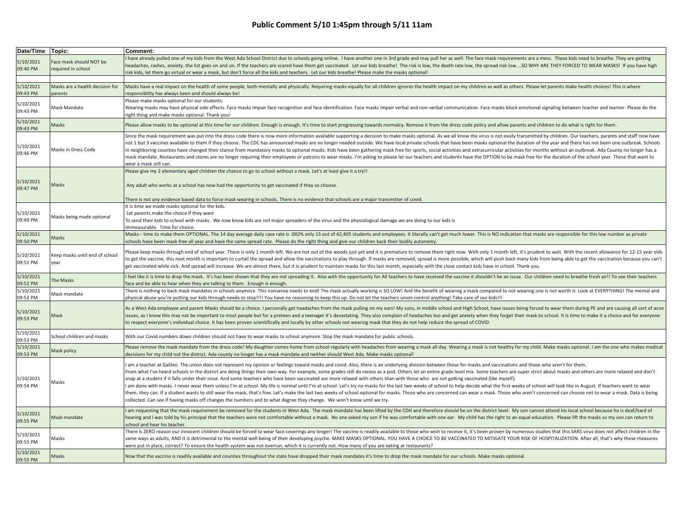| Date/Time Topic:      |                                               | Comment:                                                                                                                                                                                                                                                                                                                                                                                                                                                                                                                                                                                                                                                                                                                                                                                                                                                                                                                                                                                                                                                                                                                                                                                                                                    |
|-----------------------|-----------------------------------------------|---------------------------------------------------------------------------------------------------------------------------------------------------------------------------------------------------------------------------------------------------------------------------------------------------------------------------------------------------------------------------------------------------------------------------------------------------------------------------------------------------------------------------------------------------------------------------------------------------------------------------------------------------------------------------------------------------------------------------------------------------------------------------------------------------------------------------------------------------------------------------------------------------------------------------------------------------------------------------------------------------------------------------------------------------------------------------------------------------------------------------------------------------------------------------------------------------------------------------------------------|
| 5/10/2021<br>09:40 PM | Face mask should NOT be<br>required in school | have already pulled one of my kids from the West Ada School District due to schools going online. I have another one in 3rd grade and may pull her as well. The face mask requirements are a mess. These kids need to breathe.<br>headaches, rashes, anxietythe list goes on and on. If the teachers are scared have them get vaccinated. Let our kids breathe! The risk is low, the death rate low, the spread risk lowSO WHY ARE THEY FORCED TO WEAR MAS<br>isk kids, let them go virtual or wear a mask, but don't force all the kids and teachers. Let our kids breathe! Please make the masks optional!                                                                                                                                                                                                                                                                                                                                                                                                                                                                                                                                                                                                                                |
|                       |                                               |                                                                                                                                                                                                                                                                                                                                                                                                                                                                                                                                                                                                                                                                                                                                                                                                                                                                                                                                                                                                                                                                                                                                                                                                                                             |
| 5/10/2021<br>09:43 PM | Masks are a health decision for<br>parents    | Masks have a real impact on the health of some people, both mentally and physically. Requiring masks equally for all children ignores the health impact on my children as well as others. Please let parents make health choic<br>responsibility has always been and should always be!                                                                                                                                                                                                                                                                                                                                                                                                                                                                                                                                                                                                                                                                                                                                                                                                                                                                                                                                                      |
| 5/10/2021<br>09:43 PM | Mask Mandate                                  | Please make masks optional for our students.<br>Wearing masks may have physical side effects. Face masks impair face recognition and face identification. Face masks impair verbal and non-verbal communication. Face masks block emotional signaling between teacher and lear<br>ight thing and make masks optional. Thank you!                                                                                                                                                                                                                                                                                                                                                                                                                                                                                                                                                                                                                                                                                                                                                                                                                                                                                                            |
| 5/10/2021<br>09:43 PM | Masks                                         | Please allow masks to be optional at this time for our children. Enough is enough. It's time to start progressing towards normalcy. Remove it from the dress code policy and allow parents and children to do what is right fo                                                                                                                                                                                                                                                                                                                                                                                                                                                                                                                                                                                                                                                                                                                                                                                                                                                                                                                                                                                                              |
| 5/10/2021<br>09:46 PM | Masks in Dress Code                           | Since the mask requirement was put into the dress code there is now more information available supporting a decision to make masks optional. As we all know the virus is not easily transmitted by children. Our teachers, par<br>not 1 but 3 vaccines available to them if they choose. The CDC has announced masks are no longer needed outside. We have local private schools that have been masks optional the duration of the year and there has not been o<br>in neighboring counties have changed their stance from mandatory masks to optional masks. Kids have been gathering mask free for sports, social activities and extracurricular activities for months without an outbreak. Ada<br>mask mandate. Restaurants and stores are no longer requiring their employees or patrons to wear masks. I'm asking to please let our teachers and students have the OPTION to be mask free for the duration of the school year.<br>wear a mask still can.                                                                                                                                                                                                                                                                               |
| 5/10/2021             | Masks                                         | Please give my 2 elementary aged children the chance to go to school without a mask. Let's at least give it a try!!<br>Any adult who works at a school has now had the opportunity to get vaccinated if they so choose.                                                                                                                                                                                                                                                                                                                                                                                                                                                                                                                                                                                                                                                                                                                                                                                                                                                                                                                                                                                                                     |
| 09:47 PM              |                                               | There is not any evidence based data to force mask wearing in schools. There is no evidence that schools are a major transmitter of covid.                                                                                                                                                                                                                                                                                                                                                                                                                                                                                                                                                                                                                                                                                                                                                                                                                                                                                                                                                                                                                                                                                                  |
| 5/10/2021<br>09:49 PM | Masks being made optional                     | It is time we made masks optional for the kids.<br>Let parents make the choice if they want<br>To send their kids to school with masks. We now know kids are not major spreaders of the virus and the physiological damage we are doing to our kids is<br>mmeasurable. Time for choice.                                                                                                                                                                                                                                                                                                                                                                                                                                                                                                                                                                                                                                                                                                                                                                                                                                                                                                                                                     |
| 5/10/2021<br>09:50 PM | Masks                                         | Masks-- time to make them OPTIONAL. The 14 day average daily case rate is .002% only 13 out of 42,405 students and employees. It literally can't get much lower. This is NO indication that masks are responsible for this low<br>schools have been mask free all year and have the same spread rate. Please do the right thing and give our children back their bodily autonomy.                                                                                                                                                                                                                                                                                                                                                                                                                                                                                                                                                                                                                                                                                                                                                                                                                                                           |
| 5/10/2021<br>09:51 PM | Keep masks until end of school<br>year        | lease keep masks through end of school year. There is only 1 month left. We are not out of the woods just yet and it is premature to remove them right now. With only 1 month left, it's prudent to wait. With the recent allo<br>to get the vaccine, this next month is important to curtail the spread and allow the vaccinations to play through. If masks are removed, spread is more possible, which will push back many kids from being able to get the va<br>get vaccinated while sick. And spread will increase. We are almost there, but it is prudent to maintain masks for this last month, especially with the close contact kids have in school. Thank you.                                                                                                                                                                                                                                                                                                                                                                                                                                                                                                                                                                    |
| 5/10/2021<br>09:52 PM | The Masks                                     | feel like it is time to drop the mask. It's has been shown that they are not spreading it. Also with the opportunity for All teachers to have received the vaccine it shouldn't be an issue. Our children need to breathe fres<br>ace and be able to hear when they are talking to them. Enough is enough.                                                                                                                                                                                                                                                                                                                                                                                                                                                                                                                                                                                                                                                                                                                                                                                                                                                                                                                                  |
| 5/10/2021<br>09:52 PM | Mask mandate                                  | There is nothing to back mask mandates in schools anymore. This nonsense needs to end! The mask actually working is SO LOW! And the benefit of wearing a mask compared to not wearing one is not worth it. Look at EVERYTHING!<br>bhysical abuse you're putting our kids through needs to stop!!!! You have no reasoning to keep this up. Do not let the teachers union control anything! Take care of our kids!!!                                                                                                                                                                                                                                                                                                                                                                                                                                                                                                                                                                                                                                                                                                                                                                                                                          |
| 5/10/2021<br>09:53 PM | Mask                                          | As a West Ada employee and parent Masks should be a choice. I personally get headaches from the mask pulling on my ears! My sons, in middle school and High School, have issues being forced to wear them during PE and are ca<br>issues, as I know this may not be important to most people but for a preteen and a teenager it's devastating. They also complain of headaches too and get anxiety when they forget their mask to school. It is time to make it<br>to respect everyone's individual choice. It has been proven scientifically and locally by other schools not wearing mask that they do not help reduce the spread of COVID.                                                                                                                                                                                                                                                                                                                                                                                                                                                                                                                                                                                              |
| 5/10/2021<br>09:53 PM | School children and masks                     | With our Covid numbers down children should not have to wear masks to school anymore. Stop the mask mandate for public schools.                                                                                                                                                                                                                                                                                                                                                                                                                                                                                                                                                                                                                                                                                                                                                                                                                                                                                                                                                                                                                                                                                                             |
| 5/10/2021<br>09:53 PM | Mask policy                                   | Please remove the mask mandate from the dress code! My daughter comes home from school regularly with headaches from wearing a mask all day. Wearing a mask is not healthy for my child. Make masks optional. I am the one who<br>lecisions for my child not the district. Ada county no longer has a mask mandate and neither should West Ada. Make masks optional!                                                                                                                                                                                                                                                                                                                                                                                                                                                                                                                                                                                                                                                                                                                                                                                                                                                                        |
| 5/10/2021<br>09:54 PM | Masks                                         | am a teacher at Galileo. The union does not represent my opinion or feelings toward masks and covid. Also, there is an underlying division between those for masks and vaccinations and those who aren't for them.<br>From what I've heard schools in the district are doing things their own way. For example, some grades still do recess as a pod. Others let an entire grade level mix. Some teachers are super strict about masks and others ar<br>snap at a student if it falls under their nose. And some teachers who have been vaccinated are more relaxed with others than with those who are not getting vaccinated (like myself).<br>am done with masks. I never wear them unless I'm at school. My life is normal until I'm at school. Let's try no masks for the last two weeks of school to help decide what the first weeks of school will look like in August.<br>them, they can. If a student wants to still wear the mask, that's fine. Let's make the last two weeks of school optional for masks. Those who are concerned can wear a mask. Those who aren't concerned can choose not to wear<br>collected. Can see if having masks off changes the numbers and to what degree they change. We won't know until we try. |
| 5/10/2021<br>09:55 PM | Mask mandate                                  | am requesting that the mask requirement be removed for the students in West Ada. The mask mandate has been lifted by the CDH and therefore should be on the district level. My son cannot attend his local school because he i<br>hearing and I was told by his principal that the teachers were not comfortable without a mask. No one asked my son if he was comfortable with one ear. My child has the right to an equal education. Please lift the masks so<br>school and hear his teacher.                                                                                                                                                                                                                                                                                                                                                                                                                                                                                                                                                                                                                                                                                                                                             |
| 5/10/2021<br>09:55 PM | Masks                                         | There is ZERO reason our innocent children should be forced to wear face coverings any longer! The vaccine is readily available to those who wish to receive it, it's been proven by numerous studies that this SARS virus doe<br>same ways as adults, AND it is detrimental to the mental well-being of their developing psyche. MAKE MASKS OPTIONAL. YOU HAVE A CHOICE TO BE VACCINATED TO MITIGATE YOUR RISK OF HOSPITALIZATION. After all, that's why these<br>were put in place, correct? To ensure the health system was not overrun, which it is currently not. How many of you are eating at restaurants?                                                                                                                                                                                                                                                                                                                                                                                                                                                                                                                                                                                                                           |
| 5/10/2021<br>09:55 PM | Masks                                         | Now that the vaccine is readily available and counties throughout the state have dropped their mask mandates it's time to drop the mask mandate for our schools. Make masks optional.                                                                                                                                                                                                                                                                                                                                                                                                                                                                                                                                                                                                                                                                                                                                                                                                                                                                                                                                                                                                                                                       |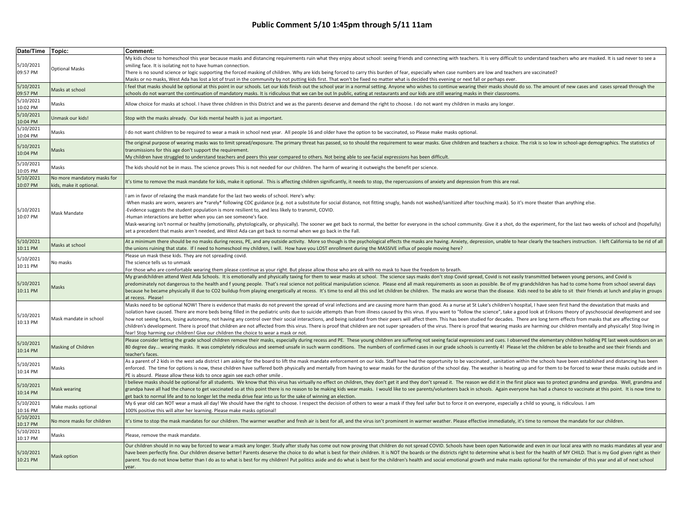| Date/Time Topic:      |                                                        | Comment:                                                                                                                                                                                                                                                                                                                                                                                                                                                                                                                                                                                                                                                                                                                                                                                                                                                                                                                                                                                                                   |
|-----------------------|--------------------------------------------------------|----------------------------------------------------------------------------------------------------------------------------------------------------------------------------------------------------------------------------------------------------------------------------------------------------------------------------------------------------------------------------------------------------------------------------------------------------------------------------------------------------------------------------------------------------------------------------------------------------------------------------------------------------------------------------------------------------------------------------------------------------------------------------------------------------------------------------------------------------------------------------------------------------------------------------------------------------------------------------------------------------------------------------|
| 5/10/2021<br>09:57 PM | <b>Optional Masks</b>                                  | My kids chose to homeschool this year because masks and distancing requirements ruin what they enjoy about school: seeing friends and connecting with teachers. It is very difficult to understand teachers who are masked. It<br>smiling face. It is isolating not to have human connection.<br>There is no sound science or logic supporting the forced masking of children. Why are kids being forced to carry this burden of fear, especially when case numbers are low and teachers are vaccinated?<br>Masks or no masks, West Ada has lost a lot of trust in the community by not putting kids first. That won't be fixed no matter what is decided this evening or next fall or perhaps ever.                                                                                                                                                                                                                                                                                                                       |
| 5/10/2021<br>09:57 PM | Masks at school                                        | I feel that masks should be optional at this point in our schools. Let our kids finish out the school year in a normal setting. Anyone who wishes to continue wearing their masks should do so. The amount of new cases and ca<br>schools do not warrant the continuation of mandatory masks. It is ridiculous that we can be out In public, eating at restaurants and our kids are still wearing masks in their classrooms.                                                                                                                                                                                                                                                                                                                                                                                                                                                                                                                                                                                               |
| 5/10/2021<br>10:02 PM | Masks                                                  | Allow choice for masks at school. I have three children in this District and we as the parents deserve and demand the right to choose. I do not want my children in masks any longer.                                                                                                                                                                                                                                                                                                                                                                                                                                                                                                                                                                                                                                                                                                                                                                                                                                      |
| 5/10/2021<br>10:04 PM | Unmask our kids!                                       | Stop with the masks already. Our kids mental health is just as important.                                                                                                                                                                                                                                                                                                                                                                                                                                                                                                                                                                                                                                                                                                                                                                                                                                                                                                                                                  |
| 5/10/2021<br>10:04 PM | Masks                                                  | I do not want children to be required to wear a mask in school next year. All people 16 and older have the option to be vaccinated, so Please make masks optional.                                                                                                                                                                                                                                                                                                                                                                                                                                                                                                                                                                                                                                                                                                                                                                                                                                                         |
| 5/10/2021<br>10:04 PM | Masks                                                  | The original purpose of wearing masks was to limit spread/exposure. The primary threat has passed, so to should the requirement to wear masks. Give children and teachers a choice. The risk is so low in school-age demograph<br>transmissions for this age don't support the requirement.<br>My children have struggled to understand teachers and peers this year compared to others. Not being able to see facial expressions has been difficult.                                                                                                                                                                                                                                                                                                                                                                                                                                                                                                                                                                      |
| 5/10/2021<br>10:05 PM | Masks                                                  | The kids should not be in mass. The science proves This is not needed for our children. The harm of wearing it outweighs the benefit per science.                                                                                                                                                                                                                                                                                                                                                                                                                                                                                                                                                                                                                                                                                                                                                                                                                                                                          |
| 5/10/2021<br>10:07 PM | No more mandatory masks for<br>kids, make it optional. | It's time to remove the mask mandate for kids, make it optional. This is affecting children significantly, it needs to stop, the repercussions of anxiety and depression from this are real.                                                                                                                                                                                                                                                                                                                                                                                                                                                                                                                                                                                                                                                                                                                                                                                                                               |
| 5/10/2021<br>10:07 PM | Mask Mandate                                           | I am in favor of relaxing the mask mandate for the last two weeks of school. Here's why:<br>When masks are worn, wearers are *rarely* following CDC guidance (e.g. not a substitute for social distance, not fitting snugly, hands not washed/sanitized after touching mask). So it's more theater than anything else.<br>-Evidence suggests the student population is more resilient to, and less likely to transmit, COVID.<br>-Human interactions are better when you can see someone's face.<br>Mask-wearing isn't normal or healthy (emotionally, phytologically, or physically). The sooner we get back to normal, the better for everyone in the school community. Give it a shot, do the experiment, for the last two week<br>set a precedent that masks aren't needed, and West Ada can get back to normal when we go back in the Fall.                                                                                                                                                                           |
| 5/10/2021<br>10:11 PM | Masks at school                                        | At a minimum there should be no masks during recess, PE, and any outside activity. More so though is the psychological effects the masks are having. Anxiety, depression, unable to hear clearly the teachers instruction. I l<br>the unions ruining that state. If I need to homeschool my children, I will. How have you LOST enrollment during the MASSIVE influx of people moving here?                                                                                                                                                                                                                                                                                                                                                                                                                                                                                                                                                                                                                                |
| 5/10/2021<br>10:11 PM | No masks                                               | Please un mask these kids. They are not spreading covid.<br>The science tells us to unmask<br>For those who are comfortable wearing them please continue as your right. But please allow those who are ok with no mask to have the freedom to breath.                                                                                                                                                                                                                                                                                                                                                                                                                                                                                                                                                                                                                                                                                                                                                                      |
| 5/10/2021<br>10:11 PM | Masks                                                  | My grandchildren attend West Ada Schools. It is emotionally and physically taxing for them to wear masks at school. The science says masks don't stop Covid spread, Covid is not easily transmitted between young persons, and<br>predominately not dangerous to the health and f young people. That's real science not political manipulation science. Please end all mask requirements as soon as possible. Be of my grandchildren has had to come home from s<br>because he became physically ill due to CO2 buildup from playing energetically at recess. It's time to end all this snd let children be children. The masks are worse than the disease. Kids need to be able to sit their frie<br>at recess. Please!                                                                                                                                                                                                                                                                                                   |
| 5/10/2021<br>10:13 PM | Mask mandate in school                                 | Masks need to be optional NOW! There is evidence that masks do not prevent the spread of viral infections and are causing more harm than good. As a nurse at St Luke's children's hospital, I have seen first hand the devasta<br>isolation have caused. There are more beds being filled in the pediatric units due to suicide attempts than from illness caused by this virus. If you want to "follow the science", take a good look at Eriksons theory of pys<br>how not seeing faces, losing autonomy, not having any control over their social interactions, and being isolated from their peers will affect them. This has been studied for decades. There are long term effects from masks<br>children's development. There is proof that children are not affected from this virus. There is proof that children are not super spreaders of the virus. There is proof that wearing masks are harming our children mentally<br>fear! Stop harming our children! Give our children the choice to wear a mask or not. |
| 5/10/2021<br>10:14 PM | Masking of Children                                    | Please consider letting the grade school children remove their masks, especially during recess and PE. These young children are suffering not seeing facial expressions and cues. I observed the elementary children holding P<br>80 degree day wearing masks. It was completely ridiculous and seemed unsafe in such warm conditions. The numbers of confirmed cases in our grade schools is currently 4! Please let the children be able to breathe and see<br>teacher's faces.                                                                                                                                                                                                                                                                                                                                                                                                                                                                                                                                          |
| 5/10/2021<br>10:14 PM | Masks                                                  | As a parent of 2 kids in the west ada district I am asking for the board to lift the mask mandate enforcement on our kids. Staff have had the opportunity to be vaccinated, sanitation within the schools have been establishe<br>enforced. The time for options is now, these children have suffered both physically and mentally from having to wear masks for the duration of the school day. The weather is heating up and for them to be forced to wear the<br>PE is absurd. Please allow these kids to once again see each other smile.                                                                                                                                                                                                                                                                                                                                                                                                                                                                              |
| 5/10/2021<br>10:14 PM | Mask wearing                                           | I believe masks should be optional for all students. We know that this virus has virtually no effect on children, they don't get it and they don't spread it. The reason we did it in the first place was to protect grandma a<br>grandpa have all had the chance to get vaccinated so at this point there is no reason to be making kids wear masks. I would like to see parents/volunteers back in schools. Again everyone has had a chance to vaccinate at th<br>get back to normal life and to no longer let the media drive fear into us for the sake of winning an election.                                                                                                                                                                                                                                                                                                                                                                                                                                         |
| 5/10/2021<br>10:16 PM | Make masks optional                                    | My 6 year old can NOT wear a mask all day! We should have the right to choose. I respect the decision of others to wear a mask if they feel safer but to force it on everyone, especially a child so young, is ridiculous. I a<br>100% positive this will alter her learning. Please make masks optional!                                                                                                                                                                                                                                                                                                                                                                                                                                                                                                                                                                                                                                                                                                                  |
| 5/10/2021<br>10:17 PM | No more masks for children                             | It's time to stop the mask mandates for our children. The warmer weather and fresh air is best for all, and the virus isn't prominent in warmer weather. Please effective immediately, it's time to remove the mandate for our                                                                                                                                                                                                                                                                                                                                                                                                                                                                                                                                                                                                                                                                                                                                                                                             |
| 5/10/2021<br>10:17 PM | Masks                                                  | Please, remove the mask mandate.                                                                                                                                                                                                                                                                                                                                                                                                                                                                                                                                                                                                                                                                                                                                                                                                                                                                                                                                                                                           |
| 5/10/2021<br>10:21 PM | <b>Mask option</b>                                     | Our children should in no way be forced to wear a mask any longer. Study after study has come out now proving that children do not spread COVID. Schools have been open Nationwide and even in our local area with no masks ma<br>have been perfectly fine. Our children deserve better! Parents deserve the choice to do what is best for their children. It is NOT the boards or the districts right to determine what is best for the loath of MY CHILD. That<br>parent. You do not know better than I do as to what is best for my children! Put politics aside and do what is best for the children's health and social emotional growth and make masks optional for the remainder of this ye<br>year.                                                                                                                                                                                                                                                                                                                |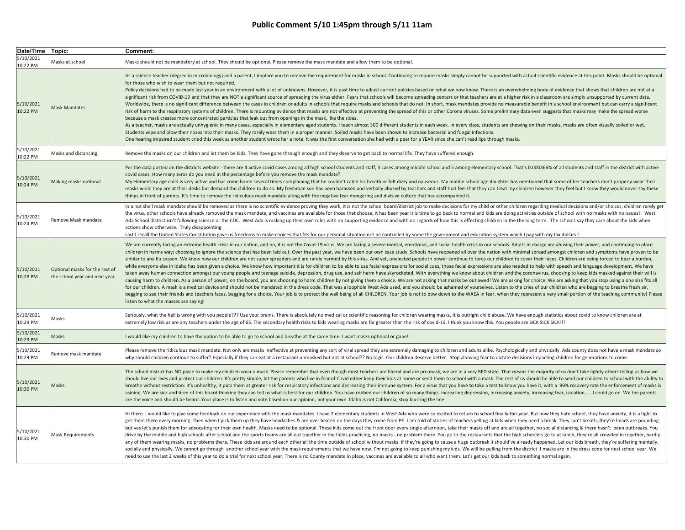| Date/Time Topic:      |                                                                 | Comment:                                                                                                                                                                                                                                                                                                                                                                                                                                                                                                                                                                                                                                                                                                                                                                                                                                                                                                                                                                                                                                                                                                                                                                                                                                                                                                                                                                                                                                                                                                                                                                                                                                                                                                                                                                                                                                                                                                                                            |
|-----------------------|-----------------------------------------------------------------|-----------------------------------------------------------------------------------------------------------------------------------------------------------------------------------------------------------------------------------------------------------------------------------------------------------------------------------------------------------------------------------------------------------------------------------------------------------------------------------------------------------------------------------------------------------------------------------------------------------------------------------------------------------------------------------------------------------------------------------------------------------------------------------------------------------------------------------------------------------------------------------------------------------------------------------------------------------------------------------------------------------------------------------------------------------------------------------------------------------------------------------------------------------------------------------------------------------------------------------------------------------------------------------------------------------------------------------------------------------------------------------------------------------------------------------------------------------------------------------------------------------------------------------------------------------------------------------------------------------------------------------------------------------------------------------------------------------------------------------------------------------------------------------------------------------------------------------------------------------------------------------------------------------------------------------------------------|
| 5/10/2021<br>10:22 PM | Masks at school                                                 | Masks should not be mandatory at school. They should be optional. Please remove the mask mandate and allow them to be optional.                                                                                                                                                                                                                                                                                                                                                                                                                                                                                                                                                                                                                                                                                                                                                                                                                                                                                                                                                                                                                                                                                                                                                                                                                                                                                                                                                                                                                                                                                                                                                                                                                                                                                                                                                                                                                     |
| 5/10/2021<br>10:22 PM | Mask Mandates                                                   | As a science teacher (degree in microbiology) and a parent, I implore you to remove the requirement for masks in school. Continuing to require masks simply cannot be supported with actual scientific evidence at this point.<br>for those who wish to wear them but not required.<br>Policy decisions had to be made last year in an environment with a lot of unknowns. However, it is past time to adjust current policies based on what we now know. There is an overwhelming body of evidence that shows that c<br>significant risk from COVID-19 and that they are NOT a significant source of spreading the virus either. Fears that schools will become spreading centers or that teachers are at a higher risk in a classroom are simply unsu<br>Worldwide, there is no significant difference between the cases in children or adults in schools that require masks and schools that do not. In short, mask mandates provide no measurable benefit in a school environment but<br>risk of harm to the respiratory systems of children. There is mounting evidence that masks are not effective at preventing the spread of this or other Corona viruses. Some preliminary data even suggests that masks may make<br>because a mask creates more concentrated particles that leak out from openings in the mask, like the sides.<br>As a teacher, masks are actually unhygienic in many cases, especially in elementary aged students. I teach almost 300 different students in each week. In every class, students are chewing on their masks, masks are often vi<br>Students wipe and blow their noses into their masks. They rarely wear them in a proper manner. Soiled masks have been shown to increase bacterial and fungal infections.<br>One hearing impaired student cried this week as another student wrote her a note. It was the first conversation she had with a peer for a YEAR since she can't read lips through masks. |
| 5/10/2021<br>10:22 PM | Masks and distancing                                            | Remove the masks on our children and let them be kids. They have gone through enough and they deserve to get back to normal life. They have suffered enough.                                                                                                                                                                                                                                                                                                                                                                                                                                                                                                                                                                                                                                                                                                                                                                                                                                                                                                                                                                                                                                                                                                                                                                                                                                                                                                                                                                                                                                                                                                                                                                                                                                                                                                                                                                                        |
| 5/10/2021<br>10:24 PM | Making masks optional                                           | Per the data posted on the districts website - there are 4 active covid cases among all high school students and staff, 5 cases among middle school and 5 among elementary school. That's 0.000366% of all students and staff<br>covid cases. How many zeros do you need in the percentage before you remove the mask mandate?<br>My elementary age child is very active and has come home several times complaining that he couldn't catch his breath or felt dizzy and nauseous. My middle school age daughter has mentioned that some of her teachers don't p<br>masks while they are at their desks but demand the children to do so. My freshman son has been harassed and verbally abused by teachers and staff that feel that they can treat my children however they feel but I know they<br>things in front of parents. It's time to remove the ridiculous mask mandate along with the negative fear mongering and divisive culture that has accompanied it.                                                                                                                                                                                                                                                                                                                                                                                                                                                                                                                                                                                                                                                                                                                                                                                                                                                                                                                                                                               |
| 5/10/2021<br>10:24 PM | Remove Mask mandate                                             | In a nut shell mask mandate should be removed as there is no scientific evidence proving they work, it is not the school board/district job to make decisions for my child or other children regarding medical decisions and/o<br>the virus, other schools have already removed the mask mandate, and vaccines are available for those that choose, it has been year it is time to go back to normal and kids are doing activities outside of school with no mas<br>Ada School district isn't following science or the CDC. West Ada is making up their own rules with no supporting evidence and with no regards of how this is effecting children in the the long term. The schools say they car<br>actions show otherwise. Truly disappointing<br>Last I recall the United States Constitution gave us freedoms to make choices that fits for our personal situation not be controlled by some the government and education system which I pay with my tax dollars!!                                                                                                                                                                                                                                                                                                                                                                                                                                                                                                                                                                                                                                                                                                                                                                                                                                                                                                                                                                             |
| 5/10/2021<br>10:28 PM | Optional masks for the rest of<br>the school year and next year | We are currently facing an extreme health crisis in our nation, and no, it is not the Covid-19 virus. We are facing a severe mental, emotional, and social health crisis in our schools. Adults in charge are abusing their po<br>children in harms way; choosing to ignore the science that has been laid out. Over the past year, we have been our own case study. Schools have reopened all over the nation with minimal spread amongst children and symptoms<br>similar to any flu season. We know now our children are not super spreaders and are rarely harmed by this virus. And yet, unelected people in power continue to force our children to cover their faces. Children are being fo<br>while everyone else in Idaho has been given a choice. We know how important it is for children to be able to use facial expressions for social cues, those facial expressions are also needed to help with speech and language<br>taken away human connection amongst our young people and teenage suicide, depression, drug use, and self harm have skyrocketed. With everything we know about children and the coronavirus, choosing to keep kids masked again<br>causing harm to children. As a person of power, on the board, you are choosing to harm children by not giving them a choice. We are not asking that masks be outlawed! We are asking for choice. We are asking that you stop u<br>for our children. A mask is a medical device and should not be mandated in the dress code. That was a loophole West Ada used, and you should be ashamed of yourselves. Listen to the cries of our children who are begging to<br>begging to see their friends and teachers faces, begging for a choice. Your job is to protect the well being of all CHILDREN. Your job is not to bow down to the WAEA in fear, when they represent a very small portion of the<br>listen to what the masses are saying!                                |
| 5/10/2021<br>10:29 PM | Masks                                                           | Seriously, what the hell is wrong with you people??? Use your brains. There is absolutely no medical or scientific reasoning for children wearing masks. It is outright child abuse. We have enough statistics about covid to<br>extremely low risk as are any teachers under the age of 65. The secondary health risks to kids wearing masks are far greater than the risk of covid-19. I think you know this. You people are SICK SICK SICK !!!!                                                                                                                                                                                                                                                                                                                                                                                                                                                                                                                                                                                                                                                                                                                                                                                                                                                                                                                                                                                                                                                                                                                                                                                                                                                                                                                                                                                                                                                                                                  |
| 5/10/2021<br>10:29 PM | Masks                                                           | would like my children to have the option to be able to go to school and breathe at the same time. I want masks optional or gone!                                                                                                                                                                                                                                                                                                                                                                                                                                                                                                                                                                                                                                                                                                                                                                                                                                                                                                                                                                                                                                                                                                                                                                                                                                                                                                                                                                                                                                                                                                                                                                                                                                                                                                                                                                                                                   |
| 5/10/2021<br>10:29 PM | Remove mask mandate                                             | Please remove the ridiculous mask mandate. Not only are masks ineffective at preventing any sort of viral spread they are extremely damaging to children and adults alike. Psychologically and physically. Ada county does not<br>why should children continue to suffer? Especially if they can eat at a restaurant unmasked but not at school?? No logic. Our children deserve better. Stop allowing fear to dictate decisions impacting children for generati                                                                                                                                                                                                                                                                                                                                                                                                                                                                                                                                                                                                                                                                                                                                                                                                                                                                                                                                                                                                                                                                                                                                                                                                                                                                                                                                                                                                                                                                                    |
| 5/10/2021<br>10:30 PM | Masks                                                           | The school district has NO place to make my children wear a mask. Please remember that even though most teachers are liberal and are pro mask, we are in a very RED state. That means the majority of us don't take lightly ot<br>should live our lives and protect our children. It's pretty simple, let the parents who live in fear of Covid either keep their kids at home or send them to school with a mask. The rest of us should be able to send our chi<br>breathe without restriction. It's unhealthy, it puts them at greater risk for respiratory infections and decreasing their immune system. For a virus that you have to take a test to know you have it, with a 99% recovery rat<br>asinine. We are sick and tired of this board thinking they can tell us what is best for our children. You have robbed our children of so many things, increasing depression, increasing anxiety, increasing fear, isolation<br>are the voice and should be heard. Your place is to listen and vote based on our opinion, not your own. Idaho is not California, stop blurring the line.                                                                                                                                                                                                                                                                                                                                                                                                                                                                                                                                                                                                                                                                                                                                                                                                                                                       |
| 5/10/2021<br>10:30 PM | <b>Mask Requirements</b>                                        | Hi there. I would like to give some feedback on our experience with the mask mandates. I have 2 elementary students in West Ada who were so excited to return to school finally this year. But now they hate school, they have<br>get them there every morning. Then when I pick them up they have headaches & are over heated on the days they come from PE. I am told of stories of teachers yelling at kids when they need a break. They can't breath, they'r<br>but yes let's punish them for advocating for their own health. Masks need to be optional. These kids come out the front door every single afternoon, take their masks off and are all together, no social distancing & there h<br>drive by the middle and high schools after school and the sports teams are all out together in the fields practicing, no masks - no problem there. You go to the restaurants that the high schoolers go to at lunch, they're a<br>any of them wearing masks, no problems there. These kids are around each other all the time outside of school without masks. If they're going to cause a huge outbreak it should've already happened. Let our kids breath, the<br>socially and physically. We cannot go through another school year with the mask requirements that we have now. I'm not going to keep punishing my kids. We will be pulling from the district if masks are in the dress code fo<br>need to use the last 2 weeks of this year to do a trial for next school year. There is no County mandate in place, vaccines are available to all who want them. Let's get our kids back to something normal again.                                                                                                                                                                                                                                                                                                                      |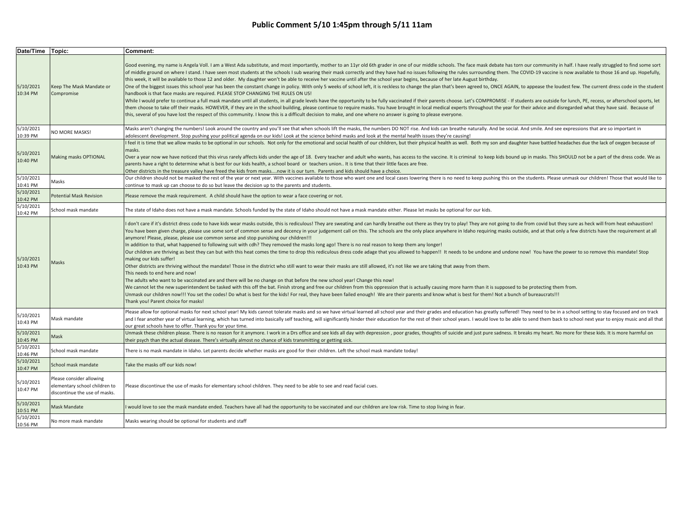| Date/Time   Topic:    |                                                                                            | Comment:                                                                                                                                                                                                                                                                                                                                                                                                                                                                                                                                                                                                                                                                                                                                                                                                                                                                                                                                                                                                                                                                                                                                                                                                                                                                                                                                                                                                                                                                                                                                                                                                                                                                                                                                                                                        |
|-----------------------|--------------------------------------------------------------------------------------------|-------------------------------------------------------------------------------------------------------------------------------------------------------------------------------------------------------------------------------------------------------------------------------------------------------------------------------------------------------------------------------------------------------------------------------------------------------------------------------------------------------------------------------------------------------------------------------------------------------------------------------------------------------------------------------------------------------------------------------------------------------------------------------------------------------------------------------------------------------------------------------------------------------------------------------------------------------------------------------------------------------------------------------------------------------------------------------------------------------------------------------------------------------------------------------------------------------------------------------------------------------------------------------------------------------------------------------------------------------------------------------------------------------------------------------------------------------------------------------------------------------------------------------------------------------------------------------------------------------------------------------------------------------------------------------------------------------------------------------------------------------------------------------------------------|
| 5/10/2021<br>10:34 PM | Keep The Mask Mandate or<br>Compromise                                                     | Good evening, my name is Angela Voll. I am a West Ada substitute, and most importantly, mother to an 11yr old 6th grader in one of our middle schools. The face mask debate has torn our community in half. I have really stru<br>of middle ground on where I stand. I have seen most students at the schools I sub wearing their mask correctly and they have had no issues following the rules surrounding them. The COVID-19 vaccine is now available to thos<br>this week, it will be available to those 12 and older. My daughter won't be able to receive her vaccine until after the school year begins, because of her late August birthday.<br>One of the biggest issues this school year has been the constant change in policy. With only 5 weeks of school left, it is reckless to change the plan that's been agreed to, ONCE AGAIN, to appease the loudest few. The curr<br>handbook is that face masks are required. PLEASE STOP CHANGING THE RULES ON US!<br>While I would prefer to continue a full mask mandate until all students, in all grade levels have the opportunity to be fully vaccinated if their parents choose. Let's COMPROMISE - If students are outside for lunch, PE, re<br>them choose to take off their masks. HOWEVER, if they are in the school building, please continue to require masks. You have brought in local medical experts throughout the year for their advice and disregarded what they h<br>this, several of you have lost the respect of this community. I know this is a difficult decision to make, and one where no answer is going to please everyone.                                                                                                                                                                                |
| 5/10/2021<br>10:39 PM | NO MORE MASKS!                                                                             | Masks aren't changing the numbers! Look around the country and you'll see that when schools lift the masks, the numbers DO NOT rise. And kids can breathe naturally. And be social. And smile. And see expressions that are so<br>adolescent development. Stop pushing your political agenda on our kids! Look at the science behind masks and look at the mental health issues they're causing!                                                                                                                                                                                                                                                                                                                                                                                                                                                                                                                                                                                                                                                                                                                                                                                                                                                                                                                                                                                                                                                                                                                                                                                                                                                                                                                                                                                                |
| 5/10/2021<br>10:40 PM | Making masks OPTIONAL                                                                      | feel it is time that we allow masks to be optional in our schools. Not only for the emotional and social health of our children, but their physical health as well. Both my son and daughter have battled headaches due the la<br>masks.<br>Over a year now we have noticed that this virus rarely affects kids under the age of 18. Every teacher and adult who wants, has access to the vaccine. It is criminal to keep kids bound up in masks. This SHOULD not be a par<br>parents have a right to determine what is best for our kids health, a school board or teachers union It is time that their little faces are free.<br>Other districts in the treasure valley have freed the kids from masksnow it is our turn. Parents and kids should have a choice.                                                                                                                                                                                                                                                                                                                                                                                                                                                                                                                                                                                                                                                                                                                                                                                                                                                                                                                                                                                                                              |
| 5/10/2021<br>10:41 PM | Masks                                                                                      | Our children should not be masked the rest of the year or next year. With vaccines available to those who want one and local cases lowering there is no need to keep pushing this on the students. Please unmask our children!<br>continue to mask up can choose to do so but leave the decision up to the parents and students.                                                                                                                                                                                                                                                                                                                                                                                                                                                                                                                                                                                                                                                                                                                                                                                                                                                                                                                                                                                                                                                                                                                                                                                                                                                                                                                                                                                                                                                                |
| 5/10/2021<br>10:42 PM | Potential Mask Revision                                                                    | Please remove the mask requirement. A child should have the option to wear a face covering or not.                                                                                                                                                                                                                                                                                                                                                                                                                                                                                                                                                                                                                                                                                                                                                                                                                                                                                                                                                                                                                                                                                                                                                                                                                                                                                                                                                                                                                                                                                                                                                                                                                                                                                              |
| 5/10/2021<br>10:42 PM | School mask mandate                                                                        | The state of Idaho does not have a mask mandate. Schools funded by the state of Idaho should not have a mask mandate either. Please let masks be optional for our kids.                                                                                                                                                                                                                                                                                                                                                                                                                                                                                                                                                                                                                                                                                                                                                                                                                                                                                                                                                                                                                                                                                                                                                                                                                                                                                                                                                                                                                                                                                                                                                                                                                         |
| 5/10/2021<br>10:43 PM | Masks                                                                                      | I don't care if it's district dress code to have kids wear masks outside, this is rediculous! They are sweating and can hardly breathe out there as they try to play! They are not going to die from covid but they sure as he<br>You have been given charge, please use some sort of common sense and decency in your judgement call on this. The schools are the only place anywhere in Idaho requiring masks outside, and at that only a few districts have t<br>anymore! Please, please, please use common sense and stop punishing our children!!!<br>In addition to that, what happened to following suit with cdh? They removed the masks long ago! There is no real reason to keep them any longer!<br>Our children are thriving as best they can but with this heat comes the time to drop this rediculous dress code adage that you allowed to happen!! It needs to be undone and undone now! You have the power to so remove this<br>making our kids suffer!<br>Other districts are thriving without the mandate! Those in the district who still want to wear their masks are still allowed, it's not like we are taking that away from them.<br>This needs to end here and now!<br>The adults who want to be vaccinated are and there will be no change on that before the new school year! Change this now!<br>We cannot let the new superintendent be tasked with this off the bat. Finish strong and free our children from this oppression that is actually causing more harm than it is supposed to be protecting them from.<br>Unmask our children now!!! You set the codes! Do what is best for the kids! For real, they have been failed enough! We are their parents and know what is best for them! Not a bunch of bureaucrats!!!<br>Thank you! Parent choice for masks! |
| 5/10/2021<br>10:43 PM | Mask mandate                                                                               | Please allow for optional masks for next school year! My kids cannot tolerate masks and so we have virtual learned all school year and their grades and education has greatly suffered! They need to be in a school setting to<br>and I fear another year of virtual learning, which has turned into basically self teaching, will significantly hinder their education for the rest of their school years. I would love to be able to send them back to school<br>our great schools have to offer. Thank you for your time.                                                                                                                                                                                                                                                                                                                                                                                                                                                                                                                                                                                                                                                                                                                                                                                                                                                                                                                                                                                                                                                                                                                                                                                                                                                                    |
| 5/10/2021<br>10:45 PM | Mask                                                                                       | Unmask these children please. There is no reason for it anymore. I work in a Drs office and see kids all day with depression, poor grades, thoughts of suicide and just pure sadness. It breaks my heart. No more for these ki<br>their psych than the actual disease. There's virtually almost no chance of kids transmitting or getting sick.                                                                                                                                                                                                                                                                                                                                                                                                                                                                                                                                                                                                                                                                                                                                                                                                                                                                                                                                                                                                                                                                                                                                                                                                                                                                                                                                                                                                                                                 |
| 5/10/2021<br>10:46 PM | School mask mandate                                                                        | There is no mask mandate in Idaho. Let parents decide whether masks are good for their children. Left the school mask mandate today!                                                                                                                                                                                                                                                                                                                                                                                                                                                                                                                                                                                                                                                                                                                                                                                                                                                                                                                                                                                                                                                                                                                                                                                                                                                                                                                                                                                                                                                                                                                                                                                                                                                            |
| 5/10/2021<br>10:47 PM | School mask mandate                                                                        | Take the masks off our kids now!                                                                                                                                                                                                                                                                                                                                                                                                                                                                                                                                                                                                                                                                                                                                                                                                                                                                                                                                                                                                                                                                                                                                                                                                                                                                                                                                                                                                                                                                                                                                                                                                                                                                                                                                                                |
| 5/10/2021<br>10:47 PM | Please consider allowing<br>elementary school children to<br>discontinue the use of masks. | Please discontinue the use of masks for elementary school children. They need to be able to see and read facial cues.                                                                                                                                                                                                                                                                                                                                                                                                                                                                                                                                                                                                                                                                                                                                                                                                                                                                                                                                                                                                                                                                                                                                                                                                                                                                                                                                                                                                                                                                                                                                                                                                                                                                           |
| 5/10/2021<br>10:51 PM | Mask Mandate                                                                               | would love to see the mask mandate ended. Teachers have all had the opportunity to be vaccinated and our children are low risk. Time to stop living in fear.                                                                                                                                                                                                                                                                                                                                                                                                                                                                                                                                                                                                                                                                                                                                                                                                                                                                                                                                                                                                                                                                                                                                                                                                                                                                                                                                                                                                                                                                                                                                                                                                                                    |
| 5/10/2021<br>10:56 PM | No more mask mandate                                                                       | Masks wearing should be optional for students and staff                                                                                                                                                                                                                                                                                                                                                                                                                                                                                                                                                                                                                                                                                                                                                                                                                                                                                                                                                                                                                                                                                                                                                                                                                                                                                                                                                                                                                                                                                                                                                                                                                                                                                                                                         |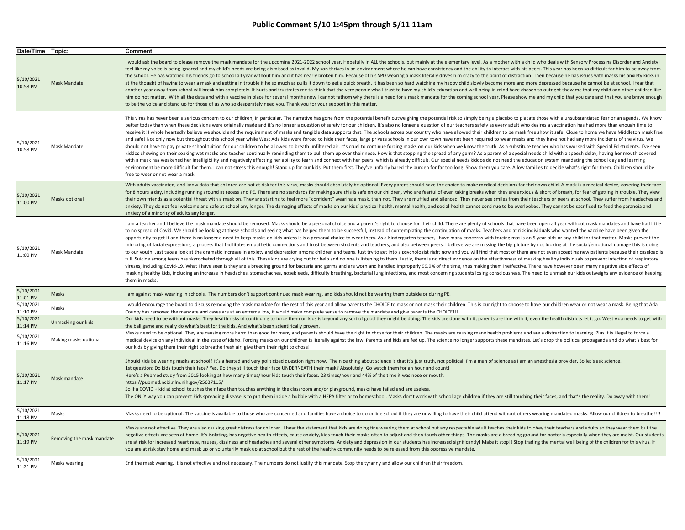| Date/Time Topic:                  |                           | Comment:                                                                                                                                                                                                                                                                                                                                                                                                                                                                                                                                                                                                                                                                                                                                                                                                                                                                                                                                                                                                                                                                                                                                                                                                                                                                                                                                                                                                                                                                                                                                                                                                                                                                                                                                                                                                                                                                                                         |
|-----------------------------------|---------------------------|------------------------------------------------------------------------------------------------------------------------------------------------------------------------------------------------------------------------------------------------------------------------------------------------------------------------------------------------------------------------------------------------------------------------------------------------------------------------------------------------------------------------------------------------------------------------------------------------------------------------------------------------------------------------------------------------------------------------------------------------------------------------------------------------------------------------------------------------------------------------------------------------------------------------------------------------------------------------------------------------------------------------------------------------------------------------------------------------------------------------------------------------------------------------------------------------------------------------------------------------------------------------------------------------------------------------------------------------------------------------------------------------------------------------------------------------------------------------------------------------------------------------------------------------------------------------------------------------------------------------------------------------------------------------------------------------------------------------------------------------------------------------------------------------------------------------------------------------------------------------------------------------------------------|
| 5/10/2021<br>10:58 PM             | Mask Mandate              | would ask the board to please remove the mask mandate for the upcoming 2021-2022 school year. Hopefully in ALL the schools, but mainly at the elementary level. As a mother with a child who deals with Sensory Processing Dis<br>feel like my voice is being ignored and my child's needs are being dismissed as invalid. My son thrives in an environment where he can have consistency and the ability to interact with his peers. This year has been so diff<br>the school. He has watched his friends go to school all year without him and it has nearly broken him. Because of his SPD wearing a mask literally drives him crazy to the point of distraction. Then because he has issues wi<br>at the thought of having to wear a mask and getting in trouble if he so much as pulls it down to get a quick breath. It has been so hard watching my happy child slowly become more and more depressed because he cannot be at<br>another year away from school will break him completely. It hurts and frustrates me to think that the very people who I trust to have my child's education and well being in mind have chosen to outright show me that my chil<br>him do not matter. With all the data and with a vaccine in place for several months now I cannot fathom why there is a need for a mask mandate for the coming school year. Please show me and my child that you care and that<br>to be the voice and stand up for those of us who so desperately need you. Thank you for your support in this matter.                                                                                                                                                                                                                                                                                                                                                                                  |
| 5/10/2021<br>10:58 PM             | Mask Mandate              | This virus has never been a serious concern to our children, in particular. The narrative has gone from the potential benefit outweighing the potential risk to simply being a placebo to placate those with a unsubstantiated<br>better today than when these decisions were originally made and it's no longer a question of safety for our children. It's also no longer a question of our teachers safety as every adult who desires a vaccination has had m<br>receive it! I whole heartedly believe we should end the requirement of masks and tangible data supports that. The schools across our country who have allowed their children to be mask free show it safe! Close to home we ha<br>and safe! Not only now but throughout this school year while West Ada kids were forced to hide their faces, large private schools in our own town have not been required to wear masks and they have not had any more incident<br>should not have to pay private school tuition for our children to be allowed to breath unfiltered air. It's cruel to continue forcing masks on our kids when we know the truth. As a substitute teacher who has worked with Sp<br>kiddos chewing on their soaking wet masks and teacher continually reminding them to pull them up over their nose. How is that stopping the spread of any germ? As a parent of a special needs child with a speech delay, havin<br>with a mask has weakened her intelligibility and negatively effecting her ability to learn and connect with her peers, which is already difficult. Our special needs kiddos do not need the education system mandating the sch<br>environment be more difficult for them. I can not stress this enough! Stand up for our kids. Put them first. They've unfairly bared the burden for far too long. Show them you care. Allow families to decide what's right for<br>free to wear or not wear a mask. |
| 5/10/2021<br>11:00 PM             | Masks optional            | With adults vaccinated, and know data that children are not at risk for this virus, masks should absolutely be optional. Every parent should have the choice to make medical decisions for their own child. A mask is a medica<br>for 8 hours a day, including running around at recess and PE. There are no standards for making sure this is safe on our children, who are fearful of even taking breaks when they are anxious & short of breath, for fear of<br>their own friends as a potential threat with a mask on. They are starting to feel more "confident" wearing a mask, than not. They are muffled and silenced. They never see smiles from their teachers or peers at school. They<br>anxiety. They do not feel welcome and safe at school any longer. The damaging effects of masks on our kids' physical health, mental health, and social health cannot continue to be overlooked. They cannot be sacrificed to f<br>anxiety of a minority of adults any longer.                                                                                                                                                                                                                                                                                                                                                                                                                                                                                                                                                                                                                                                                                                                                                                                                                                                                                                                               |
| 5/10/2021<br>11:00 PM             | Mask Mandate              | am a teacher and I believe the mask mandate should be removed. Masks should be a personal choice and a parent's right to choose for their child. There are plenty of schools that have been open all year without mask mandate<br>to no spread of Covid. We should be looking at these schools and seeing what has helped them to be successful, instead of contemplating the continuation of masks. Teachers and at risk individuals who wanted the vaccine hav<br>opportunity to get it and there is no longer a need to keep masks on kids unless it is a personal choice to wear them. As a Kindergarten teacher, I have many concerns with forcing masks on 5 year olds or any child for that<br>mirroring of facial expressions, a process that facilitates empathetic connections and trust between students and teachers, and also between peers. I believe we are missing the big picture by not looking at the social/emot<br>to our youth. Just take a look at the dramatic increase in anxiety and depression among children and teens. Just try to get into a psychologist right now and you will find that most of them are not even accepting new patie<br>full. Suicide among teens has skyrocketed through all of this. These kids are crying out for help and no one is listening to them. Lastly, there is no direct evidence on the effectiveness of masking healthy individuals to<br>viruses, including Covid-19. What I have seen is they are a breeding ground for bacteria and germs and are worn and handled improperly 99.9% of the time, thus making them ineffective. There have however been many negative<br>masking healthy kids, including an increase in headaches, stomachaches, nosebleeds, difficulty breathing, bacterial lung infections, and most concerning students losing consciousness. The need to unmask our kids outweighs<br>them in masks.                      |
| 5/10/2021<br>11:01 PM             | Masks                     | am against mask wearing in schools. The numbers don't support continued mask wearing, and kids should not be wearing them outside or during PE.                                                                                                                                                                                                                                                                                                                                                                                                                                                                                                                                                                                                                                                                                                                                                                                                                                                                                                                                                                                                                                                                                                                                                                                                                                                                                                                                                                                                                                                                                                                                                                                                                                                                                                                                                                  |
| $\frac{1}{5/10/2021}$<br>11:10 PM | Masks                     | would encourage the board to discuss removing the mask mandate for the rest of this year and allow parents the CHOICE to mask or not mask their children. This is our right to choose to have our children wear or not wear a<br>County has removed the mandate and cases are at an extreme low, it would make complete sense to remove the mandate and give parents the CHOICE!!!                                                                                                                                                                                                                                                                                                                                                                                                                                                                                                                                                                                                                                                                                                                                                                                                                                                                                                                                                                                                                                                                                                                                                                                                                                                                                                                                                                                                                                                                                                                               |
| 5/10/2021<br>11:14 PM             | Jnmasking our kids        | Our kids need to be without masks. They health risks of continuing to force them on kids is beyond any sort of good they might be doing. The kids are done with it, parents are fine with it, even the health districts let it<br>the ball game and really do what's best for the kids. And what's been scientifically proven.                                                                                                                                                                                                                                                                                                                                                                                                                                                                                                                                                                                                                                                                                                                                                                                                                                                                                                                                                                                                                                                                                                                                                                                                                                                                                                                                                                                                                                                                                                                                                                                   |
| 5/10/2021<br>11:16 PM             | Making masks optional     | Masks need to be optional. They are causing more harm than good for many and parents should have the right to chose for their children. The masks are causing many health problems and are a distraction to learning. Plus it<br>medical device on any individual in the state of Idaho. Forcing masks on our children is literally against the law. Parents and kids are fed up. The science no longer supports these mandates. Let's drop the political propa<br>our kids by giving them their right to breathe fresh air, give them their right to chose!                                                                                                                                                                                                                                                                                                                                                                                                                                                                                                                                                                                                                                                                                                                                                                                                                                                                                                                                                                                                                                                                                                                                                                                                                                                                                                                                                     |
| 5/10/2021<br>11:17 PM             | Mask mandate              | Should kids be wearing masks at school? It's a heated and very politicized question right now. The nice thing about science is that it's just truth, not political. I'm a man of science as I am an anesthesia provider. So le<br>1st question: Do kids touch their face? Yes. Do they still touch their face UNDERNEATH their mask? Absolutely! Go watch them for an hour and count!<br>Here's a Pubmed study from 2015 looking at how many times/hour kids touch their faces. 23 times/hour and 44% of the time it was nose or mouth.<br>https://pubmed.ncbi.nlm.nih.gov/25637115/<br>So if a COVID + kid at school touches their face then touches anything in the classroom and/or playground, masks have failed and are useless.<br>The ONLY way you can prevent kids spreading disease is to put them inside a bubble with a HEPA filter or to homeschool. Masks don't work with school age children if they are still touching their faces, and that's the reali                                                                                                                                                                                                                                                                                                                                                                                                                                                                                                                                                                                                                                                                                                                                                                                                                                                                                                                                          |
| 5/10/2021<br>11:18 PM             | Masks                     | Masks need to be optional. The vaccine is available to those who are concerned and families have a choice to do online school if they are unwilling to have their child attend without others wearing mandated masks. Allow ou                                                                                                                                                                                                                                                                                                                                                                                                                                                                                                                                                                                                                                                                                                                                                                                                                                                                                                                                                                                                                                                                                                                                                                                                                                                                                                                                                                                                                                                                                                                                                                                                                                                                                   |
| 5/10/2021<br>11:19 PM             | Removing the mask mandate | Masks are not effective. They are also causing great distress for children. I hear the statement that kids are doing fine wearing them at school but any respectable adult teaches their kids to obey their teachers and adult<br>negative effects are seen at home. It's isolating, has negative health effects, cause anxiety, kids touch their masks often to adjust and then touch other things. The masks are a breeding ground for bacteria especially whe<br>are at risk for increased heart rate, nausea, dizziness and headaches and several other symptoms. Anxiety and depression in our students has increased significantly! Make it stop!! Stop trading the mental well being of the<br>you are at risk stay home and mask up or voluntarily mask up at school but the rest of the healthy community needs to be released from this oppressive mandate.                                                                                                                                                                                                                                                                                                                                                                                                                                                                                                                                                                                                                                                                                                                                                                                                                                                                                                                                                                                                                                            |
| 5/10/2021<br>11:21 PM             | Masks wearing             | End the mask wearing. It is not effective and not necessary. The numbers do not justify this mandate. Stop the tyranny and allow our children their freedom.                                                                                                                                                                                                                                                                                                                                                                                                                                                                                                                                                                                                                                                                                                                                                                                                                                                                                                                                                                                                                                                                                                                                                                                                                                                                                                                                                                                                                                                                                                                                                                                                                                                                                                                                                     |
|                                   |                           |                                                                                                                                                                                                                                                                                                                                                                                                                                                                                                                                                                                                                                                                                                                                                                                                                                                                                                                                                                                                                                                                                                                                                                                                                                                                                                                                                                                                                                                                                                                                                                                                                                                                                                                                                                                                                                                                                                                  |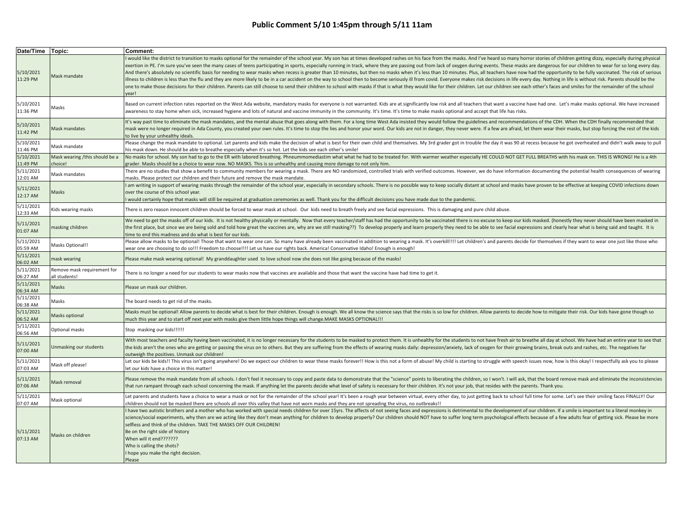| Date/Time Topic:      |                                              | Comment:                                                                                                                                                                                                                                                                                                                                                                                                                                                                                                                                                                                                                                                                                                                                                                                                                                                                                                                                                                                                                                                                                                                                                                       |
|-----------------------|----------------------------------------------|--------------------------------------------------------------------------------------------------------------------------------------------------------------------------------------------------------------------------------------------------------------------------------------------------------------------------------------------------------------------------------------------------------------------------------------------------------------------------------------------------------------------------------------------------------------------------------------------------------------------------------------------------------------------------------------------------------------------------------------------------------------------------------------------------------------------------------------------------------------------------------------------------------------------------------------------------------------------------------------------------------------------------------------------------------------------------------------------------------------------------------------------------------------------------------|
| 5/10/2021<br>11:29 PM | Mask mandate                                 | would like the district to transition to masks optional for the remainder of the school year. My son has at times developed rashes on his face from the masks. And I've heard so many horror stories of children getting dizzy<br>exertion in PE. I'm sure you've seen the many cases of teens participating in sports, especially running in track, where they are passing out from lack of oxygen during events. These masks are dangerous for our children to<br>And there's absolutely no scientific basis for needing to wear masks when recess is greater than 10 minutes, but then no masks when it's less than 10 minutes. Plus, all teachers have now had the opportunity to be fully vac<br>illness to children is less than the flu and they are more likely to be in a car accident on the way to school then to become seriously ill from covid. Everyone makes risk decisions in life every day. Nothing in life is wi<br>one to make those decisions for their children. Parents can still choose to send their children to school with masks if that is what they would like for their children. Let our children see each other's faces and smiles fo<br>ear! |
| 5/10/2021<br>11:36 PM | Masks                                        | Based on current infection rates reported on the West Ada website, mandatory masks for everyone is not warranted. Kids are at significantly low risk and all teachers that want a vaccine have had one. Let's make masks optio<br>awareness to stay home when sick, increased hygiene and lots of natural and vaccine immunity in the community. It's time. It's time to make masks optional and accept that life has risks.                                                                                                                                                                                                                                                                                                                                                                                                                                                                                                                                                                                                                                                                                                                                                   |
| 5/10/2021<br>11:42 PM | Mask mandates                                | It's way past time to eliminate the mask mandates, and the mental abuse that goes along with them. For a long time West Ada insisted they would follow the guidelines and recommendations of the CDH. When the CDH finally rec<br>mask were no longer required in Ada County, you created your own rules. It's time to stop the lies and honor your word. Our kids are not in danger, they never were. If a few are afraid, let them wear their masks, but stop<br>to live by your unhealthy ideals.                                                                                                                                                                                                                                                                                                                                                                                                                                                                                                                                                                                                                                                                           |
| 5/10/2021<br>11:46 PM | Mask mandate                                 | Please change the mask mandate to optional. Let parents and kids make the decision of what is best for their own child and themselves. My 3rd grader got in trouble the day it was 90 at recess because he got overheated and<br>his mask down. He should be able to breathe especially when it's so hot. Let the kids see each other's smile!                                                                                                                                                                                                                                                                                                                                                                                                                                                                                                                                                                                                                                                                                                                                                                                                                                 |
| 5/10/2021<br>11:49 PM | Mask wearing /this should be a<br>choice!    | No masks for school. My son had to go to the ER with labored breathing. Phneummomediastim what what he had to be treated for. With warmer weather especially HE COULD NOT GET FULL BREATHS with his mask on. THIS IS WRONG! He<br>grader. Masks should be a choice to wear now. NO MASKS. This is so unhealthy and causing more damage to not only him.                                                                                                                                                                                                                                                                                                                                                                                                                                                                                                                                                                                                                                                                                                                                                                                                                        |
| 5/11/2021<br>12:01 AM | Mask mandates                                | There are no studies that show a benefit to community members for wearing a mask. There are NO randomized, controlled trials with verified outcomes. However, we do have information documenting the potential health conseque<br>masks. Please protect our children and their future and remove the mask mandate.                                                                                                                                                                                                                                                                                                                                                                                                                                                                                                                                                                                                                                                                                                                                                                                                                                                             |
| 5/11/2021<br>12:17 AM | Masks                                        | I am writing in support of wearing masks through the remainder of the school year, especially in secondary schools. There is no possible way to keep socially distant at school and masks have proven to be effective at keepi<br>over the course of this school year.<br>would certainly hope that masks will still be required at graduation ceremonies as well. Thank you for the difficult decisions you have made due to the pandemic.                                                                                                                                                                                                                                                                                                                                                                                                                                                                                                                                                                                                                                                                                                                                    |
| 5/11/2021<br>12:33 AM | Kids wearing masks                           | There is zero reason innocent children should be forced to wear mask at school. Our kids need to breath freely and see facial expressions. This is damaging and pure child abuse.                                                                                                                                                                                                                                                                                                                                                                                                                                                                                                                                                                                                                                                                                                                                                                                                                                                                                                                                                                                              |
| 5/11/2021<br>01:07 AM | masking children                             | We need to get the masks off of our kids. It is not healthy physically or mentally. Now that every teacher/staff has had the opportunity to be vaccinated there is no excuse to keep our kids masked. (honestly they never sho<br>the first place, but since we are being sold and told how great the vaccines are, why are we still masking??) To develop properly and learn properly they need to be able to see facial expressions and clearly hear what is b<br>time to end this madness and do what is best for our kids.                                                                                                                                                                                                                                                                                                                                                                                                                                                                                                                                                                                                                                                 |
| 5/11/2021<br>05:59 AM | Masks Optional!!                             | Please allow masks to be optional! Those that want to wear one can. So many have already been vaccinated in addition to wearing a mask. It's overkill!!!! Let children's and parents decide for themselves if they want to wea<br>wear one are choosing to do so!!! Freedom to choose!!!! Let us have our rights back. America! Conservative Idaho! Enough is enough!                                                                                                                                                                                                                                                                                                                                                                                                                                                                                                                                                                                                                                                                                                                                                                                                          |
| 5/11/2021<br>06:02 AM | mask wearing                                 | Please make mask wearing optional! My granddaughter used to love school now she does not like going because of the masks!                                                                                                                                                                                                                                                                                                                                                                                                                                                                                                                                                                                                                                                                                                                                                                                                                                                                                                                                                                                                                                                      |
| 5/11/2021<br>06:27 AM | Remove mask requirement for<br>all students! | There is no longer a need for our students to wear masks now that vaccines are available and those that want the vaccine have had time to get it.                                                                                                                                                                                                                                                                                                                                                                                                                                                                                                                                                                                                                                                                                                                                                                                                                                                                                                                                                                                                                              |
| 5/11/2021<br>06:34 AM | Masks                                        | Please un mask our children.                                                                                                                                                                                                                                                                                                                                                                                                                                                                                                                                                                                                                                                                                                                                                                                                                                                                                                                                                                                                                                                                                                                                                   |
| 5/11/2021<br>06:38 AM | Masks                                        | The board needs to get rid of the masks.                                                                                                                                                                                                                                                                                                                                                                                                                                                                                                                                                                                                                                                                                                                                                                                                                                                                                                                                                                                                                                                                                                                                       |
| 5/11/2021<br>06:52 AM | Masks optional                               | Masks must be optional! Allow parents to decide what is best for their children. Enough is enough. We all know the science says that the risks is so low for children. Allow parents to decide how to mitigate their risk. Our<br>much this year and to start off next year with masks give them little hope things will change.MAKE MASKS OPTIONAL!!!                                                                                                                                                                                                                                                                                                                                                                                                                                                                                                                                                                                                                                                                                                                                                                                                                         |
| 5/11/2021<br>06:56 AM | Optional masks                               | Stop masking our kids!!!!!!                                                                                                                                                                                                                                                                                                                                                                                                                                                                                                                                                                                                                                                                                                                                                                                                                                                                                                                                                                                                                                                                                                                                                    |
| 5/11/2021<br>07:00 AM | Unmasking our students                       | With most teachers and faculty having been vaccinated, it is no longer necessary for the students to be masked to protect them. It is unhealthy for the students to not have fresh air to breathe all day at school. We have h<br>the kids aren't the ones who are getting or passing the virus on to others. But they are suffering from the effects of wearing masks daily: depression/anxiety, lack of oxygen for their growing brains, break outs and rashes<br>outweigh the positives. Unmask our children!                                                                                                                                                                                                                                                                                                                                                                                                                                                                                                                                                                                                                                                               |
| 5/11/2021<br>07:03 AM | Mask off please!                             | Let our kids be kids!! This virus isn't going anywhere! Do we expect our children to wear these masks forever!! How is this not a form of abuse! My child is starting to struggle with speech issues now, how is this okay! I<br>let our kids have a choice in this matter!                                                                                                                                                                                                                                                                                                                                                                                                                                                                                                                                                                                                                                                                                                                                                                                                                                                                                                    |
| 5/11/2021<br>07:06 AM | Mask removal                                 | Please remove the mask mandate from all schools. I don't feel it necessary to copy and paste data to demonstrate that the "science" points to liberating the children, so I won't. I will ask, that the board remove mask and<br>that run rampant through each school concerning the mask. If anything let the parents decide what level of safety is necessary for their children. It's not your job, that resides with the parents. Thank you.                                                                                                                                                                                                                                                                                                                                                                                                                                                                                                                                                                                                                                                                                                                               |
| 5/11/2021<br>07:07 AM | Mask optional                                | Let parents and students have a choice to wear a mask or not for the remainder of the school year! It's been a rough year between virtual, every other day, to just getting back to school full time for some. Let's see their<br>children should not be masked there are schools all over this valley that have not worn masks and they are not spreading the virus, no outbreaks!!                                                                                                                                                                                                                                                                                                                                                                                                                                                                                                                                                                                                                                                                                                                                                                                           |
| 5/11/2021<br>07:13 AM | Masks on children                            | I have two autistic brothers and a mother who has worked with special needs children for over 15yrs. The affects of not seeing faces and expressions is detrimental to the development of our children. If a smile is importan<br>science/social experiments, why then are we acting like they don't mean anything for children to develop properly? Our children should NOT have to suffer long term psychological effects because of a few adults fear of gett<br>selfless and think of the children. TAKE THE MASKS OFF OUR CHILDREN!<br>Be on the right side of history<br>When will it end???????<br>Who is calling the shots?<br>I hope you make the right decision.<br>Please                                                                                                                                                                                                                                                                                                                                                                                                                                                                                           |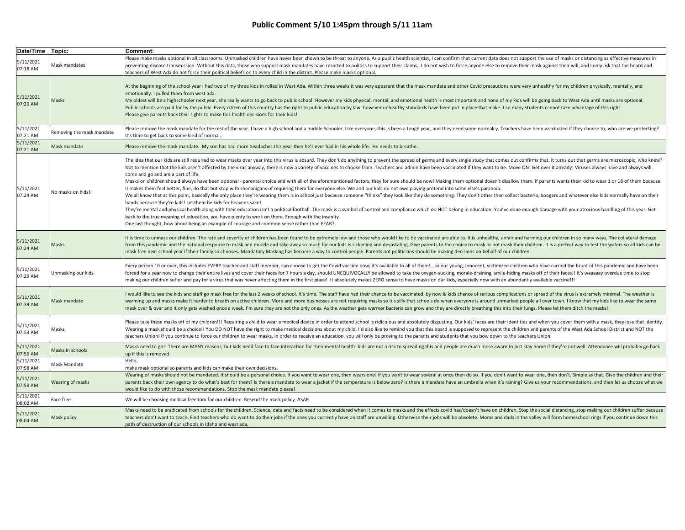| Date/Time Topic:      |                           | Comment:                                                                                                                                                                                                                                                                                                                                                                                                                                                                                                                                                                                                                                                                                                                                                                                                                                                                                                                                                                                                                                                                                                                                                                                                                                                                                                                                                                                                                                                                                                                                                                                                                                                           |
|-----------------------|---------------------------|--------------------------------------------------------------------------------------------------------------------------------------------------------------------------------------------------------------------------------------------------------------------------------------------------------------------------------------------------------------------------------------------------------------------------------------------------------------------------------------------------------------------------------------------------------------------------------------------------------------------------------------------------------------------------------------------------------------------------------------------------------------------------------------------------------------------------------------------------------------------------------------------------------------------------------------------------------------------------------------------------------------------------------------------------------------------------------------------------------------------------------------------------------------------------------------------------------------------------------------------------------------------------------------------------------------------------------------------------------------------------------------------------------------------------------------------------------------------------------------------------------------------------------------------------------------------------------------------------------------------------------------------------------------------|
| 5/11/2021<br>07:18 AM | Mask mandates             | Please make masks optional in all classrooms. Unmasked children have never been shown to be threat to anyone. As a public health scientist, I can confirm that current data does not support the use of masks or distancing as<br>preventing disease transmission. Without this data, those who support mask mandates have resorted to politics to support their claims. I do not wish to force anyone else to remove their mask against their will, and I only<br>teachers of West Ada do not force their political beliefs on to every child in the district. Please make masks optional.                                                                                                                                                                                                                                                                                                                                                                                                                                                                                                                                                                                                                                                                                                                                                                                                                                                                                                                                                                                                                                                                        |
| 5/11/2021<br>07:20 AM | Masks                     | At the beginning of the school year I had two of my three kids in rolled in West Ada. Within three weeks it was very apparent that the mask mandate and other Covid precautions were very unhealthy for my children physically<br>emotionally. I pulled them from west ada.<br>My oldest will be a highschooler next year, she really wants to go back to public school. However my kids physical, mental, and emotional health is most important and none of my kids will be going back to West Ada until ma<br>Public schools are paid for by the public. Every citizen of this country has the right to public education by law. however unhealthy standards have been put in place that make it so many students cannot take advantage of t<br>Please give parents back their rights to make this health decisions for their kids!                                                                                                                                                                                                                                                                                                                                                                                                                                                                                                                                                                                                                                                                                                                                                                                                                             |
| 5/11/2021<br>07:21 AM | Removing the mask mandate | Please remove the mask mandate for the rest of the year. I have a high school and a middle Schooler. Like everyone, this is been a tough year, and they need some normalcy. Teachers have been vaccinated if they choose to, w<br>t's time to get back to some kind of normal.                                                                                                                                                                                                                                                                                                                                                                                                                                                                                                                                                                                                                                                                                                                                                                                                                                                                                                                                                                                                                                                                                                                                                                                                                                                                                                                                                                                     |
| 5/11/2021<br>07:21 AM | Mask mandate              | Please remove the mask mandate. My son has had more headaches this year then he's ever had in his whole life. He needs to breathe.                                                                                                                                                                                                                                                                                                                                                                                                                                                                                                                                                                                                                                                                                                                                                                                                                                                                                                                                                                                                                                                                                                                                                                                                                                                                                                                                                                                                                                                                                                                                 |
| 5/11/2021<br>07:24 AM | No masks on kids!!        | The idea that our kids are still required to wear masks over year into this virus is absurd. They don't do anything to prevent the spread of germs and every single study that comes out confirms that. It turns out that germ<br>Not to mention that the kids aren't affected by the virus anyway, there is now a variety of vaccines to choose from. Teachers and admin have been vaccinated if they want to be. Move ON! Get over it already! Viruses always<br>come and go and are a part of life.<br>Masks on children should always have been optional - parental choice and with all of the aforementioned factors, they for sure should be now! Making them optional doesn't disallow them. If parents wants their kid to wear 1<br>t makes them feel better, fine, do that but stop with shenanigans of requiring them for everyone else. We and our kids do not owe playing pretend into some else's paranoia.<br>We all know that at this point, basically the only place they're wearing them is in school just because someone "thinks" they look like they do something. They don't other than collect bacteria, boogers and whatever else k<br>hands because they're kids! Let them be kids for heavens sake!<br>They're mental and physical health along with their education isn't a political football. The mask is a symbol of control and compliance which do NOT belong in education: You've done enough damage with your atrocious handl<br>back to the true meaning of education, you have plenty to work on there. Enough with the insanity.<br>One last thought, how about being an example of courage and common sense rather than FEAR? |
| 5/11/2021<br>07:24 AM | Masks                     | It is time to unmask our children. The rate and severity of children has been found to be extremely low and those who would like to be vaccinated are able to. It is unhealthy, unfair and harming our children in so many way<br>from this pandemic and the national response to mask and muzzle and take away so much for our kids is sickening and devastating. Give parents to the choice to mask or not mask their children. It is a perfect way to test th<br>mask free next school year if their family so chooses. Mandatory Masking has become a way to control people. Parents not politicians should be making decisions on behalf of our children.                                                                                                                                                                                                                                                                                                                                                                                                                                                                                                                                                                                                                                                                                                                                                                                                                                                                                                                                                                                                     |
| 5/11/2021<br>07:29 AM | Unmasking our kids        | Every person 16 or over, this includes EVERY teacher and staff member, can choose to get the Covid vaccine now; it's available to all of them !so our young, innocent, victimized children who have carried the brunt of th<br>forced for a year now to change their entire lives and cover their faces for 7 hours a day, should UNEQUIVOCALLY be allowed to take the oxygen-sucking, morale-draining, smile-hiding masks off of their faces!! It's waaaaay<br>making our children suffer and pay for a virus that was never affecting them in the first place! It absolutely makes ZERO sense to have masks on our kids, especially now with an abundantly available vaccine!!!                                                                                                                                                                                                                                                                                                                                                                                                                                                                                                                                                                                                                                                                                                                                                                                                                                                                                                                                                                                  |
| 5/11/2021<br>07:39 AM | Mask mandate              | would like to see the kids and staff go mask free for the last 2 weeks of school. It's time. The staff have had their chance to be vaccinated by now & kids chance of serious complications or spread of the virus is extremel<br>warming up and masks make it harder to breath on active children. More and more businesses are not requiring masks so it's silly that schools do when everyone is around unmarked people all over town. I know that my kids li<br>mask over & over and it only gets washed once a week. I'm sure they are not the only ones. As the weather gets warmer bacteria can grow and they are directly breathing this into their lungs. Please let them ditch the masks                                                                                                                                                                                                                                                                                                                                                                                                                                                                                                                                                                                                                                                                                                                                                                                                                                                                                                                                                                 |
| 5/11/2021<br>07:53 AM | Masks                     | Please take these masks off of my children!!! Requiring a child to wear a medical device in order to attend school is ridiculous and absolutely disgusting. Our kids' faces are their identities and when you cover them with<br>Wearing a mask should be a choice!! You DO NOT have the right to make medical decisions about my child. I'd also like to remind you that this board is supposed to represent the children and parents of the West Ada School D<br>teachers Union! If you continue to force our children to wear masks, in order to receive an education, you will only be proving to the parents and students that you bow down to the teachers Union.                                                                                                                                                                                                                                                                                                                                                                                                                                                                                                                                                                                                                                                                                                                                                                                                                                                                                                                                                                                            |
| 5/11/2021<br>07:56 AM | Masks in schools          | Masks need to go!! There are MANY reasons, but kids need face to face interaction for their mental health! kids are not a risk to spreading this and people are much more aware to just stay home if they're not well. Attenda<br>up if this is removed.                                                                                                                                                                                                                                                                                                                                                                                                                                                                                                                                                                                                                                                                                                                                                                                                                                                                                                                                                                                                                                                                                                                                                                                                                                                                                                                                                                                                           |
| 5/11/2021<br>07:58 AM | Mask Mandate              | Hello,<br>make mask optional so parents and kids can make their own decisions.                                                                                                                                                                                                                                                                                                                                                                                                                                                                                                                                                                                                                                                                                                                                                                                                                                                                                                                                                                                                                                                                                                                                                                                                                                                                                                                                                                                                                                                                                                                                                                                     |
| 5/11/2021<br>07:58 AM | Wearing of masks          | Wearing of masks should not be mandated. It should be a personal choice. If you want to wear one, then wears one! If you want to wear several at once then do so. If you don't want to wear one, then don't. Simple as that. G<br>parents back their own agency to do what's best for them? Is there a mandate to wear a jacket if the temperature is below zero? Is there a mandate have an umbrella when it's raining? Give us your recommendations, and then<br>would like to do with those recommendations. Stop the mask mandate please!                                                                                                                                                                                                                                                                                                                                                                                                                                                                                                                                                                                                                                                                                                                                                                                                                                                                                                                                                                                                                                                                                                                      |
| 5/11/2021<br>08:02 AM | Face free                 | We will be choosing medical freedom for our children. Resend the mask policy. ASAP                                                                                                                                                                                                                                                                                                                                                                                                                                                                                                                                                                                                                                                                                                                                                                                                                                                                                                                                                                                                                                                                                                                                                                                                                                                                                                                                                                                                                                                                                                                                                                                 |
| 5/11/2021<br>08:04 AM | Mask policy               | Masks need to be eradicated from schools for the children. Science, data and facts need to be considered when it comes to masks and the effects covid has/doesn't have on children. Stop the social distancing, stop making ou<br>teachers don't want to teach. Find teachers who do want to do their jobs if the ones you currently have on staff are unwilling. Otherwise their jobs will be obsolete. Moms and dads in the valley will form homeschool rings<br>path of destruction of our schools in Idaho and west ada.                                                                                                                                                                                                                                                                                                                                                                                                                                                                                                                                                                                                                                                                                                                                                                                                                                                                                                                                                                                                                                                                                                                                       |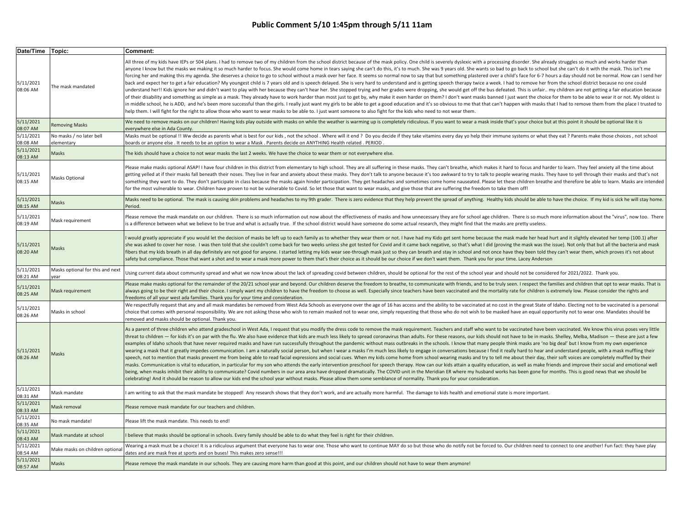| Date/Time Topic:                  |                                          | Comment:                                                                                                                                                                                                                                                                                                                                                                                                                                                                                                                                                                                                                                                                                                                                                                                                                                                                                                                                                                                                                                                                                                                                                                                                                                                                                                                                                                                                                                                                                                                                                                                                                                                                                                                                                                                                                 |
|-----------------------------------|------------------------------------------|--------------------------------------------------------------------------------------------------------------------------------------------------------------------------------------------------------------------------------------------------------------------------------------------------------------------------------------------------------------------------------------------------------------------------------------------------------------------------------------------------------------------------------------------------------------------------------------------------------------------------------------------------------------------------------------------------------------------------------------------------------------------------------------------------------------------------------------------------------------------------------------------------------------------------------------------------------------------------------------------------------------------------------------------------------------------------------------------------------------------------------------------------------------------------------------------------------------------------------------------------------------------------------------------------------------------------------------------------------------------------------------------------------------------------------------------------------------------------------------------------------------------------------------------------------------------------------------------------------------------------------------------------------------------------------------------------------------------------------------------------------------------------------------------------------------------------|
| 5/11/2021<br>08:06 AM             | The mask mandated                        | All three of my kids have IEPs or 504 plans. I had to remove two of my children from the school district because of the mask policy. One child is severely dyslexic with a processing disorder. She already struggles so much<br>anyone I know but the masks we making it so much harder to focus. She would come home in tears saying she can't do this, it's to much. She was 9 years old. She wants so bad to go back to school but she can't do it with the<br>forcing her and making this my agenda. She deserves a choice to go to school without a mask over her face. It seems so normal now to say that but something plastered over a child's face for 6-7 hours a day should not be no<br>back and expect her to get a fair education? My youngest child is 7 years old and is speech delayed. She is very hard to understand and is getting speech therapy twice a week. I had to remove her from the school district b<br>understand her!! Kids ignore her and didn't want to play with her because they can't hear her. She stopped trying and her grades were dropping, she would get off the bus defeated. This is unfair my children are not getti<br>of their disability and something as simple as a mask. They already have to work harder than most just to get by, why make it even harder on them? I don't want masks banned I just want the choice for them to be able to wea<br>in middle school, he is ADD, and he's been more successful than the girls. I really just want my girls to be able to get a good education and it's so obvious to me that that can't happen with masks that I had to remove the<br>help them. I will fight for the right to allow those who want to wear masks to be able to. I just want someone to also fight for the kids who need to not wear them.          |
| 5/11/2021<br>08:07 AM             | <b>Removing Masks</b>                    | We need to remove masks on our children! Having kids play outside with masks on while the weather is warming up is completely ridiculous. If you want to wear a mask inside that's your choice but at this point it should be<br>everywhere else in Ada County.                                                                                                                                                                                                                                                                                                                                                                                                                                                                                                                                                                                                                                                                                                                                                                                                                                                                                                                                                                                                                                                                                                                                                                                                                                                                                                                                                                                                                                                                                                                                                          |
| $\frac{1}{5/11/2021}$<br>08:08 AM | No masks / no later bell<br>elementary   | Masks must be optional !! Ww decide as parents what is best for our kids, not the school. Where will it end ? Do you decide if they take vitamins every day yo help their immune systems or what they eat ? Parents make those<br>boards or anyone else . It needs to be an option to wear a Mask . Parents decide on ANYTHING Health related . PERIOD                                                                                                                                                                                                                                                                                                                                                                                                                                                                                                                                                                                                                                                                                                                                                                                                                                                                                                                                                                                                                                                                                                                                                                                                                                                                                                                                                                                                                                                                   |
| 5/11/2021                         |                                          |                                                                                                                                                                                                                                                                                                                                                                                                                                                                                                                                                                                                                                                                                                                                                                                                                                                                                                                                                                                                                                                                                                                                                                                                                                                                                                                                                                                                                                                                                                                                                                                                                                                                                                                                                                                                                          |
| 08:13 AM                          | Masks                                    | The kids should have a choice to not wear masks the last 2 weeks. We have the choice to wear them or not everywhere else.                                                                                                                                                                                                                                                                                                                                                                                                                                                                                                                                                                                                                                                                                                                                                                                                                                                                                                                                                                                                                                                                                                                                                                                                                                                                                                                                                                                                                                                                                                                                                                                                                                                                                                |
| 5/11/2021<br>08:15 AM             | <b>Masks Optional</b>                    | Please make masks optional ASAP! I have four children in this district from elementary to high school. They are all suffering in these masks. They can't breathe, which makes it hard to focus and harder to learn. They feel<br>getting yelled at if their masks fall beneath their noses. They live in fear and anxiety about these masks. They don't talk to anyone because it's too awkward to try to talk to people wearing masks. They have to yell throu<br>something they want to do. They don't participate in class because the masks again hinder participation. They get headaches and sometimes come home nauseated. Please let these children breathe and therefore be able to lear<br>for the most vulnerable to wear. Children have proven to not be vulnerable to Covid. So let those that want to wear masks, and give those that are suffering the freedom to take them off!                                                                                                                                                                                                                                                                                                                                                                                                                                                                                                                                                                                                                                                                                                                                                                                                                                                                                                                          |
| 5/11/2021<br>08:15 AM             | Masks                                    | Masks need to be optional. The mask is causing skin problems and headaches to my 9th grader. There is zero evidence that they help prevent the spread of anything. Healthy kids should be able to have the choice. If my kid i<br>Period.                                                                                                                                                                                                                                                                                                                                                                                                                                                                                                                                                                                                                                                                                                                                                                                                                                                                                                                                                                                                                                                                                                                                                                                                                                                                                                                                                                                                                                                                                                                                                                                |
| 5/11/2021<br>08:19 AM             | Mask requirement                         | Please remove the mask mandate on our children. There is so much information out now about the effectiveness of masks and how unnecessary they are for school age children. There is so much more information about the "virus<br>is a difference between what we believe to be true and what is actually true. If the school district would have someone do some actual research, they might find that the masks are pretty useless.                                                                                                                                                                                                                                                                                                                                                                                                                                                                                                                                                                                                                                                                                                                                                                                                                                                                                                                                                                                                                                                                                                                                                                                                                                                                                                                                                                                    |
| 5/11/2021<br>08:20 AM             | Masks                                    | would greatly appreciate if you would let the decision of masks be left up to each family as to whether they wear them or not. I have had my Kido get sent home because the mask made her head hurt and it slightly elevated h<br>she was asked to cover her nose. I was then told that she couldn't come back for two weeks unless she got tested for Covid and it came back negative, so that's what I did (proving the mask was the issue). Not only that but<br>fibers that my kids breath in all day definitely are not good for anyone. I started letting my kids wear see-through mask just so they can breath and stay in school and not once have they been told they can't wear them, wh<br>safety but compliance. Those that want a shot and to wear a mask more power to them that's their choice as it should be our choice if we don't want them. Thank you for your time. Lacey Anderson                                                                                                                                                                                                                                                                                                                                                                                                                                                                                                                                                                                                                                                                                                                                                                                                                                                                                                                  |
| 5/11/2021<br>08:21 AM             | Masks optional for this and next<br>vear | Using current data about community spread and what we now know about the lack of spreading covid between children, should be optional for the rest of the school year and should not be considered for 2021/2022. Thank you.                                                                                                                                                                                                                                                                                                                                                                                                                                                                                                                                                                                                                                                                                                                                                                                                                                                                                                                                                                                                                                                                                                                                                                                                                                                                                                                                                                                                                                                                                                                                                                                             |
| 5/11/2021<br>08:25 AM             | Mask requirement                         | Please make masks optional for the remainder of the 20/21 school year and beyond. Our children deserve the freedom to breathe, to communicate with friends, and to be truly seen. I respect the families and children that opt<br>always going to be their right and their choice. I simply want my children to have the freedom to choose as well. Especially since teachers have been vaccinated and the mortality rate for children is extremely low. Please<br>freedoms of all your west ada families. Thank you for your time and consideration.                                                                                                                                                                                                                                                                                                                                                                                                                                                                                                                                                                                                                                                                                                                                                                                                                                                                                                                                                                                                                                                                                                                                                                                                                                                                    |
| 5/11/2021<br>08:26 AM             | Masks in school                          | We respectfully request that any and all mask mandates be removed from West Ada Schools as everyone over the age of 16 has access and the ability to be vaccinated at no cost in the great State of Idaho. Electing not to be<br>choice that comes with personal responsibility. We are not asking those who wish to remain masked not to wear one, simply requesting that those who do not wish to be masked have an equal opportunity not to wear one. Mandat<br>removed and masks should be optional. Thank you.                                                                                                                                                                                                                                                                                                                                                                                                                                                                                                                                                                                                                                                                                                                                                                                                                                                                                                                                                                                                                                                                                                                                                                                                                                                                                                      |
| 5/11/2021<br>08:26 AM             | Masks                                    | As a parent of three children who attend gradeschool in West Ada, I request that you modify the dress code to remove the mask requirement. Teachers and staff who want to be vaccinated have been vaccinated. We know this vir<br>threat to children - for kids it's on par with the flu. We also have evidence that kids are much less likely to spread coronavirus than adults. For these reasons, our kids should not have to be in masks. Shelley, Melba, Ma<br>examples of Idaho schools that have never required masks and have run successfully throughout the pandemic without mass outbreaks in the schools. I know that many people think masks are 'no big deal' but I know from my own<br>wearing a mask that it greatly impedes communication. I am a naturally social person, but when I wear a masks I'm much less likely to engage in conversations because I find it really hard to hear and understand people, wit<br>speech, not to mention that masks prevent me from being able to read facial expressions and social cues. When my kids come home from school wearing masks and try to tell me about their day, their soft voices are completely<br>masks. Communication is vital to education, in particular for my son who attends the early intervention preschool for speech therapy. How can our kids attain a quality education, as well as make friends and improve their s<br>being, when masks inhibit their ability to communicate? Covid numbers in our area area have dropped dramatically. The COVID unit in the Meridian ER where my husband works has been gone for months. This is good news that we<br>celebrating! And it should be reason to allow our kids end the school year without masks. Please allow them some semblance of normality. Thank you for your consideration. |
| 5/11/2021<br>08:31 AM             | Mask mandate                             | am writing to ask that the mask mandate be stopped! Any research shows that they don't work, and are actually more harmful. The damage to kids health and emotional state is more important.                                                                                                                                                                                                                                                                                                                                                                                                                                                                                                                                                                                                                                                                                                                                                                                                                                                                                                                                                                                                                                                                                                                                                                                                                                                                                                                                                                                                                                                                                                                                                                                                                             |
| 5/11/2021<br>08:33 AM             | Mask removal                             | Please remove mask mandate for our teachers and children.                                                                                                                                                                                                                                                                                                                                                                                                                                                                                                                                                                                                                                                                                                                                                                                                                                                                                                                                                                                                                                                                                                                                                                                                                                                                                                                                                                                                                                                                                                                                                                                                                                                                                                                                                                |
| 5/11/2021<br>08:35 AM             | No mask mandate!                         | Please lift the mask mandate. This needs to end!                                                                                                                                                                                                                                                                                                                                                                                                                                                                                                                                                                                                                                                                                                                                                                                                                                                                                                                                                                                                                                                                                                                                                                                                                                                                                                                                                                                                                                                                                                                                                                                                                                                                                                                                                                         |
| 5/11/2021<br>08:43 AM             | Mask mandate at school                   | I believe that masks should be optional in schools. Every family should be able to do what they feel is right for their children.                                                                                                                                                                                                                                                                                                                                                                                                                                                                                                                                                                                                                                                                                                                                                                                                                                                                                                                                                                                                                                                                                                                                                                                                                                                                                                                                                                                                                                                                                                                                                                                                                                                                                        |
| 5/11/2021<br>08:54 AM             | Make masks on children optiona           | Wearing a mask must be a choice! It is a ridiculous argument that everyone has to wear one. Those who want to continue MAY do so but those who do notify not be forced to. Our children need to connect to one another! Fun fa<br>dates and are mask free at sports and on buses! This makes zero sense!!!                                                                                                                                                                                                                                                                                                                                                                                                                                                                                                                                                                                                                                                                                                                                                                                                                                                                                                                                                                                                                                                                                                                                                                                                                                                                                                                                                                                                                                                                                                               |
| 5/11/2021<br>08:57 AM             | Masks                                    | Please remove the mask mandate in our schools. They are causing more harm than good at this point, and our children should not have to wear them anymore!                                                                                                                                                                                                                                                                                                                                                                                                                                                                                                                                                                                                                                                                                                                                                                                                                                                                                                                                                                                                                                                                                                                                                                                                                                                                                                                                                                                                                                                                                                                                                                                                                                                                |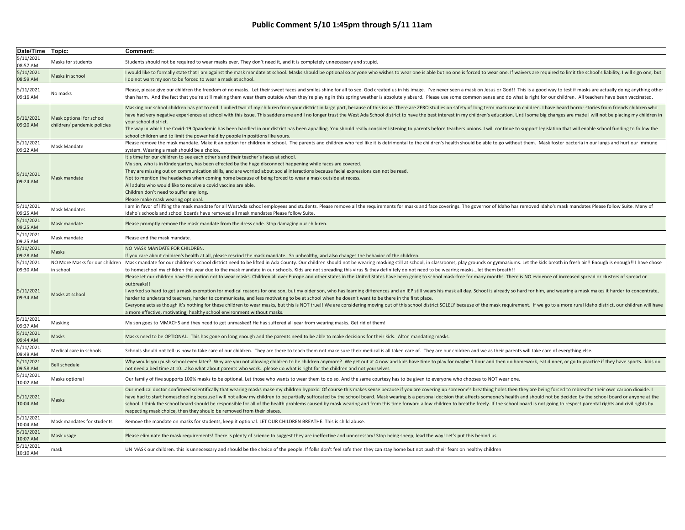| Date/Time Topic:                   |                                                         | Comment:                                                                                                                                                                                                                                                                                                                                                                                                                                                                                                                                                                                                                                                                                                                                                                                                                                                                                                                                       |
|------------------------------------|---------------------------------------------------------|------------------------------------------------------------------------------------------------------------------------------------------------------------------------------------------------------------------------------------------------------------------------------------------------------------------------------------------------------------------------------------------------------------------------------------------------------------------------------------------------------------------------------------------------------------------------------------------------------------------------------------------------------------------------------------------------------------------------------------------------------------------------------------------------------------------------------------------------------------------------------------------------------------------------------------------------|
| 5/11/2021<br>08:57 AM              | Masks for students                                      | Students should not be required to wear masks ever. They don't need it, and it is completely unnecessary and stupid.                                                                                                                                                                                                                                                                                                                                                                                                                                                                                                                                                                                                                                                                                                                                                                                                                           |
| 5/11/2021<br>08:59 AM              | Masks in school                                         | would like to formally state that I am against the mask mandate at school. Masks should be optional so anyone who wishes to wear one is able but no one is forced to wear one. If waivers are required to limit the school's l<br>do not want my son to be forced to wear a mask at school.                                                                                                                                                                                                                                                                                                                                                                                                                                                                                                                                                                                                                                                    |
| 5/11/2021<br>09:16 AM              | No masks                                                | Please, please give our children the freedom of no masks. Let their sweet faces and smiles shine for all to see. God created us in his image. I've never seen a mask on Jesus or God!! This is a good way to test if masks are<br>than harm. And the fact that you're still making them wear them outside when they're playing in this spring weather is absolutely absurd. Please use some common sense and do what is right for our children. All teachers hav                                                                                                                                                                                                                                                                                                                                                                                                                                                                               |
| 5/11/2021<br>09:20 AM              | Mask optional for school<br>children/ pandemic policies | Masking our school children has got to end. I pulled two of my children from your district in large part, because of this issue. There are ZERO studies on safety of long term mask use in children. I have heard horror stori<br>have had very negative experiences at school with this issue. This saddens me and I no longer trust the West Ada School district to have the best interest in my children's education. Until some big changes are made I will<br>your school district.<br>The way in which the Covid-19 Opandemic has been handled in our district has been appalling. You should really consider listening to parents before teachers unions. I will continue to support legislation that will enable s<br>school children and to limit the power held by people in positions like yours.                                                                                                                                   |
| $\frac{1}{5}{11}/2021$<br>09:22 AM | Mask Mandate                                            | Please remove the mask mandate. Make it an option for children in school. The parents and children who feel like it is detrimental to the children's health should be able to go without them. Mask foster bacteria in our lun<br>system. Wearing a mask should be a choice.                                                                                                                                                                                                                                                                                                                                                                                                                                                                                                                                                                                                                                                                   |
| 5/11/2021<br>09:24 AM              | Mask mandate                                            | t's time for our children to see each other's and their teacher's faces at school.<br>My son, who is in Kindergarten, has been effected by the huge disconnect happening while faces are covered.<br>They are missing out on communication skills, and are worried about social interactions because facial expressions can not be read.<br>Not to mention the headaches when coming home because of being forced to wear a mask outside at recess.<br>All adults who would like to receive a covid vaccine are able.<br>Children don't need to suffer any long.<br>Please make mask wearing optional.                                                                                                                                                                                                                                                                                                                                         |
| 5/11/2021<br>09:25 AM              | Mask Mandates                                           | am in favor of lifting the mask mandate for all WestAda school employees and students. Please remove all the requirements for masks and face coverings. The governor of Idaho has removed Idaho's mask mandates Please follow<br>Idaho's schools and school boards have removed all mask mandates Please follow Suite.                                                                                                                                                                                                                                                                                                                                                                                                                                                                                                                                                                                                                         |
| 5/11/2021<br>09:25 AM              | Mask mandate                                            | Please promptly remove the mask mandate from the dress code. Stop damaging our children.                                                                                                                                                                                                                                                                                                                                                                                                                                                                                                                                                                                                                                                                                                                                                                                                                                                       |
| 5/11/2021<br>09:25 AM              | Mask mandate                                            | Please end the mask mandate.                                                                                                                                                                                                                                                                                                                                                                                                                                                                                                                                                                                                                                                                                                                                                                                                                                                                                                                   |
| 5/11/2021<br>09:28 AM              | Masks                                                   | NO MASK MANDATE FOR CHILDREN.<br>f you care about children's health at all, please rescind the mask mandate. So unhealthy, and also changes the behavior of the children.                                                                                                                                                                                                                                                                                                                                                                                                                                                                                                                                                                                                                                                                                                                                                                      |
| 5/11/2021<br>09:30 AM              | NO More Masks for our children<br>in school             | Mask mandate for our children's school district need to be lifted in Ada County. Our children should not be wearing masking still at school, in classrooms, play grounds or gymnasiums. Let the kids breath in fresh air!! Eno<br>to homeschool my children this year due to the mask mandate in our schools. Kids are not spreading this virus & they definitely do not need to be wearing maskslet them breath!!                                                                                                                                                                                                                                                                                                                                                                                                                                                                                                                             |
| 5/11/2021<br>09:34 AM              | Masks at school                                         | Please let our children have the option not to wear masks. Children all over Europe and other states in the United States have been going to school mask-free for many months. There is NO evidence of increased spread or clu<br>outbreaks!!<br>worked so hard to get a mask exemption for medical reasons for one son, but my older son, who has learning differences and an IEP still wears his mask all day. School is already so hard for him, and wearing a mask makes it<br>harder to understand teachers, harder to communicate, and less motivating to be at school when he doesn't want to be there in the first place.<br>Everyone acts as though it's nothing for these children to wear masks, but this is NOT true!! We are considering moving out of this school district SOLELY because of the mask requirement. If we go to a more rural Idaho dis<br>a more effective, motivating, healthy school environment without masks. |
| $\frac{1}{5/11/2021}$<br>09:37 AM  | Masking                                                 | My son goes to MMACHS and they need to get unmasked! He has suffered all year from wearing masks. Get rid of them!                                                                                                                                                                                                                                                                                                                                                                                                                                                                                                                                                                                                                                                                                                                                                                                                                             |
| 5/11/2021<br>09:44 AM              | Masks                                                   | Masks need to be OPTIONAL. This has gone on long enough and the parents need to be able to make decisions for their kids. Alton mandating masks.                                                                                                                                                                                                                                                                                                                                                                                                                                                                                                                                                                                                                                                                                                                                                                                               |
| 5/11/2021<br>09:49 AM              | Medical care in schools                                 | Schools should not tell us how to take care of our children. They are there to teach them not make sure their medical is all taken care of. They are our children and we as their parents will take care of everything else.                                                                                                                                                                                                                                                                                                                                                                                                                                                                                                                                                                                                                                                                                                                   |
| 5/11/2021<br>09:58 AM              | <b>Bell schedule</b>                                    | Why would you push school even later? Why are you not allowing children to be children anymore? We get out at 4 now and kids have time to play for maybe 1 hour and then do homework, eat dinner, or go to practice if they ha<br>ot need a bed time at 10also what about parents who workplease do what is right for the children and not yourselves                                                                                                                                                                                                                                                                                                                                                                                                                                                                                                                                                                                          |
| 5/11/2021<br>10:02 AM              | Masks optional                                          | Our family of five supports 100% masks to be optional. Let those who wants to wear them to do so. And the same courtesy has to be given to everyone who chooses to NOT wear one.                                                                                                                                                                                                                                                                                                                                                                                                                                                                                                                                                                                                                                                                                                                                                               |
| 5/11/2021<br>10:04 AM              | Masks                                                   | Our medical doctor confirmed scientifically that wearing masks make my children hypoxic. Of course this makes sense because if you are covering up someone's breathing holes then they are being forced to rebreathe their own<br>have had to start homeschooling because I will not allow my children to be partially suffocated by the school board. Mask wearing is a personal decision that affects someone's health and should not be decided by the school<br>school. I think the school board should be responsible for all of the health problems caused by mask wearing and from this time forward allow children to breathe freely. If the school board is not going to respect parental<br>respecting mask choice, then they should be removed from their places.                                                                                                                                                                   |
| 5/11/2021<br>10:04 AM              | Mask mandates for students                              | Remove the mandate on masks for students, keep it optional. LET OUR CHILDREN BREATHE. This is child abuse.                                                                                                                                                                                                                                                                                                                                                                                                                                                                                                                                                                                                                                                                                                                                                                                                                                     |
| 5/11/2021<br>10:07 AM              | Mask usage                                              | Please eliminate the mask requirements! There is plenty of science to suggest they are ineffective and unnecessary! Stop being sheep, lead the way! Let's put this behind us.                                                                                                                                                                                                                                                                                                                                                                                                                                                                                                                                                                                                                                                                                                                                                                  |
| 5/11/2021<br>10:10 AM              | mask                                                    | UN MASK our children. this is unnecessary and should be the choice of the people. If folks don't feel safe then they can stay home but not push their fears on healthy children                                                                                                                                                                                                                                                                                                                                                                                                                                                                                                                                                                                                                                                                                                                                                                |
|                                    |                                                         |                                                                                                                                                                                                                                                                                                                                                                                                                                                                                                                                                                                                                                                                                                                                                                                                                                                                                                                                                |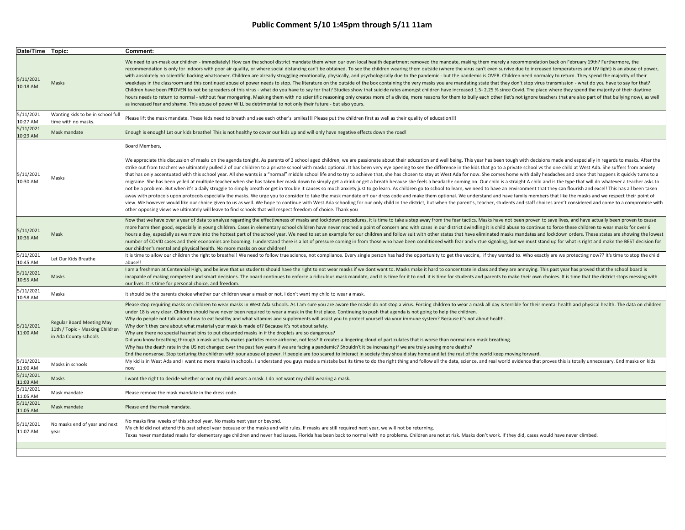| Date/Time Topic:      |                                                                                              | Comment:                                                                                                                                                                                                                                                                                                                                                                                                                                                                                                                                                                                                                                                                                                                                                                                                                                                                                                                                                                                                                                                                                                                                                                                                                                                                                                                                                                                                                                                                                                                                                                                                                                                                                                                                                                   |
|-----------------------|----------------------------------------------------------------------------------------------|----------------------------------------------------------------------------------------------------------------------------------------------------------------------------------------------------------------------------------------------------------------------------------------------------------------------------------------------------------------------------------------------------------------------------------------------------------------------------------------------------------------------------------------------------------------------------------------------------------------------------------------------------------------------------------------------------------------------------------------------------------------------------------------------------------------------------------------------------------------------------------------------------------------------------------------------------------------------------------------------------------------------------------------------------------------------------------------------------------------------------------------------------------------------------------------------------------------------------------------------------------------------------------------------------------------------------------------------------------------------------------------------------------------------------------------------------------------------------------------------------------------------------------------------------------------------------------------------------------------------------------------------------------------------------------------------------------------------------------------------------------------------------|
| 5/11/2021<br>10:18 AM | Masks                                                                                        | We need to un-mask our children - immediately! How can the school district mandate them when our own local health department removed the mandate, making them merely a recommendation back on February 19th? Furthermore, the<br>recommendation is only for indoors with poor air quality, or where social distancing can't be obtained. To see the children wearing them outside (where the virus can't even survive due to increased temperatures and UV ligh<br>with absolutely no scientific backing whatsoever. Children are already struggling emotionally, physically, and psychologically due to the pandemic - but the pandemic is OVER. Children need normalcy to return. They spend th<br>weekdays in the classroom and this continued abuse of power needs to stop. The literature on the outside of the box containing the very masks you are mandating state that they don't stop virus transmission - what do you ha<br>Children have been PROVEN to not be spreaders of this virus - what do you have to say for that? Studies show that suicide rates amongst children have increased 1.5- 2.25 % since Covid. The place where they spend the majori<br>hours needs to return to normal - without fear mongering. Masking them with no scientific reasoning only creates more of a divide, more reasons for them to bully each other (let's not ignore teachers that are also part of<br>as increased fear and shame. This abuse of power WILL be detrimental to not only their future - but also yours.                                                                                                                                                                                                                                                  |
| 5/11/2021<br>10:27 AM | Wanting kids to be in school full<br>time with no masks.                                     | Please lift the mask mandate. These kids need to breath and see each other's smiles!!! Please put the children first as well as their quality of education!!!                                                                                                                                                                                                                                                                                                                                                                                                                                                                                                                                                                                                                                                                                                                                                                                                                                                                                                                                                                                                                                                                                                                                                                                                                                                                                                                                                                                                                                                                                                                                                                                                              |
| 5/11/2021<br>10:29 AM | Mask mandate                                                                                 | Enough is enough! Let our kids breathe! This is not healthy to cover our kids up and will only have negative effects down the road!                                                                                                                                                                                                                                                                                                                                                                                                                                                                                                                                                                                                                                                                                                                                                                                                                                                                                                                                                                                                                                                                                                                                                                                                                                                                                                                                                                                                                                                                                                                                                                                                                                        |
| 5/11/2021<br>10:30 AM | Masks                                                                                        | Board Members.<br>We appreciate this discussion of masks on the agenda tonight. As parents of 3 school aged children, we are passionate about their education and well being. This year has been tough with decisions made and especially in reg<br>strike out from teachers we ultimately pulled 2 of our children to a private school with masks optional. It has been very eye opening to see the difference in the kids that go to a private school vs the one child at West A<br>that has only accentuated with this school year. All she wants is a "normal" middle school life and to try to achieve that, she has chosen to stay at West Ada for now. She comes home with daily headaches and once that happ<br>migraine. She has been yelled at multiple teacher when she has taken her mask down to simply get a drink or get a breath because she feels a headache coming on. Our child is a straight A child and is the type that will do<br>not be a problem. But when it's a daily struggle to simply breath or get in trouble it causes so much anxiety just to go learn. As children go to school to learn, we need to have an environment that they can flourish and e<br>away with protocols upon protocols especially the masks. We urge you to consider to take the mask mandate off our dress code and make them optional. We understand and have family members that like the masks and we respect<br>view. We however would like our choice given to us as well. We hope to continue with West Ada schooling for our only child in the district, but when the parent's, teacher, students and staff choices aren't considered and c<br>other opposing views we ultimately will leave to find schools that will respect freedom of choice. Thank you |
| 5/11/2021<br>10:36 AM | Mask                                                                                         | Now that we have over a year of data to analyze regarding the effectiveness of masks and lockdown procedures, it is time to take a step away from the fear tactics. Masks have not been proven to save lives, and have actuall<br>more harm then good, especially in young children. Cases in elementary school children have never reached a point of concern and with cases in our district dwindling it is child abuse to continue to force these children to<br>hours a day, especially as we move into the hottest part of the school year. We need to set an example for our children and follow suit with other states that have eliminated masks mandates and lockdown orders. These state<br>number of COVID cases and their economies are booming. I understand there is a lot of pressure coming in from those who have been conditioned with fear and virtue signaling, but we must stand up for what is right and make<br>our children's mental and physical health. No more masks on our children!                                                                                                                                                                                                                                                                                                                                                                                                                                                                                                                                                                                                                                                                                                                                                           |
| 5/11/2021<br>10:45 AM | Let Our Kids Breathe                                                                         | It is time to allow our children the right to breathe!! We need to follow true science, not compliance. Every single person has had the opportunity to get the vaccine, if they wanted to. Who exactly are we protecting now??<br>abuse!!                                                                                                                                                                                                                                                                                                                                                                                                                                                                                                                                                                                                                                                                                                                                                                                                                                                                                                                                                                                                                                                                                                                                                                                                                                                                                                                                                                                                                                                                                                                                  |
| 5/11/2021<br>10:55 AM | Masks                                                                                        | am a freshman at Centennial High, and believe that us students should have the right to not wear masks if we dont want to. Masks make it hard to concentrate in class and they are annoying. This past year has proved that th<br>incapable of making competent and smart decisions. The board continues to enforce a ridiculous mask mandate, and it is time for it to end. it is time for students and parents to make their own choices. It is time that the<br>our lives. It is time for personal choice, and freedom.                                                                                                                                                                                                                                                                                                                                                                                                                                                                                                                                                                                                                                                                                                                                                                                                                                                                                                                                                                                                                                                                                                                                                                                                                                                 |
| 5/11/2021<br>10:58 AM | Masks                                                                                        | It should be the parents choice whether our children wear a mask or not. I don't want my child to wear a mask.                                                                                                                                                                                                                                                                                                                                                                                                                                                                                                                                                                                                                                                                                                                                                                                                                                                                                                                                                                                                                                                                                                                                                                                                                                                                                                                                                                                                                                                                                                                                                                                                                                                             |
| 5/11/2021<br>11:00 AM | <b>Regular Board Meeting May</b><br>11th / Topic - Masking Children<br>in Ada County schools | Please stop requiring masks on children to wear masks in West Ada schools. As I am sure you are aware the masks do not stop a virus. Forcing children to wear a mask all day is terrible for their mental health and physical<br>under 18 is very clear. Children should have never been required to wear a mask in the first place. Continuing to push that agenda is not going to help the children.<br>Why do people not talk about how to eat healthy and what vitamins and supplements will assist you to protect yourself via your immune system? Because it's not about health.<br>Why don't they care about what material your mask is made of? Because it's not about safety.<br>Why are there no special hazmat bins to put discarded masks in if the droplets are so dangerous?<br>Did you know breathing through a mask actually makes particles more airborne, not less? It creates a lingering cloud of particulates that is worse than normal non mask breathing.<br>Why has the death rate in the US not changed over the past few years if we are facing a pandemic? Shouldn't it be increasing if we are truly seeing more deaths?<br>End the nonsense. Stop torturing the children with your abuse of power. If people are too scared to interact in society they should stay home and let the rest of the world keep moving forward.                                                                                                                                                                                                                                                                                                                                                                                                                   |
| 5/11/2021<br>11:00 AM | Masks in schools                                                                             | My kid is in West Ada and I want no more masks in schools. I understand you guys made a mistake but its time to do the right thing and follow all the data, science, and real world evidence that proves this is totally unnec<br>now                                                                                                                                                                                                                                                                                                                                                                                                                                                                                                                                                                                                                                                                                                                                                                                                                                                                                                                                                                                                                                                                                                                                                                                                                                                                                                                                                                                                                                                                                                                                      |
| 5/11/2021<br>11:03 AM | Masks                                                                                        | I want the right to decide whether or not my child wears a mask. I do not want my child wearing a mask.                                                                                                                                                                                                                                                                                                                                                                                                                                                                                                                                                                                                                                                                                                                                                                                                                                                                                                                                                                                                                                                                                                                                                                                                                                                                                                                                                                                                                                                                                                                                                                                                                                                                    |
| 5/11/2021<br>11:05 AM | Mask mandate                                                                                 | Please remove the mask mandate in the dress code.                                                                                                                                                                                                                                                                                                                                                                                                                                                                                                                                                                                                                                                                                                                                                                                                                                                                                                                                                                                                                                                                                                                                                                                                                                                                                                                                                                                                                                                                                                                                                                                                                                                                                                                          |
| 5/11/2021<br>11:05 AM | Mask mandate                                                                                 | Please end the mask mandate.                                                                                                                                                                                                                                                                                                                                                                                                                                                                                                                                                                                                                                                                                                                                                                                                                                                                                                                                                                                                                                                                                                                                                                                                                                                                                                                                                                                                                                                                                                                                                                                                                                                                                                                                               |
| 5/11/2021<br>11:07 AM | No masks end of year and next<br>year                                                        | No masks final weeks of this school year. No masks next year or beyond.<br>My child did not attend this past school year because of the masks and wild rules. If masks are still required next year, we will not be returning.<br>Texas never mandated masks for elementary age children and never had issues. Florida has been back to normal with no problems. Children are not at risk. Masks don't work. If they did, cases would have never climbed.                                                                                                                                                                                                                                                                                                                                                                                                                                                                                                                                                                                                                                                                                                                                                                                                                                                                                                                                                                                                                                                                                                                                                                                                                                                                                                                  |
|                       |                                                                                              |                                                                                                                                                                                                                                                                                                                                                                                                                                                                                                                                                                                                                                                                                                                                                                                                                                                                                                                                                                                                                                                                                                                                                                                                                                                                                                                                                                                                                                                                                                                                                                                                                                                                                                                                                                            |
|                       |                                                                                              |                                                                                                                                                                                                                                                                                                                                                                                                                                                                                                                                                                                                                                                                                                                                                                                                                                                                                                                                                                                                                                                                                                                                                                                                                                                                                                                                                                                                                                                                                                                                                                                                                                                                                                                                                                            |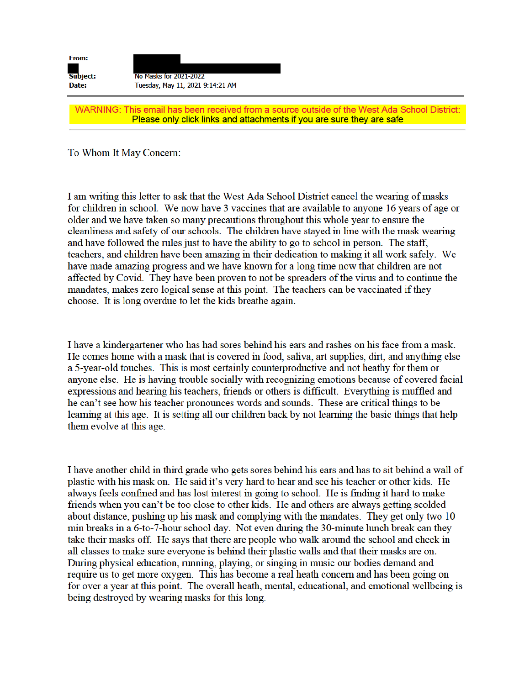| <b>From:</b><br>Subject:<br>Date: | No Masks for 2021-2022<br>Tuesday, May 11, 2021 9:14:21 AM |
|-----------------------------------|------------------------------------------------------------|
|                                   | WARNING: This email has been received from a source outsi- |

ide of the West Ada School District: Please only click links and attachments if you are sure they are safe

To Whom It May Concern:

I am writing this letter to ask that the West Ada School District cancel the wearing of masks for children in school. We now have 3 vaccines that are available to anyone 16 years of age or older and we have taken so many precautions throughout this whole year to ensure the cleanliness and safety of our schools. The children have stayed in line with the mask wearing and have followed the rules just to have the ability to go to school in person. The staff, teachers, and children have been amazing in their dedication to making it all work safely. We have made amazing progress and we have known for a long time now that children are not affected by Covid. They have been proven to not be spreaders of the virus and to continue the mandates, makes zero logical sense at this point. The teachers can be vaccinated if they choose. It is long overdue to let the kids breathe again.

I have a kindergartener who has had sores behind his ears and rashes on his face from a mask. He comes home with a mask that is covered in food, saliva, art supplies, dirt, and anything else a 5-year-old touches. This is most certainly counterproductive and not heathy for them or anyone else. He is having trouble socially with recognizing emotions because of covered facial expressions and hearing his teachers, friends or others is difficult. Everything is muffled and he can't see how his teacher pronounces words and sounds. These are critical things to be learning at this age. It is setting all our children back by not learning the basic things that help them evolve at this age.

I have another child in third grade who gets sores behind his ears and has to sit behind a wall of plastic with his mask on. He said it's very hard to hear and see his teacher or other kids. He always feels confined and has lost interest in going to school. He is finding it hard to make friends when you can't be too close to other kids. He and others are always getting scolded about distance, pushing up his mask and complying with the mandates. They get only two 10 min breaks in a 6-to-7-hour school day. Not even during the 30-minute lunch break can they take their masks off. He says that there are people who walk around the school and check in all classes to make sure everyone is behind their plastic walls and that their masks are on. During physical education, running, playing, or singing in music our bodies demand and require us to get more oxygen. This has become a real heath concern and has been going on for over a year at this point. The overall heath, mental, educational, and emotional wellbeing is being destroyed by wearing masks for this long.